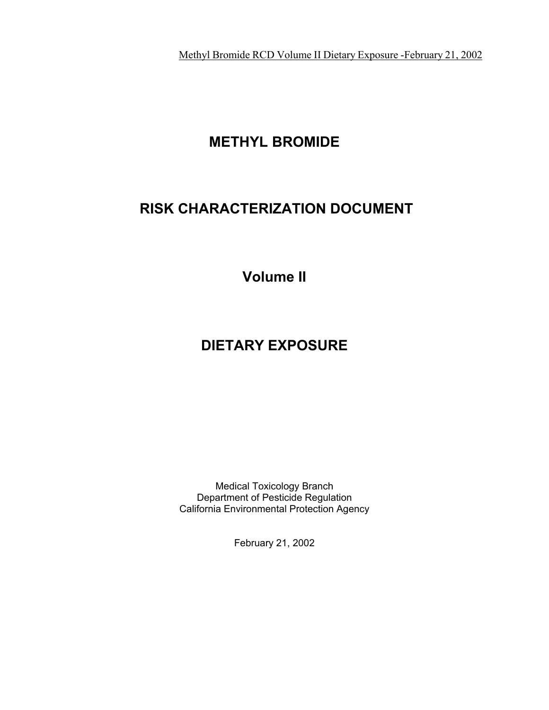Methyl Bromide RCD Volume II Dietary Exposure -February 21, 2002

# **METHYL BROMIDE**

# **RISK CHARACTERIZATION DOCUMENT**

**Volume II**

# **DIETARY EXPOSURE**

Medical Toxicology Branch Department of Pesticide Regulation California Environmental Protection Agency

February 21, 2002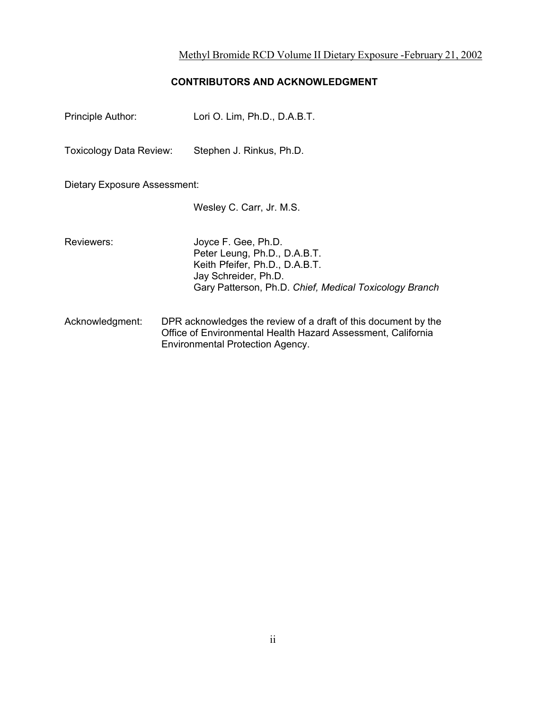# **CONTRIBUTORS AND ACKNOWLEDGMENT**

| Principle Author:              | Lori O. Lim, Ph.D., D.A.B.T.                                                                                                                                            |  |  |  |  |  |  |  |  |
|--------------------------------|-------------------------------------------------------------------------------------------------------------------------------------------------------------------------|--|--|--|--|--|--|--|--|
| <b>Toxicology Data Review:</b> | Stephen J. Rinkus, Ph.D.                                                                                                                                                |  |  |  |  |  |  |  |  |
| Dietary Exposure Assessment:   |                                                                                                                                                                         |  |  |  |  |  |  |  |  |
|                                | Wesley C. Carr, Jr. M.S.                                                                                                                                                |  |  |  |  |  |  |  |  |
| Reviewers:                     | Joyce F. Gee, Ph.D.<br>Peter Leung, Ph.D., D.A.B.T.<br>Keith Pfeifer, Ph.D., D.A.B.T.<br>Jay Schreider, Ph.D.<br>Gary Patterson, Ph.D. Chief, Medical Toxicology Branch |  |  |  |  |  |  |  |  |
| Acknowledgment:                | DPR acknowledges the review of a draft of this document by the<br>Office of Environmental Health Hazard Assessment, California                                          |  |  |  |  |  |  |  |  |

Environmental Protection Agency.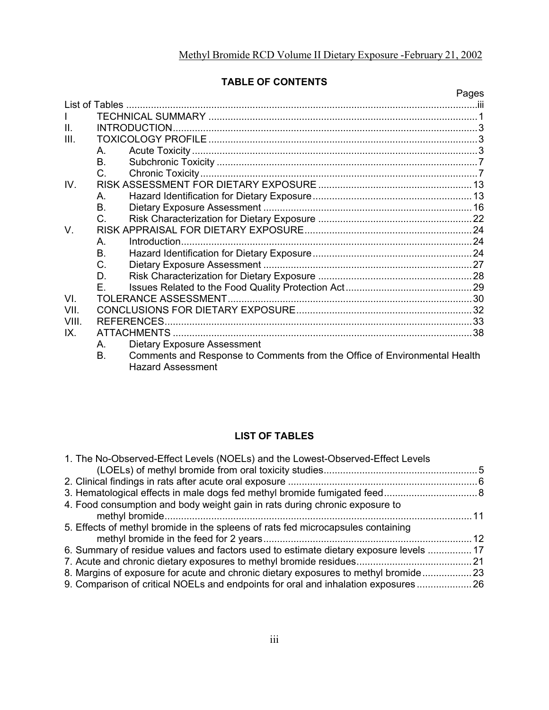# **TABLE OF CONTENTS**

|       |                                                                                 | Pages |
|-------|---------------------------------------------------------------------------------|-------|
|       |                                                                                 |       |
| L     |                                                                                 |       |
| II.   |                                                                                 |       |
| Ш.    |                                                                                 |       |
|       | A.                                                                              |       |
|       | <b>B.</b>                                                                       |       |
|       | C.                                                                              |       |
| IV.   |                                                                                 |       |
|       | $A_{\cdot}$                                                                     |       |
|       | B.                                                                              |       |
|       | $C_{\cdot}$                                                                     |       |
| V.    |                                                                                 |       |
|       | $\mathsf{A}_{\cdot}$                                                            |       |
|       | B.                                                                              |       |
|       | C.                                                                              |       |
|       | D.                                                                              |       |
|       | F.                                                                              |       |
| VI.   |                                                                                 |       |
| VII.  |                                                                                 |       |
| VIII. |                                                                                 |       |
| IX    |                                                                                 |       |
|       | <b>Dietary Exposure Assessment</b><br>A.                                        |       |
|       | Comments and Response to Comments from the Office of Environmental Health<br>B. |       |
|       | <b>Hazard Assessment</b>                                                        |       |

# **LIST OF TABLES**

| 1. The No-Observed-Effect Levels (NOELs) and the Lowest-Observed-Effect Levels        |                 |
|---------------------------------------------------------------------------------------|-----------------|
|                                                                                       |                 |
|                                                                                       |                 |
|                                                                                       |                 |
| 4. Food consumption and body weight gain in rats during chronic exposure to           |                 |
|                                                                                       | $\overline{11}$ |
| 5. Effects of methyl bromide in the spleens of rats fed microcapsules containing      |                 |
|                                                                                       |                 |
| 6. Summary of residue values and factors used to estimate dietary exposure levels  17 |                 |
|                                                                                       |                 |
| 8. Margins of exposure for acute and chronic dietary exposures to methyl bromide23    |                 |
| 9. Comparison of critical NOELs and endpoints for oral and inhalation exposures  26   |                 |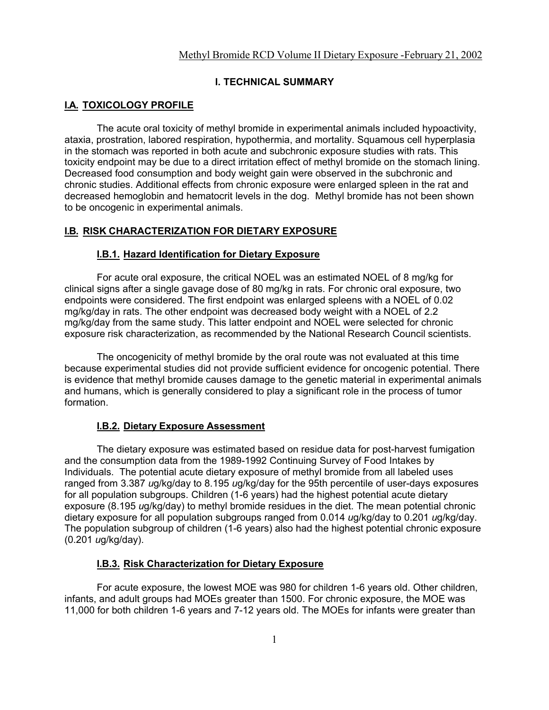#### **I. TECHNICAL SUMMARY**

## **I.A. TOXICOLOGY PROFILE**

The acute oral toxicity of methyl bromide in experimental animals included hypoactivity, ataxia, prostration, labored respiration, hypothermia, and mortality. Squamous cell hyperplasia in the stomach was reported in both acute and subchronic exposure studies with rats. This toxicity endpoint may be due to a direct irritation effect of methyl bromide on the stomach lining. Decreased food consumption and body weight gain were observed in the subchronic and chronic studies. Additional effects from chronic exposure were enlarged spleen in the rat and decreased hemoglobin and hematocrit levels in the dog. Methyl bromide has not been shown to be oncogenic in experimental animals.

## **I.B. RISK CHARACTERIZATION FOR DIETARY EXPOSURE**

#### **I.B.1. Hazard Identification for Dietary Exposure**

For acute oral exposure, the critical NOEL was an estimated NOEL of 8 mg/kg for clinical signs after a single gavage dose of 80 mg/kg in rats. For chronic oral exposure, two endpoints were considered. The first endpoint was enlarged spleens with a NOEL of 0.02 mg/kg/day in rats. The other endpoint was decreased body weight with a NOEL of 2.2 mg/kg/day from the same study. This latter endpoint and NOEL were selected for chronic exposure risk characterization, as recommended by the National Research Council scientists.

The oncogenicity of methyl bromide by the oral route was not evaluated at this time because experimental studies did not provide sufficient evidence for oncogenic potential. There is evidence that methyl bromide causes damage to the genetic material in experimental animals and humans, which is generally considered to play a significant role in the process of tumor formation.

## **I.B.2. Dietary Exposure Assessment**

The dietary exposure was estimated based on residue data for post-harvest fumigation and the consumption data from the 1989-1992 Continuing Survey of Food Intakes by Individuals. The potential acute dietary exposure of methyl bromide from all labeled uses ranged from 3.387 *u*g/kg/day to 8.195 *u*g/kg/day for the 95th percentile of user-days exposures for all population subgroups. Children (1-6 years) had the highest potential acute dietary exposure (8.195 *u*g/kg/day) to methyl bromide residues in the diet. The mean potential chronic dietary exposure for all population subgroups ranged from 0.014 *u*g/kg/day to 0.201 *u*g/kg/day. The population subgroup of children (1-6 years) also had the highest potential chronic exposure (0.201 *u*g/kg/day).

#### **I.B.3. Risk Characterization for Dietary Exposure**

For acute exposure, the lowest MOE was 980 for children 1-6 years old. Other children, infants, and adult groups had MOEs greater than 1500. For chronic exposure, the MOE was 11,000 for both children 1-6 years and 7-12 years old. The MOEs for infants were greater than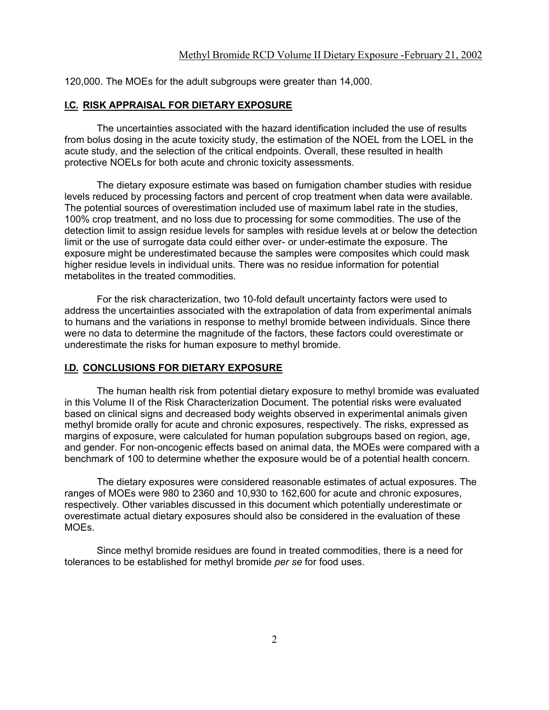120,000. The MOEs for the adult subgroups were greater than 14,000.

#### **I.C. RISK APPRAISAL FOR DIETARY EXPOSURE**

The uncertainties associated with the hazard identification included the use of results from bolus dosing in the acute toxicity study, the estimation of the NOEL from the LOEL in the acute study, and the selection of the critical endpoints. Overall, these resulted in health protective NOELs for both acute and chronic toxicity assessments.

The dietary exposure estimate was based on fumigation chamber studies with residue levels reduced by processing factors and percent of crop treatment when data were available. The potential sources of overestimation included use of maximum label rate in the studies, 100% crop treatment, and no loss due to processing for some commodities. The use of the detection limit to assign residue levels for samples with residue levels at or below the detection limit or the use of surrogate data could either over- or under-estimate the exposure. The exposure might be underestimated because the samples were composites which could mask higher residue levels in individual units. There was no residue information for potential metabolites in the treated commodities.

For the risk characterization, two 10-fold default uncertainty factors were used to address the uncertainties associated with the extrapolation of data from experimental animals to humans and the variations in response to methyl bromide between individuals. Since there were no data to determine the magnitude of the factors, these factors could overestimate or underestimate the risks for human exposure to methyl bromide.

#### **I.D. CONCLUSIONS FOR DIETARY EXPOSURE**

The human health risk from potential dietary exposure to methyl bromide was evaluated in this Volume II of the Risk Characterization Document. The potential risks were evaluated based on clinical signs and decreased body weights observed in experimental animals given methyl bromide orally for acute and chronic exposures, respectively. The risks, expressed as margins of exposure, were calculated for human population subgroups based on region, age, and gender. For non-oncogenic effects based on animal data, the MOEs were compared with a benchmark of 100 to determine whether the exposure would be of a potential health concern.

The dietary exposures were considered reasonable estimates of actual exposures. The ranges of MOEs were 980 to 2360 and 10,930 to 162,600 for acute and chronic exposures, respectively. Other variables discussed in this document which potentially underestimate or overestimate actual dietary exposures should also be considered in the evaluation of these MOEs.

Since methyl bromide residues are found in treated commodities, there is a need for tolerances to be established for methyl bromide *per se* for food uses.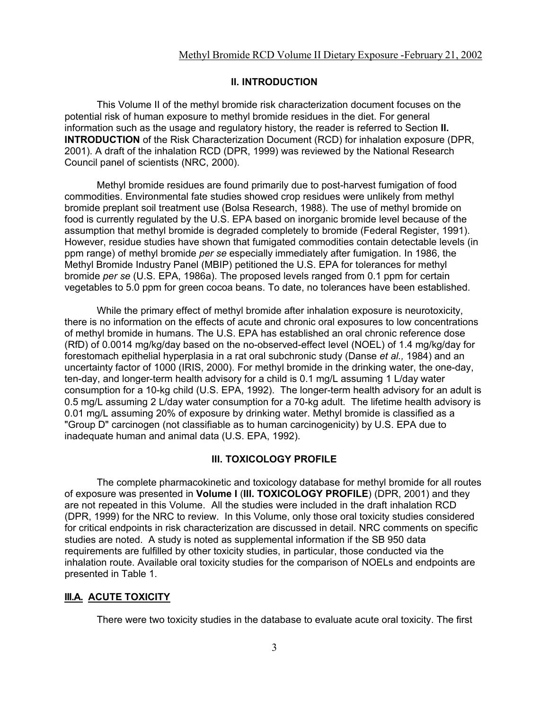#### **II. INTRODUCTION**

This Volume II of the methyl bromide risk characterization document focuses on the potential risk of human exposure to methyl bromide residues in the diet. For general information such as the usage and regulatory history, the reader is referred to Section **II. INTRODUCTION** of the Risk Characterization Document (RCD) for inhalation exposure (DPR, 2001). A draft of the inhalation RCD (DPR, 1999) was reviewed by the National Research Council panel of scientists (NRC, 2000).

Methyl bromide residues are found primarily due to post-harvest fumigation of food commodities. Environmental fate studies showed crop residues were unlikely from methyl bromide preplant soil treatment use (Bolsa Research, 1988). The use of methyl bromide on food is currently regulated by the U.S. EPA based on inorganic bromide level because of the assumption that methyl bromide is degraded completely to bromide (Federal Register, 1991). However, residue studies have shown that fumigated commodities contain detectable levels (in ppm range) of methyl bromide *per se* especially immediately after fumigation. In 1986, the Methyl Bromide Industry Panel (MBIP) petitioned the U.S. EPA for tolerances for methyl bromide *per se* (U.S. EPA, 1986a). The proposed levels ranged from 0.1 ppm for certain vegetables to 5.0 ppm for green cocoa beans. To date, no tolerances have been established.

While the primary effect of methyl bromide after inhalation exposure is neurotoxicity, there is no information on the effects of acute and chronic oral exposures to low concentrations of methyl bromide in humans. The U.S. EPA has established an oral chronic reference dose (RfD) of 0.0014 mg/kg/day based on the no-observed-effect level (NOEL) of 1.4 mg/kg/day for forestomach epithelial hyperplasia in a rat oral subchronic study (Danse *et al.,* 1984) and an uncertainty factor of 1000 (IRIS, 2000). For methyl bromide in the drinking water, the one-day, ten-day, and longer-term health advisory for a child is 0.1 mg/L assuming 1 L/day water consumption for a 10-kg child (U.S. EPA, 1992). The longer-term health advisory for an adult is 0.5 mg/L assuming 2 L/day water consumption for a 70-kg adult. The lifetime health advisory is 0.01 mg/L assuming 20% of exposure by drinking water. Methyl bromide is classified as a "Group D" carcinogen (not classifiable as to human carcinogenicity) by U.S. EPA due to inadequate human and animal data (U.S. EPA, 1992).

## **III. TOXICOLOGY PROFILE**

The complete pharmacokinetic and toxicology database for methyl bromide for all routes of exposure was presented in **Volume I** (**III. TOXICOLOGY PROFILE**) (DPR, 2001) and they are not repeated in this Volume. All the studies were included in the draft inhalation RCD (DPR, 1999) for the NRC to review. In this Volume, only those oral toxicity studies considered for critical endpoints in risk characterization are discussed in detail. NRC comments on specific studies are noted. A study is noted as supplemental information if the SB 950 data requirements are fulfilled by other toxicity studies, in particular, those conducted via the inhalation route. Available oral toxicity studies for the comparison of NOELs and endpoints are presented in Table 1.

#### **III.A. ACUTE TOXICITY**

There were two toxicity studies in the database to evaluate acute oral toxicity. The first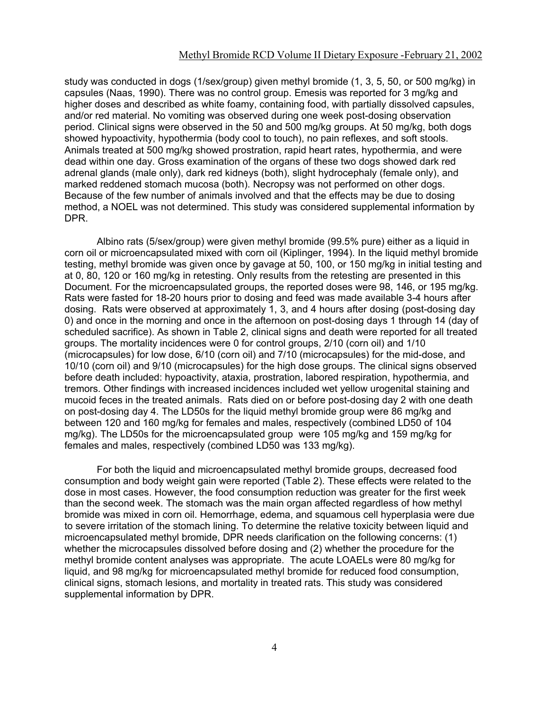study was conducted in dogs (1/sex/group) given methyl bromide (1, 3, 5, 50, or 500 mg/kg) in capsules (Naas, 1990). There was no control group. Emesis was reported for 3 mg/kg and higher doses and described as white foamy, containing food, with partially dissolved capsules, and/or red material. No vomiting was observed during one week post-dosing observation period. Clinical signs were observed in the 50 and 500 mg/kg groups. At 50 mg/kg, both dogs showed hypoactivity, hypothermia (body cool to touch), no pain reflexes, and soft stools. Animals treated at 500 mg/kg showed prostration, rapid heart rates, hypothermia, and were dead within one day. Gross examination of the organs of these two dogs showed dark red adrenal glands (male only), dark red kidneys (both), slight hydrocephaly (female only), and marked reddened stomach mucosa (both). Necropsy was not performed on other dogs. Because of the few number of animals involved and that the effects may be due to dosing method, a NOEL was not determined. This study was considered supplemental information by DPR.

Albino rats (5/sex/group) were given methyl bromide (99.5% pure) either as a liquid in corn oil or microencapsulated mixed with corn oil (Kiplinger, 1994). In the liquid methyl bromide testing, methyl bromide was given once by gavage at 50, 100, or 150 mg/kg in initial testing and at 0, 80, 120 or 160 mg/kg in retesting. Only results from the retesting are presented in this Document. For the microencapsulated groups, the reported doses were 98, 146, or 195 mg/kg. Rats were fasted for 18-20 hours prior to dosing and feed was made available 3-4 hours after dosing. Rats were observed at approximately 1, 3, and 4 hours after dosing (post-dosing day 0) and once in the morning and once in the afternoon on post-dosing days 1 through 14 (day of scheduled sacrifice). As shown in Table 2, clinical signs and death were reported for all treated groups. The mortality incidences were 0 for control groups, 2/10 (corn oil) and 1/10 (microcapsules) for low dose, 6/10 (corn oil) and 7/10 (microcapsules) for the mid-dose, and 10/10 (corn oil) and 9/10 (microcapsules) for the high dose groups. The clinical signs observed before death included: hypoactivity, ataxia, prostration, labored respiration, hypothermia, and tremors. Other findings with increased incidences included wet yellow urogenital staining and mucoid feces in the treated animals. Rats died on or before post-dosing day 2 with one death on post-dosing day 4. The LD50s for the liquid methyl bromide group were 86 mg/kg and between 120 and 160 mg/kg for females and males, respectively (combined LD50 of 104 mg/kg). The LD50s for the microencapsulated group were 105 mg/kg and 159 mg/kg for females and males, respectively (combined LD50 was 133 mg/kg).

For both the liquid and microencapsulated methyl bromide groups, decreased food consumption and body weight gain were reported (Table 2). These effects were related to the dose in most cases. However, the food consumption reduction was greater for the first week than the second week. The stomach was the main organ affected regardless of how methyl bromide was mixed in corn oil. Hemorrhage, edema, and squamous cell hyperplasia were due to severe irritation of the stomach lining. To determine the relative toxicity between liquid and microencapsulated methyl bromide, DPR needs clarification on the following concerns: (1) whether the microcapsules dissolved before dosing and (2) whether the procedure for the methyl bromide content analyses was appropriate. The acute LOAELs were 80 mg/kg for liquid, and 98 mg/kg for microencapsulated methyl bromide for reduced food consumption, clinical signs, stomach lesions, and mortality in treated rats. This study was considered supplemental information by DPR.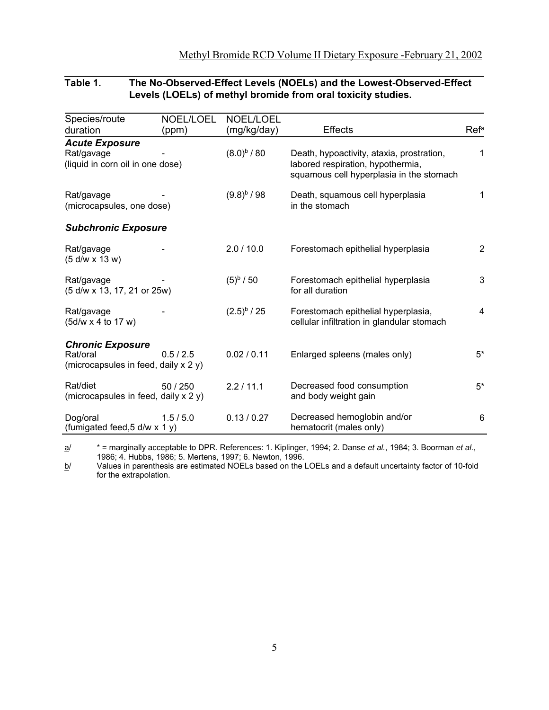# **Table 1. The No-Observed-Effect Levels (NOELs) and the Lowest-Observed-Effect Levels (LOELs) of methyl bromide from oral toxicity studies.**

| Species/route<br>duration                                                   | <b>NOEL/LOEL</b><br>(ppm) | NOEL/LOEL<br>(mg/kg/day) | <b>Effects</b>                                                                                                             | Refa  |
|-----------------------------------------------------------------------------|---------------------------|--------------------------|----------------------------------------------------------------------------------------------------------------------------|-------|
| <b>Acute Exposure</b><br>Rat/gavage<br>(liquid in corn oil in one dose)     |                           | $(8.0)^{b} / 80$         | Death, hypoactivity, ataxia, prostration,<br>labored respiration, hypothermia,<br>squamous cell hyperplasia in the stomach | 1     |
| Rat/gavage<br>(microcapsules, one dose)                                     |                           | $(9.8)^{b}$ / 98         | Death, squamous cell hyperplasia<br>in the stomach                                                                         | 1     |
| <b>Subchronic Exposure</b>                                                  |                           |                          |                                                                                                                            |       |
| Rat/gavage<br>$(5 d/w \times 13 w)$                                         |                           | 2.0 / 10.0               | Forestomach epithelial hyperplasia                                                                                         | 2     |
| Rat/gavage<br>(5 d/w x 13, 17, 21 or 25w)                                   |                           | $(5)^{b} / 50$           | Forestomach epithelial hyperplasia<br>for all duration                                                                     | 3     |
| Rat/gavage<br>(5d/w x 4 to 17 w)                                            |                           | $(2.5)^{b} / 25$         | Forestomach epithelial hyperplasia,<br>cellular infiltration in glandular stomach                                          | 4     |
| <b>Chronic Exposure</b><br>Rat/oral<br>(microcapsules in feed, daily x 2 y) | 0.5/2.5                   | 0.02 / 0.11              | Enlarged spleens (males only)                                                                                              | $5*$  |
| Rat/diet<br>(microcapsules in feed, daily x 2 y)                            | 50 / 250                  | 2.2/11.1                 | Decreased food consumption<br>and body weight gain                                                                         | $5^*$ |
| Dog/oral<br>(fumigated feed, 5 d/w x 1 y)                                   | 1.5/5.0                   | 0.13 / 0.27              | Decreased hemoglobin and/or<br>hematocrit (males only)                                                                     | 6     |

a/ \* = marginally acceptable to DPR. References: 1. Kiplinger, 1994; 2. Danse *et al.*, 1984; 3. Boorman *et al.*, 1986; 4. Hubbs, 1986; 5. Mertens, 1997; 6. Newton, 1996.

<u>b</u>/  $\,$  Values in parenthesis are estimated NOELs based on the LOELs and a default uncertainty factor of 10-fold for the extrapolation.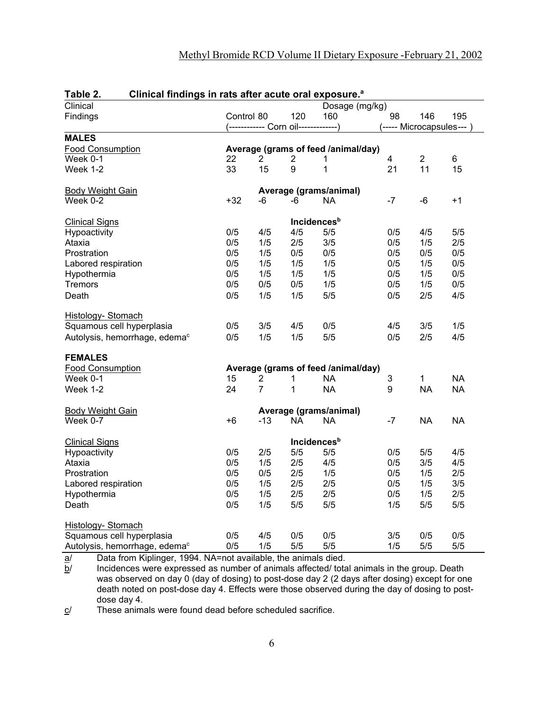| Tanie z.<br>Cilincal iniumgs in rats after acute oral exposure. |            |                |                                      |                                     |                          |                |           |
|-----------------------------------------------------------------|------------|----------------|--------------------------------------|-------------------------------------|--------------------------|----------------|-----------|
| Clinical                                                        |            |                |                                      | Dosage (mg/kg)                      |                          |                |           |
| Findings                                                        | Control 80 |                | 120                                  | 160                                 | 98                       | 146            | 195       |
|                                                                 |            |                | (------------ Corn oil-------------) |                                     | (----- Microcapsules---) |                |           |
| <b>MALES</b>                                                    |            |                |                                      |                                     |                          |                |           |
| <b>Food Consumption</b>                                         |            |                |                                      | Average (grams of feed /animal/day) |                          |                |           |
| Week 0-1                                                        | 22         | 2              | 2                                    | 1                                   | $\overline{\mathbf{4}}$  | $\overline{2}$ | 6         |
| Week 1-2                                                        | 33         | 15             | 9                                    | 1                                   | 21                       | 11             | 15        |
|                                                                 |            |                |                                      |                                     |                          |                |           |
| <b>Body Weight Gain</b>                                         |            |                |                                      | Average (grams/animal)              |                          |                |           |
| Week 0-2                                                        | $+32$      | -6             | -6                                   | <b>NA</b>                           | -7                       | $-6$           | $+1$      |
| <b>Clinical Signs</b>                                           |            |                |                                      | <b>Incidences</b> <sup>b</sup>      |                          |                |           |
| Hypoactivity                                                    | 0/5        | 4/5            | 4/5                                  | 5/5                                 | 0/5                      | 4/5            | 5/5       |
| Ataxia                                                          | 0/5        | 1/5            | 2/5                                  | 3/5                                 | 0/5                      | 1/5            | 2/5       |
| Prostration                                                     | 0/5        | 1/5            | 0/5                                  | 0/5                                 | 0/5                      | 0/5            | 0/5       |
| Labored respiration                                             | 0/5        | 1/5            | 1/5                                  | 1/5                                 | 0/5                      | 1/5            | 0/5       |
| Hypothermia                                                     | 0/5        | 1/5            | 1/5                                  | 1/5                                 | 0/5                      | 1/5            | 0/5       |
| <b>Tremors</b>                                                  | 0/5        | 0/5            | 0/5                                  | 1/5                                 | 0/5                      | 1/5            | 0/5       |
| Death                                                           | 0/5        | 1/5            | 1/5                                  | 5/5                                 | 0/5                      | 2/5            | 4/5       |
|                                                                 |            |                |                                      |                                     |                          |                |           |
| Histology- Stomach                                              |            |                |                                      |                                     |                          |                |           |
| Squamous cell hyperplasia                                       | 0/5        | 3/5            | 4/5                                  | 0/5                                 | 4/5                      | 3/5            | 1/5       |
| Autolysis, hemorrhage, edema <sup>c</sup>                       | 0/5        | 1/5            | 1/5                                  | 5/5                                 | 0/5                      | 2/5            | 4/5       |
| <b>FEMALES</b>                                                  |            |                |                                      |                                     |                          |                |           |
| <b>Food Consumption</b>                                         |            |                |                                      | Average (grams of feed /animal/day) |                          |                |           |
| Week 0-1                                                        | 15         | 2              | 1                                    | <b>NA</b>                           | 3                        | 1              | <b>NA</b> |
| Week 1-2                                                        | 24         | $\overline{7}$ | 1                                    | <b>NA</b>                           | 9                        | <b>NA</b>      | <b>NA</b> |
|                                                                 |            |                |                                      |                                     |                          |                |           |
| <b>Body Weight Gain</b>                                         |            |                |                                      | Average (grams/animal)              |                          |                |           |
| Week 0-7                                                        | $+6$       | $-13$          | <b>NA</b>                            | <b>NA</b>                           | $-7$                     | <b>NA</b>      | <b>NA</b> |
| <b>Clinical Signs</b>                                           |            |                |                                      | <b>Incidences</b> <sup>b</sup>      |                          |                |           |
| Hypoactivity                                                    | 0/5        | 2/5            | 5/5                                  | 5/5                                 | 0/5                      | 5/5            | 4/5       |
| Ataxia                                                          | 0/5        | 1/5            | 2/5                                  | 4/5                                 | 0/5                      | 3/5            | 4/5       |
| Prostration                                                     | 0/5        | 0/5            | 2/5                                  | 1/5                                 | 0/5                      | 1/5            | 2/5       |
| Labored respiration                                             | 0/5        | 1/5            | 2/5                                  | 2/5                                 | 0/5                      | 1/5            | 3/5       |
| Hypothermia                                                     | 0/5        | 1/5            | 2/5                                  | 2/5                                 | 0/5                      | 1/5            | 2/5       |
| Death                                                           | 0/5        | 1/5            | 5/5                                  | 5/5                                 | 1/5                      | 5/5            | 5/5       |
|                                                                 |            |                |                                      |                                     |                          |                |           |
| Histology- Stomach                                              |            |                |                                      |                                     |                          |                |           |
| Squamous cell hyperplasia                                       | 0/5        | 4/5            | 0/5                                  | 0/5                                 | 3/5                      | 0/5            | 0/5       |
| Autolysis, hemorrhage, edema <sup>c</sup>                       | 0/5        | 1/5            | 5/5                                  | 5/5                                 | 1/5                      | 5/5            | 5/5       |

# **Table 2. Clinical findings in rats after acute oral exposure.<sup>a</sup>**

<u>a</u>/ Data from Kiplinger, 1994. NA=not available, the animals died.

<u>b</u>/  $\quad$  Incidences were expressed as number of animals affected/ total animals in the group. Death was observed on day 0 (day of dosing) to post-dose day 2 (2 days after dosing) except for one death noted on post-dose day 4. Effects were those observed during the day of dosing to postdose day 4.

 $c$  These animals were found dead before scheduled sacrifice.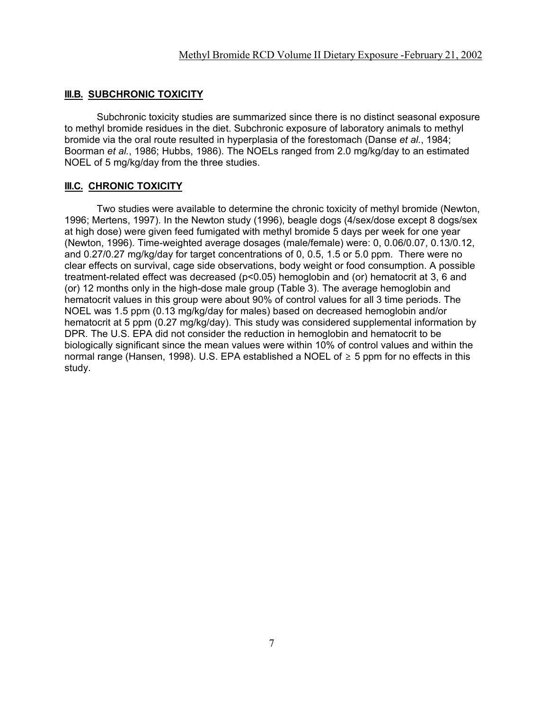#### **III.B. SUBCHRONIC TOXICITY**

Subchronic toxicity studies are summarized since there is no distinct seasonal exposure to methyl bromide residues in the diet. Subchronic exposure of laboratory animals to methyl bromide via the oral route resulted in hyperplasia of the forestomach (Danse *et al.*, 1984; Boorman *et al.*, 1986; Hubbs, 1986). The NOELs ranged from 2.0 mg/kg/day to an estimated NOEL of 5 mg/kg/day from the three studies.

#### **III.C. CHRONIC TOXICITY**

Two studies were available to determine the chronic toxicity of methyl bromide (Newton, 1996; Mertens, 1997). In the Newton study (1996), beagle dogs (4/sex/dose except 8 dogs/sex at high dose) were given feed fumigated with methyl bromide 5 days per week for one year (Newton, 1996). Time-weighted average dosages (male/female) were: 0, 0.06/0.07, 0.13/0.12, and 0.27/0.27 mg/kg/day for target concentrations of 0, 0.5, 1.5 or 5.0 ppm. There were no clear effects on survival, cage side observations, body weight or food consumption. A possible treatment-related effect was decreased (p<0.05) hemoglobin and (or) hematocrit at 3, 6 and (or) 12 months only in the high-dose male group (Table 3). The average hemoglobin and hematocrit values in this group were about 90% of control values for all 3 time periods. The NOEL was 1.5 ppm (0.13 mg/kg/day for males) based on decreased hemoglobin and/or hematocrit at 5 ppm (0.27 mg/kg/day). This study was considered supplemental information by DPR. The U.S. EPA did not consider the reduction in hemoglobin and hematocrit to be biologically significant since the mean values were within 10% of control values and within the normal range (Hansen, 1998). U.S. EPA established a NOEL of  $\geq 5$  ppm for no effects in this study.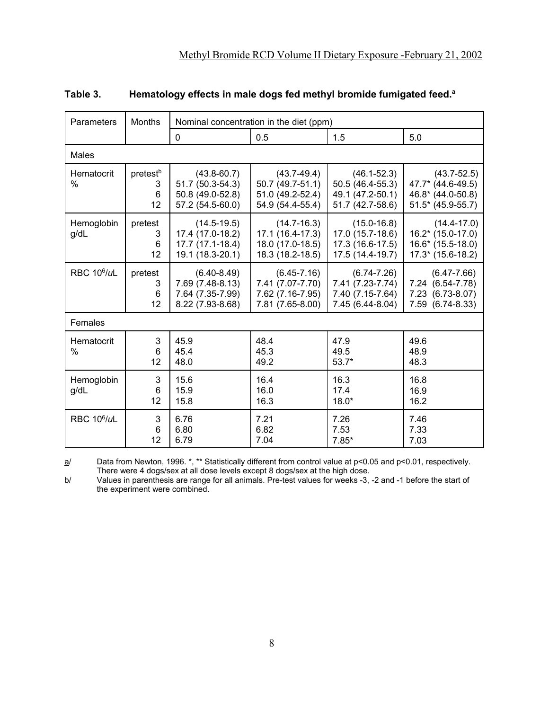| Parameters                   | <b>Months</b>                        | Nominal concentration in the diet (ppm)                                     |                                                                             |                                                                             |                                                                                    |  |  |  |  |
|------------------------------|--------------------------------------|-----------------------------------------------------------------------------|-----------------------------------------------------------------------------|-----------------------------------------------------------------------------|------------------------------------------------------------------------------------|--|--|--|--|
|                              |                                      | $\mathbf 0$                                                                 | 0.5                                                                         | 1.5                                                                         | 5.0                                                                                |  |  |  |  |
| <b>Males</b>                 |                                      |                                                                             |                                                                             |                                                                             |                                                                                    |  |  |  |  |
| Hematocrit<br>$\%$           | pretest <sup>b</sup><br>3<br>6<br>12 | $(43.8 - 60.7)$<br>51.7 (50.3-54.3)<br>50.8 (49.0-52.8)<br>57.2 (54.5-60.0) | $(43.7 - 49.4)$<br>50.7 (49.7-51.1)<br>51.0 (49.2-52.4)<br>54.9 (54.4-55.4) | $(46.1 - 52.3)$<br>50.5 (46.4-55.3)<br>49.1 (47.2-50.1)<br>51.7 (42.7-58.6) | $(43.7 - 52.5)$<br>47.7* (44.6-49.5)<br>46.8* (44.0-50.8)<br>$51.5*$ (45.9-55.7)   |  |  |  |  |
| Hemoglobin<br>g/dL           | pretest<br>3<br>6<br>12              | $(14.5 - 19.5)$<br>17.4 (17.0-18.2)<br>17.7 (17.1-18.4)<br>19.1 (18.3-20.1) | $(14.7 - 16.3)$<br>17.1 (16.4-17.3)<br>18.0 (17.0-18.5)<br>18.3 (18.2-18.5) | $(15.0 - 16.8)$<br>17.0 (15.7-18.6)<br>17.3 (16.6-17.5)<br>17.5 (14.4-19.7) | $(14.4 - 17.0)$<br>$16.2* (15.0-17.0)$<br>$16.6*$ (15.5-18.0)<br>17.3* (15.6-18.2) |  |  |  |  |
| <b>RBC 10<sup>6</sup>/uL</b> | pretest<br>3<br>6<br>12              | $(6.40 - 8.49)$<br>7.69 (7.48-8.13)<br>7.64 (7.35-7.99)<br>8.22 (7.93-8.68) | $(6.45 - 7.16)$<br>7.41 (7.07-7.70)<br>7.62 (7.16-7.95)<br>7.81 (7.65-8.00) | $(6.74 - 7.26)$<br>7.41 (7.23-7.74)<br>7.40 (7.15-7.64)<br>7.45 (6.44-8.04) | $(6.47 - 7.66)$<br>7.24 (6.54-7.78)<br>7.23 (6.73-8.07)<br>7.59 (6.74-8.33)        |  |  |  |  |
| Females                      |                                      |                                                                             |                                                                             |                                                                             |                                                                                    |  |  |  |  |
| Hematocrit<br>$\%$           | 3<br>6<br>12                         | 45.9<br>45.4<br>48.0                                                        | 48.4<br>45.3<br>49.2                                                        | 47.9<br>49.5<br>$53.7*$                                                     | 49.6<br>48.9<br>48.3                                                               |  |  |  |  |
| Hemoglobin<br>g/dL           | 3<br>6<br>12                         | 15.6<br>15.9<br>15.8                                                        | 16.4<br>16.0<br>16.3                                                        | 16.3<br>17.4<br>$18.0*$                                                     | 16.8<br>16.9<br>16.2                                                               |  |  |  |  |
| <b>RBC 10<sup>6</sup>/uL</b> | 3<br>6<br>12                         | 6.76<br>6.80<br>6.79                                                        | 7.21<br>6.82<br>7.04                                                        | 7.26<br>7.53<br>$7.85*$                                                     | 7.46<br>7.33<br>7.03                                                               |  |  |  |  |

# **Table 3. Hematology effects in male dogs fed methyl bromide fumigated feed.a**

<u>a</u>/ Data from Newton, 1996. \*, \*\* Statistically different from control value at p<0.05 and p<0.01, respectively. There were 4 dogs/sex at all dose levels except 8 dogs/sex at the high dose.

b/ Values in parenthesis are range for all animals. Pre-test values for weeks -3, -2 and -1 before the start of the experiment were combined.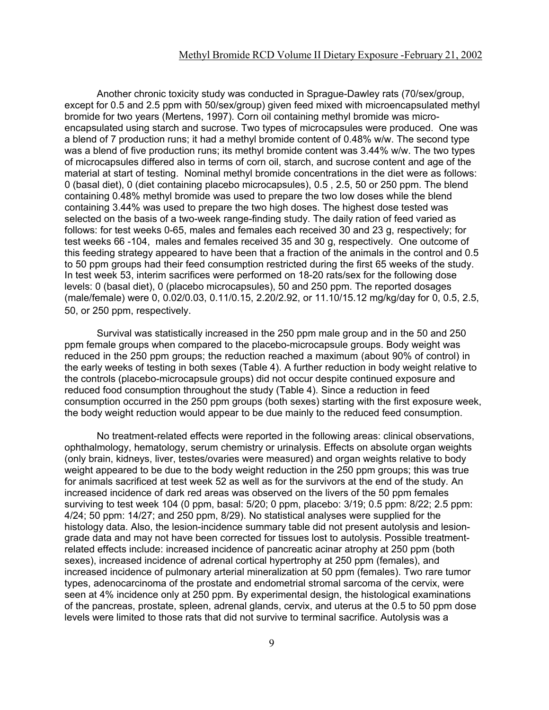Another chronic toxicity study was conducted in Sprague-Dawley rats (70/sex/group, except for 0.5 and 2.5 ppm with 50/sex/group) given feed mixed with microencapsulated methyl bromide for two years (Mertens, 1997). Corn oil containing methyl bromide was microencapsulated using starch and sucrose. Two types of microcapsules were produced. One was a blend of 7 production runs; it had a methyl bromide content of 0.48% w/w. The second type was a blend of five production runs; its methyl bromide content was 3.44% w/w. The two types of microcapsules differed also in terms of corn oil, starch, and sucrose content and age of the material at start of testing. Nominal methyl bromide concentrations in the diet were as follows: 0 (basal diet), 0 (diet containing placebo microcapsules), 0.5 , 2.5, 50 or 250 ppm. The blend containing 0.48% methyl bromide was used to prepare the two low doses while the blend containing 3.44% was used to prepare the two high doses. The highest dose tested was selected on the basis of a two-week range-finding study. The daily ration of feed varied as follows: for test weeks 0-65, males and females each received 30 and 23 g, respectively; for test weeks 66 -104, males and females received 35 and 30 g, respectively. One outcome of this feeding strategy appeared to have been that a fraction of the animals in the control and 0.5 to 50 ppm groups had their feed consumption restricted during the first 65 weeks of the study. In test week 53, interim sacrifices were performed on 18-20 rats/sex for the following dose levels: 0 (basal diet), 0 (placebo microcapsules), 50 and 250 ppm. The reported dosages (male/female) were 0, 0.02/0.03, 0.11/0.15, 2.20/2.92, or 11.10/15.12 mg/kg/day for 0, 0.5, 2.5, 50, or 250 ppm, respectively.

Survival was statistically increased in the 250 ppm male group and in the 50 and 250 ppm female groups when compared to the placebo-microcapsule groups. Body weight was reduced in the 250 ppm groups; the reduction reached a maximum (about 90% of control) in the early weeks of testing in both sexes (Table 4). A further reduction in body weight relative to the controls (placebo-microcapsule groups) did not occur despite continued exposure and reduced food consumption throughout the study (Table 4). Since a reduction in feed consumption occurred in the 250 ppm groups (both sexes) starting with the first exposure week, the body weight reduction would appear to be due mainly to the reduced feed consumption.

No treatment-related effects were reported in the following areas: clinical observations, ophthalmology, hematology, serum chemistry or urinalysis. Effects on absolute organ weights (only brain, kidneys, liver, testes/ovaries were measured) and organ weights relative to body weight appeared to be due to the body weight reduction in the 250 ppm groups; this was true for animals sacrificed at test week 52 as well as for the survivors at the end of the study. An increased incidence of dark red areas was observed on the livers of the 50 ppm females surviving to test week 104 (0 ppm, basal: 5/20; 0 ppm, placebo: 3/19; 0.5 ppm: 8/22; 2.5 ppm: 4/24; 50 ppm: 14/27; and 250 ppm, 8/29). No statistical analyses were supplied for the histology data. Also, the lesion-incidence summary table did not present autolysis and lesiongrade data and may not have been corrected for tissues lost to autolysis. Possible treatmentrelated effects include: increased incidence of pancreatic acinar atrophy at 250 ppm (both sexes), increased incidence of adrenal cortical hypertrophy at 250 ppm (females), and increased incidence of pulmonary arterial mineralization at 50 ppm (females). Two rare tumor types, adenocarcinoma of the prostate and endometrial stromal sarcoma of the cervix, were seen at 4% incidence only at 250 ppm. By experimental design, the histological examinations of the pancreas, prostate, spleen, adrenal glands, cervix, and uterus at the 0.5 to 50 ppm dose levels were limited to those rats that did not survive to terminal sacrifice. Autolysis was a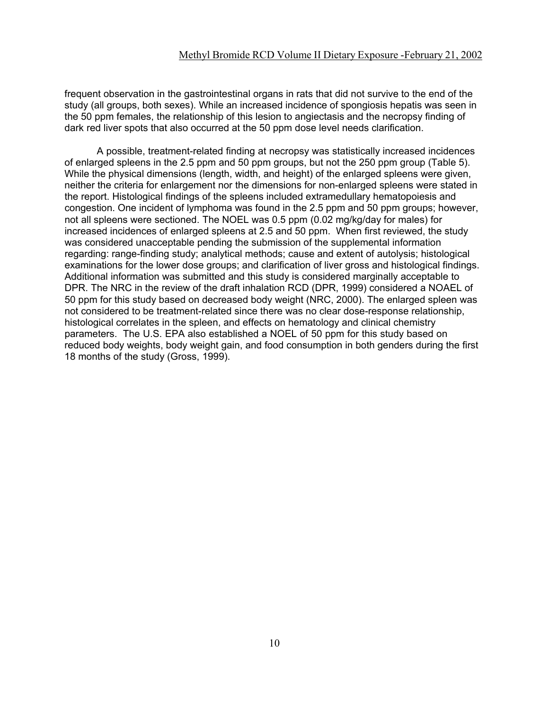frequent observation in the gastrointestinal organs in rats that did not survive to the end of the study (all groups, both sexes). While an increased incidence of spongiosis hepatis was seen in the 50 ppm females, the relationship of this lesion to angiectasis and the necropsy finding of dark red liver spots that also occurred at the 50 ppm dose level needs clarification.

A possible, treatment-related finding at necropsy was statistically increased incidences of enlarged spleens in the 2.5 ppm and 50 ppm groups, but not the 250 ppm group (Table 5). While the physical dimensions (length, width, and height) of the enlarged spleens were given, neither the criteria for enlargement nor the dimensions for non-enlarged spleens were stated in the report. Histological findings of the spleens included extramedullary hematopoiesis and congestion. One incident of lymphoma was found in the 2.5 ppm and 50 ppm groups; however, not all spleens were sectioned. The NOEL was 0.5 ppm (0.02 mg/kg/day for males) for increased incidences of enlarged spleens at 2.5 and 50 ppm. When first reviewed, the study was considered unacceptable pending the submission of the supplemental information regarding: range-finding study; analytical methods; cause and extent of autolysis; histological examinations for the lower dose groups; and clarification of liver gross and histological findings. Additional information was submitted and this study is considered marginally acceptable to DPR. The NRC in the review of the draft inhalation RCD (DPR, 1999) considered a NOAEL of 50 ppm for this study based on decreased body weight (NRC, 2000). The enlarged spleen was not considered to be treatment-related since there was no clear dose-response relationship, histological correlates in the spleen, and effects on hematology and clinical chemistry parameters. The U.S. EPA also established a NOEL of 50 ppm for this study based on reduced body weights, body weight gain, and food consumption in both genders during the first 18 months of the study (Gross, 1999).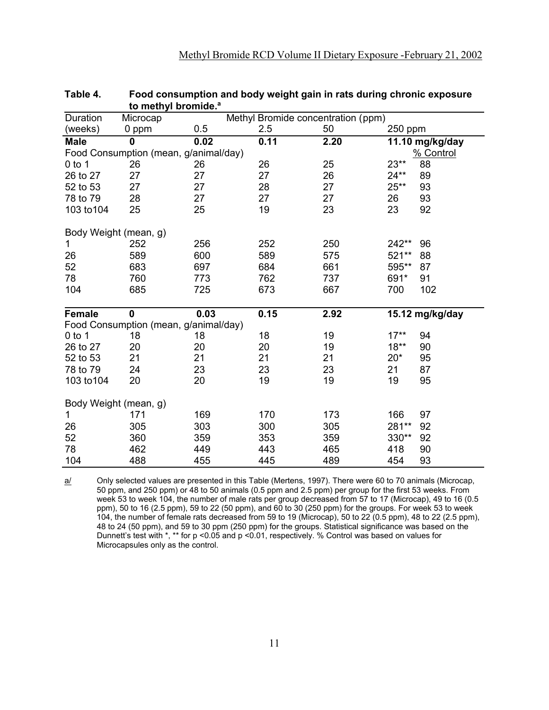| Duration              | Methyl Bromide concentration (ppm)<br>Microcap |      |      |      |                 |  |  |  |
|-----------------------|------------------------------------------------|------|------|------|-----------------|--|--|--|
| (weeks)               | 0 ppm                                          | 0.5  | 2.5  | 50   | 250 ppm         |  |  |  |
| <b>Male</b>           | $\mathbf 0$                                    | 0.02 | 0.11 | 2.20 | 11.10 mg/kg/day |  |  |  |
|                       | Food Consumption (mean, g/animal/day)          |      |      |      | % Control       |  |  |  |
| $0$ to 1              | 26                                             | 26   | 26   | 25   | 23**<br>88      |  |  |  |
| 26 to 27              | 27                                             | 27   | 27   | 26   | $24**$<br>89    |  |  |  |
| 52 to 53              | 27                                             | 27   | 28   | 27   | $25**$<br>93    |  |  |  |
| 78 to 79              | 28                                             | 27   | 27   | 27   | 93<br>26        |  |  |  |
| 103 to 104            | 25                                             | 25   | 19   | 23   | 23<br>92        |  |  |  |
| Body Weight (mean, g) |                                                |      |      |      |                 |  |  |  |
| $\mathbf{1}$          | 252                                            | 256  | 252  | 250  | 242**<br>96     |  |  |  |
| 26                    | 589                                            | 600  | 589  | 575  | 521**<br>88     |  |  |  |
| 52                    | 683                                            | 697  | 684  | 661  | 595**<br>87     |  |  |  |
| 78                    | 760                                            | 773  | 762  | 737  | 691*<br>91      |  |  |  |
| 104                   | 685                                            | 725  | 673  | 667  | 102<br>700      |  |  |  |
| <b>Female</b>         | $\mathbf 0$                                    | 0.03 | 0.15 | 2.92 | 15.12 mg/kg/day |  |  |  |
|                       | Food Consumption (mean, g/animal/day)          |      |      |      |                 |  |  |  |
| $0$ to 1              | 18                                             | 18   | 18   | 19   | $17**$<br>94    |  |  |  |
| 26 to 27              | 20                                             | 20   | 20   | 19   | $18**$<br>90    |  |  |  |
| 52 to 53              | 21                                             | 21   | 21   | 21   | $20*$<br>95     |  |  |  |
| 78 to 79              | 24                                             | 23   | 23   | 23   | 21<br>87        |  |  |  |
| 103 to 104            | 20                                             | 20   | 19   | 19   | 95<br>19        |  |  |  |
| Body Weight (mean, g) |                                                |      |      |      |                 |  |  |  |
| $\mathbf{1}$          | 171                                            | 169  | 170  | 173  | 166<br>97       |  |  |  |
| 26                    | 305                                            | 303  | 300  | 305  | 281**<br>92     |  |  |  |
| 52                    | 360                                            | 359  | 353  | 359  | 330**<br>92     |  |  |  |
| 78                    | 462                                            | 449  | 443  | 465  | 418<br>90       |  |  |  |
| 104                   | 488                                            | 455  | 445  | 489  | 93<br>454       |  |  |  |

| Table 4. | Food consumption and body weight gain in rats during chronic exposure |
|----------|-----------------------------------------------------------------------|
|          | to methyl bromide. <sup>a</sup>                                       |

a/ Only selected values are presented in this Table (Mertens, 1997). There were 60 to 70 animals (Microcap, 50 ppm, and 250 ppm) or 48 to 50 animals (0.5 ppm and 2.5 ppm) per group for the first 53 weeks. From week 53 to week 104, the number of male rats per group decreased from 57 to 17 (Microcap), 49 to 16 (0.5 ppm), 50 to 16 (2.5 ppm), 59 to 22 (50 ppm), and 60 to 30 (250 ppm) for the groups. For week 53 to week 104, the number of female rats decreased from 59 to 19 (Microcap), 50 to 22 (0.5 ppm), 48 to 22 (2.5 ppm), 48 to 24 (50 ppm), and 59 to 30 ppm (250 ppm) for the groups. Statistical significance was based on the Dunnett's test with \*, \*\* for p <0.05 and p <0.01, respectively. % Control was based on values for Microcapsules only as the control.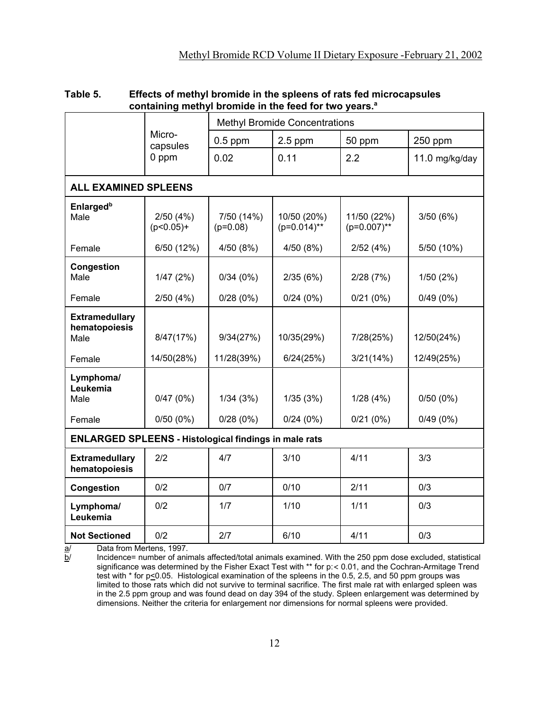|                                                              |                         | <b>THE REPORT OF THE REAL PROPERTY.</b> |                               |                               |                      |  |  |  |  |  |
|--------------------------------------------------------------|-------------------------|-----------------------------------------|-------------------------------|-------------------------------|----------------------|--|--|--|--|--|
|                                                              |                         | <b>Methyl Bromide Concentrations</b>    |                               |                               |                      |  |  |  |  |  |
|                                                              | Micro-<br>capsules      | $0.5$ ppm                               | $2.5$ ppm                     | 50 ppm                        | 250 ppm              |  |  |  |  |  |
|                                                              | 0 ppm                   | 0.02                                    | 0.11                          | 2.2                           | 11.0 mg/kg/day       |  |  |  |  |  |
| <b>ALL EXAMINED SPLEENS</b>                                  |                         |                                         |                               |                               |                      |  |  |  |  |  |
| <b>Enlarged</b> <sup>b</sup><br>Male                         | 2/50(4%)<br>$(p<0.05)+$ | 7/50 (14%)<br>$(p=0.08)$                | 10/50 (20%)<br>$(p=0.014)$ ** | 11/50 (22%)<br>$(p=0.007)$ ** | 3/50(6%)             |  |  |  |  |  |
| Female                                                       | 6/50 (12%)              | 4/50 (8%)                               | 4/50 (8%)                     | 2/52(4%)                      | 5/50 (10%)           |  |  |  |  |  |
| <b>Congestion</b><br>Male                                    | 1/47(2%)                | 0/34(0%)                                | 2/35(6%)                      | 2/28(7%)                      | 1/50(2%)             |  |  |  |  |  |
| Female                                                       | 2/50(4%)                | 0/28(0%)                                | 0/24(0%)                      | 0/21(0%)                      | 0/49(0%)             |  |  |  |  |  |
| <b>Extramedullary</b><br>hematopoiesis<br>Male               | 8/47(17%)               | 9/34(27%)                               | 10/35(29%)                    | 7/28(25%)                     | 12/50(24%)           |  |  |  |  |  |
| Female                                                       | 14/50(28%)              | 11/28(39%)                              | 6/24(25%)                     | 3/21(14%)                     | 12/49(25%)           |  |  |  |  |  |
| Lymphoma/<br>Leukemia<br>Male<br>Female                      | 0/47(0%)<br>0/50(0%)    | 1/34(3%)<br>0/28(0%)                    | 1/35(3%)<br>0/24(0%)          | 1/28(4%)<br>0/21(0%)          | 0/50(0%)<br>0/49(0%) |  |  |  |  |  |
| <b>ENLARGED SPLEENS - Histological findings in male rats</b> |                         |                                         |                               |                               |                      |  |  |  |  |  |
| <b>Extramedullary</b><br>hematopoiesis                       | 2/2                     | 4/7                                     | 3/10                          | 4/11                          | 3/3                  |  |  |  |  |  |
| <b>Congestion</b>                                            | 0/2                     | 0/7                                     | 0/10                          | 2/11                          | 0/3                  |  |  |  |  |  |
| Lymphoma/<br>Leukemia                                        | 0/2                     | 1/7                                     | 1/10                          | 1/11                          | 0/3                  |  |  |  |  |  |
| <b>Not Sectioned</b>                                         | 0/2                     | 2/7                                     | 6/10                          | 4/11                          | 0/3                  |  |  |  |  |  |

# **Table 5. Effects of methyl bromide in the spleens of rats fed microcapsules containing methyl bromide in the feed for two years.<sup>a</sup>**

 $\frac{a}{b}$  Data from Mertens, 1997.<br> $\frac{b}{c}$  Incidence= number of anim

Incidence= number of animals affected/total animals examined. With the 250 ppm dose excluded, statistical significance was determined by the Fisher Exact Test with \*\* for p:< 0.01, and the Cochran-Armitage Trend test with \* for p<0.05. Histological examination of the spleens in the 0.5, 2.5, and 50 ppm groups was limited to those rats which did not survive to terminal sacrifice. The first male rat with enlarged spleen was in the 2.5 ppm group and was found dead on day 394 of the study. Spleen enlargement was determined by dimensions. Neither the criteria for enlargement nor dimensions for normal spleens were provided.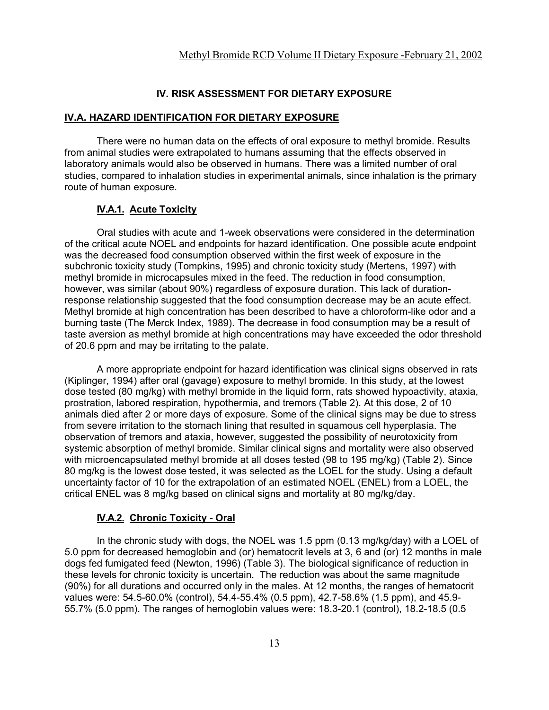## **IV. RISK ASSESSMENT FOR DIETARY EXPOSURE**

#### **IV.A. HAZARD IDENTIFICATION FOR DIETARY EXPOSURE**

There were no human data on the effects of oral exposure to methyl bromide. Results from animal studies were extrapolated to humans assuming that the effects observed in laboratory animals would also be observed in humans. There was a limited number of oral studies, compared to inhalation studies in experimental animals, since inhalation is the primary route of human exposure.

## **IV.A.1. Acute Toxicity**

Oral studies with acute and 1-week observations were considered in the determination of the critical acute NOEL and endpoints for hazard identification. One possible acute endpoint was the decreased food consumption observed within the first week of exposure in the subchronic toxicity study (Tompkins, 1995) and chronic toxicity study (Mertens, 1997) with methyl bromide in microcapsules mixed in the feed. The reduction in food consumption, however, was similar (about 90%) regardless of exposure duration. This lack of durationresponse relationship suggested that the food consumption decrease may be an acute effect. Methyl bromide at high concentration has been described to have a chloroform-like odor and a burning taste (The Merck Index, 1989). The decrease in food consumption may be a result of taste aversion as methyl bromide at high concentrations may have exceeded the odor threshold of 20.6 ppm and may be irritating to the palate.

A more appropriate endpoint for hazard identification was clinical signs observed in rats (Kiplinger, 1994) after oral (gavage) exposure to methyl bromide. In this study, at the lowest dose tested (80 mg/kg) with methyl bromide in the liquid form, rats showed hypoactivity, ataxia, prostration, labored respiration, hypothermia, and tremors (Table 2). At this dose, 2 of 10 animals died after 2 or more days of exposure. Some of the clinical signs may be due to stress from severe irritation to the stomach lining that resulted in squamous cell hyperplasia. The observation of tremors and ataxia, however, suggested the possibility of neurotoxicity from systemic absorption of methyl bromide. Similar clinical signs and mortality were also observed with microencapsulated methyl bromide at all doses tested (98 to 195 mg/kg) (Table 2). Since 80 mg/kg is the lowest dose tested, it was selected as the LOEL for the study. Using a default uncertainty factor of 10 for the extrapolation of an estimated NOEL (ENEL) from a LOEL, the critical ENEL was 8 mg/kg based on clinical signs and mortality at 80 mg/kg/day.

## **IV.A.2. Chronic Toxicity - Oral**

In the chronic study with dogs, the NOEL was 1.5 ppm (0.13 mg/kg/day) with a LOEL of 5.0 ppm for decreased hemoglobin and (or) hematocrit levels at 3, 6 and (or) 12 months in male dogs fed fumigated feed (Newton, 1996) (Table 3). The biological significance of reduction in these levels for chronic toxicity is uncertain. The reduction was about the same magnitude (90%) for all durations and occurred only in the males. At 12 months, the ranges of hematocrit values were: 54.5-60.0% (control), 54.4-55.4% (0.5 ppm), 42.7-58.6% (1.5 ppm), and 45.9- 55.7% (5.0 ppm). The ranges of hemoglobin values were: 18.3-20.1 (control), 18.2-18.5 (0.5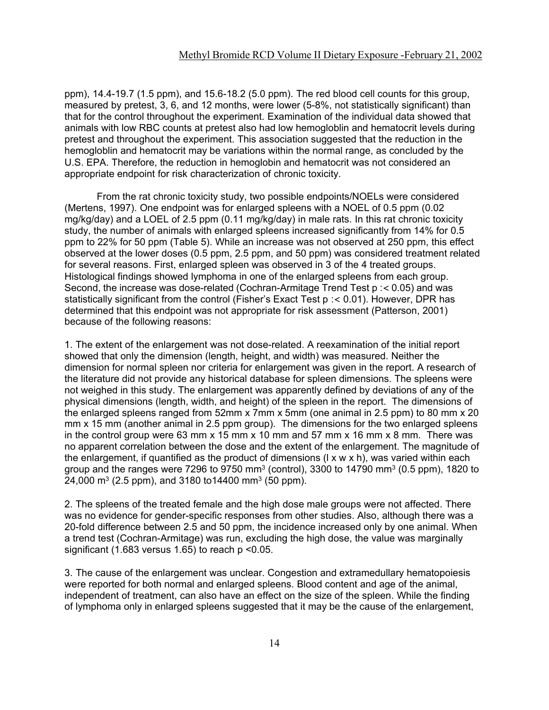ppm), 14.4-19.7 (1.5 ppm), and 15.6-18.2 (5.0 ppm). The red blood cell counts for this group, measured by pretest, 3, 6, and 12 months, were lower (5-8%, not statistically significant) than that for the control throughout the experiment. Examination of the individual data showed that animals with low RBC counts at pretest also had low hemogloblin and hematocrit levels during pretest and throughout the experiment. This association suggested that the reduction in the hemogloblin and hematocrit may be variations within the normal range, as concluded by the U.S. EPA. Therefore, the reduction in hemoglobin and hematocrit was not considered an appropriate endpoint for risk characterization of chronic toxicity.

From the rat chronic toxicity study, two possible endpoints/NOELs were considered (Mertens, 1997). One endpoint was for enlarged spleens with a NOEL of 0.5 ppm (0.02 mg/kg/day) and a LOEL of 2.5 ppm (0.11 mg/kg/day) in male rats. In this rat chronic toxicity study, the number of animals with enlarged spleens increased significantly from 14% for 0.5 ppm to 22% for 50 ppm (Table 5). While an increase was not observed at 250 ppm, this effect observed at the lower doses (0.5 ppm, 2.5 ppm, and 50 ppm) was considered treatment related for several reasons. First, enlarged spleen was observed in 3 of the 4 treated groups. Histological findings showed lymphoma in one of the enlarged spleens from each group. Second, the increase was dose-related (Cochran-Armitage Trend Test p :< 0.05) and was statistically significant from the control (Fisher's Exact Test p :< 0.01). However, DPR has determined that this endpoint was not appropriate for risk assessment (Patterson, 2001) because of the following reasons:

1. The extent of the enlargement was not dose-related. A reexamination of the initial report showed that only the dimension (length, height, and width) was measured. Neither the dimension for normal spleen nor criteria for enlargement was given in the report. A research of the literature did not provide any historical database for spleen dimensions. The spleens were not weighed in this study. The enlargement was apparently defined by deviations of any of the physical dimensions (length, width, and height) of the spleen in the report. The dimensions of the enlarged spleens ranged from 52mm x 7mm x 5mm (one animal in 2.5 ppm) to 80 mm x 20 mm x 15 mm (another animal in 2.5 ppm group). The dimensions for the two enlarged spleens in the control group were 63 mm  $x$  15 mm  $x$  10 mm and 57 mm  $x$  16 mm  $x$  8 mm. There was no apparent correlation between the dose and the extent of the enlargement. The magnitude of the enlargement, if quantified as the product of dimensions (l x w x h), was varied within each group and the ranges were 7296 to 9750 mm<sup>3</sup> (control), 3300 to 14790 mm<sup>3</sup> (0.5 ppm), 1820 to 24,000 m<sup>3</sup> (2.5 ppm), and 3180 to 14400 mm<sup>3</sup> (50 ppm).

2. The spleens of the treated female and the high dose male groups were not affected. There was no evidence for gender-specific responses from other studies. Also, although there was a 20-fold difference between 2.5 and 50 ppm, the incidence increased only by one animal. When a trend test (Cochran-Armitage) was run, excluding the high dose, the value was marginally significant (1.683 versus 1.65) to reach p <0.05.

3. The cause of the enlargement was unclear. Congestion and extramedullary hematopoiesis were reported for both normal and enlarged spleens. Blood content and age of the animal, independent of treatment, can also have an effect on the size of the spleen. While the finding of lymphoma only in enlarged spleens suggested that it may be the cause of the enlargement,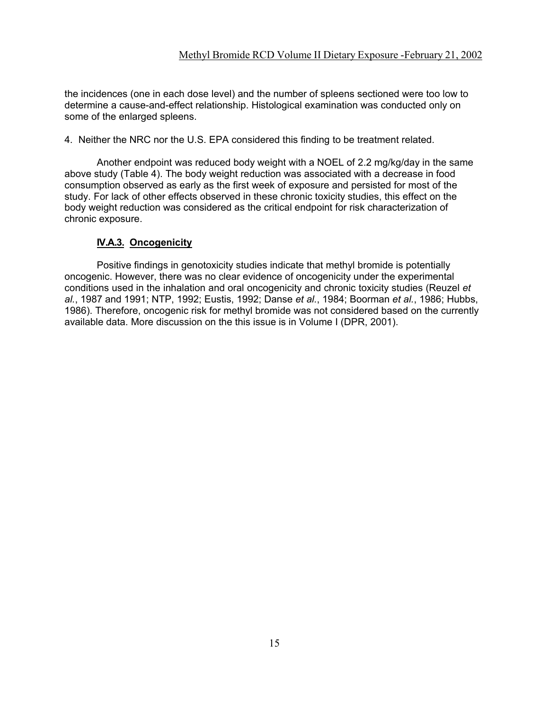the incidences (one in each dose level) and the number of spleens sectioned were too low to determine a cause-and-effect relationship. Histological examination was conducted only on some of the enlarged spleens.

4. Neither the NRC nor the U.S. EPA considered this finding to be treatment related.

Another endpoint was reduced body weight with a NOEL of 2.2 mg/kg/day in the same above study (Table 4). The body weight reduction was associated with a decrease in food consumption observed as early as the first week of exposure and persisted for most of the study. For lack of other effects observed in these chronic toxicity studies, this effect on the body weight reduction was considered as the critical endpoint for risk characterization of chronic exposure.

# **IV.A.3. Oncogenicity**

Positive findings in genotoxicity studies indicate that methyl bromide is potentially oncogenic. However, there was no clear evidence of oncogenicity under the experimental conditions used in the inhalation and oral oncogenicity and chronic toxicity studies (Reuzel *et al.*, 1987 and 1991; NTP, 1992; Eustis, 1992; Danse *et al.*, 1984; Boorman *et al.*, 1986; Hubbs, 1986). Therefore, oncogenic risk for methyl bromide was not considered based on the currently available data. More discussion on the this issue is in Volume I (DPR, 2001).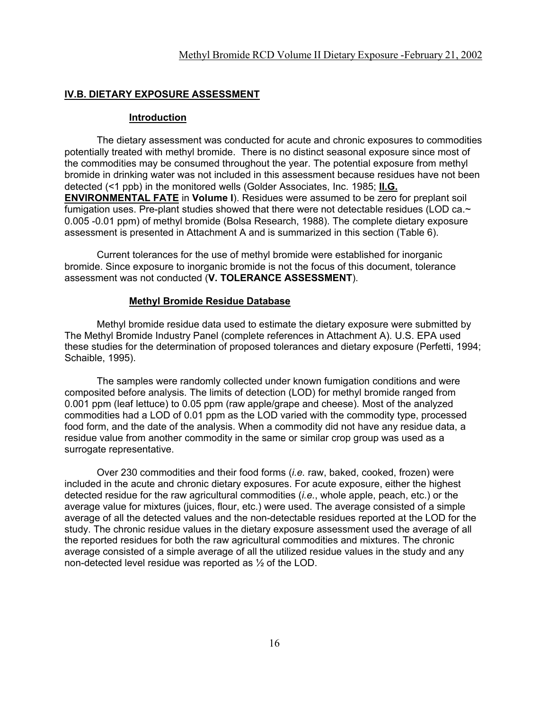## **IV.B. DIETARY EXPOSURE ASSESSMENT**

#### **Introduction**

The dietary assessment was conducted for acute and chronic exposures to commodities potentially treated with methyl bromide. There is no distinct seasonal exposure since most of the commodities may be consumed throughout the year. The potential exposure from methyl bromide in drinking water was not included in this assessment because residues have not been detected (<1 ppb) in the monitored wells (Golder Associates, Inc. 1985; **II.G. ENVIRONMENTAL FATE** in **Volume I**). Residues were assumed to be zero for preplant soil fumigation uses. Pre-plant studies showed that there were not detectable residues (LOD ca.~ 0.005 -0.01 ppm) of methyl bromide (Bolsa Research, 1988). The complete dietary exposure assessment is presented in Attachment A and is summarized in this section (Table 6).

Current tolerances for the use of methyl bromide were established for inorganic bromide. Since exposure to inorganic bromide is not the focus of this document, tolerance assessment was not conducted (**V. TOLERANCE ASSESSMENT**).

#### **Methyl Bromide Residue Database**

Methyl bromide residue data used to estimate the dietary exposure were submitted by The Methyl Bromide Industry Panel (complete references in Attachment A). U.S. EPA used these studies for the determination of proposed tolerances and dietary exposure (Perfetti, 1994; Schaible, 1995).

The samples were randomly collected under known fumigation conditions and were composited before analysis. The limits of detection (LOD) for methyl bromide ranged from 0.001 ppm (leaf lettuce) to 0.05 ppm (raw apple/grape and cheese). Most of the analyzed commodities had a LOD of 0.01 ppm as the LOD varied with the commodity type, processed food form, and the date of the analysis. When a commodity did not have any residue data, a residue value from another commodity in the same or similar crop group was used as a surrogate representative.

Over 230 commodities and their food forms (*i.e.* raw, baked, cooked, frozen) were included in the acute and chronic dietary exposures. For acute exposure, either the highest detected residue for the raw agricultural commodities (*i.e.*, whole apple, peach, etc.) or the average value for mixtures (juices, flour, etc.) were used. The average consisted of a simple average of all the detected values and the non-detectable residues reported at the LOD for the study. The chronic residue values in the dietary exposure assessment used the average of all the reported residues for both the raw agricultural commodities and mixtures. The chronic average consisted of a simple average of all the utilized residue values in the study and any non-detected level residue was reported as ½ of the LOD.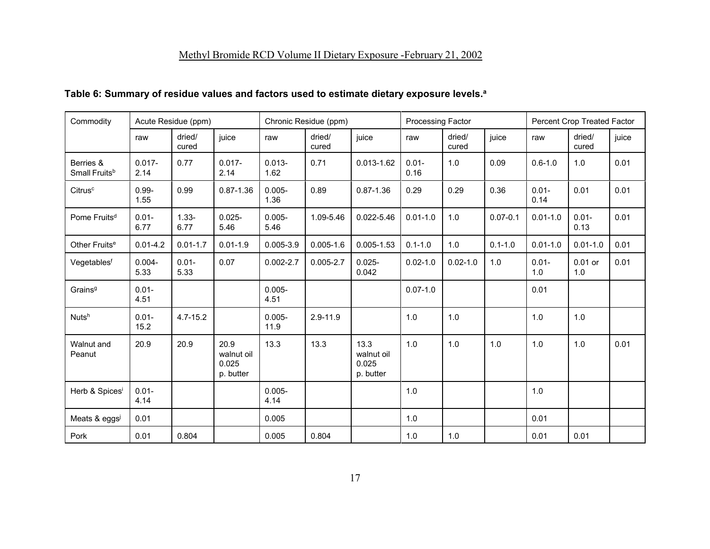# Methyl Bromide RCD Volume II Dietary Exposure -February 21, 2002

# **Table 6: Summary of residue values and factors used to estimate dietary exposure levels.<sup>a</sup>**

| Commodity                              |                   | Acute Residue (ppm) |                                          |                   | Chronic Residue (ppm) |                                          | Processing Factor |                 |              |                  | Percent Crop Treated Factor |       |
|----------------------------------------|-------------------|---------------------|------------------------------------------|-------------------|-----------------------|------------------------------------------|-------------------|-----------------|--------------|------------------|-----------------------------|-------|
|                                        | raw               | dried/<br>cured     | juice                                    | raw               | dried/<br>cured       | juice                                    | raw               | dried/<br>cured | juice        | raw              | dried/<br>cured             | juice |
| Berries &<br>Small Fruits <sup>b</sup> | $0.017 -$<br>2.14 | 0.77                | $0.017 -$<br>2.14                        | $0.013 -$<br>1.62 | 0.71                  | $0.013 - 1.62$                           | $0.01 -$<br>0.16  | 1.0             | 0.09         | $0.6 - 1.0$      | 1.0                         | 0.01  |
| Citrus <sup>c</sup>                    | $0.99 -$<br>1.55  | 0.99                | $0.87 - 1.36$                            | $0.005 -$<br>1.36 | 0.89                  | $0.87 - 1.36$                            | 0.29              | 0.29            | 0.36         | $0.01 -$<br>0.14 | 0.01                        | 0.01  |
| Pome Fruits <sup>d</sup>               | $0.01 -$<br>6.77  | $1.33 -$<br>6.77    | $0.025 -$<br>5.46                        | $0.005 -$<br>5.46 | 1.09-5.46             | $0.022 - 5.46$                           | $0.01 - 1.0$      | 1.0             | $0.07 - 0.1$ | $0.01 - 1.0$     | $0.01 -$<br>0.13            | 0.01  |
| Other Fruits <sup>e</sup>              | $0.01 - 4.2$      | $0.01 - 1.7$        | $0.01 - 1.9$                             | $0.005 - 3.9$     | $0.005 - 1.6$         | $0.005 - 1.53$                           | $0.1 - 1.0$       | 1.0             | $0.1 - 1.0$  | $0.01 - 1.0$     | $0.01 - 1.0$                | 0.01  |
| Vegetablesf                            | $0.004 -$<br>5.33 | $0.01 -$<br>5.33    | 0.07                                     | $0.002 - 2.7$     | $0.005 - 2.7$         | $0.025 -$<br>0.042                       | $0.02 - 1.0$      | $0.02 - 1.0$    | 1.0          | $0.01 -$<br>1.0  | $0.01$ or<br>1.0            | 0.01  |
| Grains <sup>g</sup>                    | $0.01 -$<br>4.51  |                     |                                          | $0.005 -$<br>4.51 |                       |                                          | $0.07 - 1.0$      |                 |              | 0.01             |                             |       |
| Nuts <sup>h</sup>                      | $0.01 -$<br>15.2  | $4.7 - 15.2$        |                                          | $0.005 -$<br>11.9 | $2.9 - 11.9$          |                                          | 1.0               | 1.0             |              | 1.0              | 1.0                         |       |
| Walnut and<br>Peanut                   | 20.9              | 20.9                | 20.9<br>walnut oil<br>0.025<br>p. butter | 13.3              | 13.3                  | 13.3<br>walnut oil<br>0.025<br>p. butter | 1.0               | 1.0             | 1.0          | 1.0              | 1.0                         | 0.01  |
| Herb & Spices <sup>i</sup>             | $0.01 -$<br>4.14  |                     |                                          | $0.005 -$<br>4.14 |                       |                                          | 1.0               |                 |              | 1.0              |                             |       |
| Meats & eggsi                          | 0.01              |                     |                                          | 0.005             |                       |                                          | 1.0               |                 |              | 0.01             |                             |       |
| Pork                                   | 0.01              | 0.804               |                                          | 0.005             | 0.804                 |                                          | 1.0               | 1.0             |              | 0.01             | 0.01                        |       |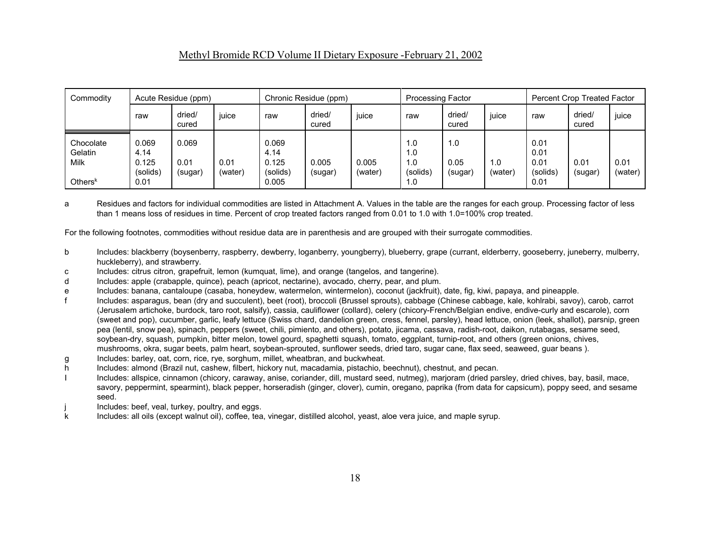# Methyl Bromide RCD Volume II Dietary Exposure -February 21, 2002

| Commodity                                  | Acute Residue (ppm)                        |                          |                 | Chronic Residue (ppm)                       |                  |                  | <b>Processing Factor</b>             |                        |                | Percent Crop Treated Factor              |                 |                 |
|--------------------------------------------|--------------------------------------------|--------------------------|-----------------|---------------------------------------------|------------------|------------------|--------------------------------------|------------------------|----------------|------------------------------------------|-----------------|-----------------|
|                                            | raw                                        | dried/<br>cured          | juice           | raw                                         | dried/<br>cured  | juice            | raw                                  | dried/<br>cured        | juice          | raw                                      | dried/<br>cured | juice           |
| Chocolate<br>Gelatin<br>Milk<br>Others $k$ | 0.069<br>4.14<br>0.125<br>(solids)<br>0.01 | 0.069<br>0.01<br>(sugar) | 0.01<br>(water) | 0.069<br>4.14<br>0.125<br>(solids)<br>0.005 | 0.005<br>(sugar) | 0.005<br>(water) | 1.0<br>1.0<br>1.0<br>(solids)<br>1.0 | 1.0<br>0.05<br>(sugar) | 1.0<br>(water) | 0.01<br>0.01<br>0.01<br>(solids)<br>0.01 | 0.01<br>(sugar) | 0.01<br>(water) |

a Residues and factors for individual commodities are listed in Attachment A. Values in the table are the ranges for each group. Processing factor of less than 1 means loss of residues in time. Percent of crop treated factors ranged from 0.01 to 1.0 with 1.0=100% crop treated.

For the following footnotes, commodities without residue data are in parenthesis and are grouped with their surrogate commodities.

- b Includes: blackberry (boysenberry, raspberry, dewberry, loganberry, youngberry), blueberry, grape (currant, elderberry, gooseberry, juneberry, mulberry, huckleberry), and strawberry.
- c Includes: citrus citron, grapefruit, lemon (kumquat, lime), and orange (tangelos, and tangerine).
- Includes: apple (crabapple, quince), peach (apricot, nectarine), avocado, cherry, pear, and plum.
- e Includes: banana, cantaloupe (casaba, honeydew, watermelon, wintermelon), coconut (jackfruit), date, fig, kiwi, papaya, and pineapple.
- f Includes: asparagus, bean (dry and succulent), beet (root), broccoli (Brussel sprouts), cabbage (Chinese cabbage, kale, kohlrabi, savoy), carob, carrot (Jerusalem artichoke, burdock, taro root, salsify), cassia, cauliflower (collard), celery (chicory-French/Belgian endive, endive-curly and escarole), corn (sweet and pop), cucumber, garlic, leafy lettuce (Swiss chard, dandelion green, cress, fennel, parsley), head lettuce, onion (leek, shallot), parsnip, green pea (lentil, snow pea), spinach, peppers (sweet, chili, pimiento, and others), potato, jicama, cassava, radish-root, daikon, rutabagas, sesame seed, soybean-dry, squash, pumpkin, bitter melon, towel gourd, spaghetti squash, tomato, eggplant, turnip-root, and others (green onions, chives, mushrooms, okra, sugar beets, palm heart, soybean-sprouted, sunflower seeds, dried taro, sugar cane, flax seed, seaweed, guar beans ).
- g Includes: barley, oat, corn, rice, rye, sorghum, millet, wheatbran, and buckwheat.
- h Includes: almond (Brazil nut, cashew, filbert, hickory nut, macadamia, pistachio, beechnut), chestnut, and pecan.
- I Includes: allspice, cinnamon (chicory, caraway, anise, coriander, dill, mustard seed, nutmeg), marjoram (dried parsley, dried chives, bay, basil, mace, savory, peppermint, spearmint), black pepper, horseradish (ginger, clover), cumin, oregano, paprika (from data for capsicum), poppy seed, and sesame seed.
- Includes: beef, veal, turkey, poultry, and eggs.
- k Includes: all oils (except walnut oil), coffee, tea, vinegar, distilled alcohol, yeast, aloe vera juice, and maple syrup.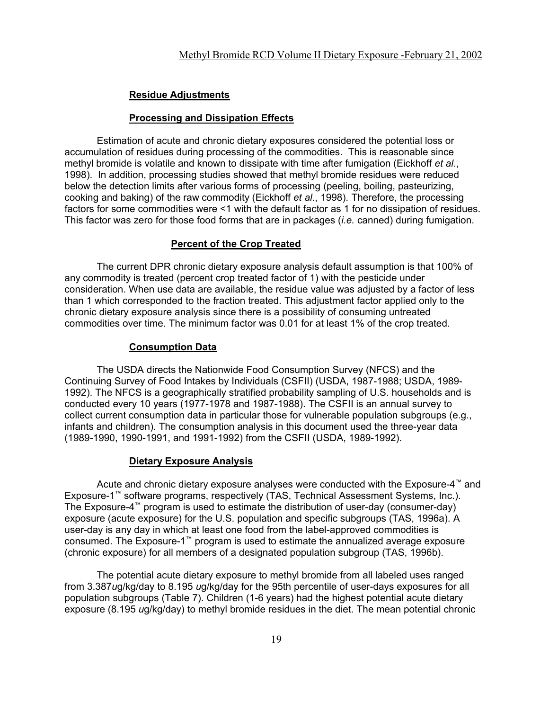# **Residue Adjustments**

#### **Processing and Dissipation Effects**

Estimation of acute and chronic dietary exposures considered the potential loss or accumulation of residues during processing of the commodities. This is reasonable since methyl bromide is volatile and known to dissipate with time after fumigation (Eickhoff *et al*., 1998). In addition, processing studies showed that methyl bromide residues were reduced below the detection limits after various forms of processing (peeling, boiling, pasteurizing, cooking and baking) of the raw commodity (Eickhoff *et al*., 1998). Therefore, the processing factors for some commodities were <1 with the default factor as 1 for no dissipation of residues. This factor was zero for those food forms that are in packages (*i.e.* canned) during fumigation.

## **Percent of the Crop Treated**

The current DPR chronic dietary exposure analysis default assumption is that 100% of any commodity is treated (percent crop treated factor of 1) with the pesticide under consideration. When use data are available, the residue value was adjusted by a factor of less than 1 which corresponded to the fraction treated. This adjustment factor applied only to the chronic dietary exposure analysis since there is a possibility of consuming untreated commodities over time. The minimum factor was 0.01 for at least 1% of the crop treated.

## **Consumption Data**

The USDA directs the Nationwide Food Consumption Survey (NFCS) and the Continuing Survey of Food Intakes by Individuals (CSFII) (USDA, 1987-1988; USDA, 1989- 1992). The NFCS is a geographically stratified probability sampling of U.S. households and is conducted every 10 years (1977-1978 and 1987-1988). The CSFII is an annual survey to collect current consumption data in particular those for vulnerable population subgroups (e.g., infants and children). The consumption analysis in this document used the three-year data (1989-1990, 1990-1991, and 1991-1992) from the CSFII (USDA, 1989-1992).

## **Dietary Exposure Analysis**

Acute and chronic dietary exposure analyses were conducted with the Exposure-4™ and Exposure-1™ software programs, respectively (TAS, Technical Assessment Systems, Inc.). The Exposure-4™ program is used to estimate the distribution of user-day (consumer-day) exposure (acute exposure) for the U.S. population and specific subgroups (TAS, 1996a). A user-day is any day in which at least one food from the label-approved commodities is consumed. The Exposure-1™ program is used to estimate the annualized average exposure (chronic exposure) for all members of a designated population subgroup (TAS, 1996b).

The potential acute dietary exposure to methyl bromide from all labeled uses ranged from 3.387*u*g/kg/day to 8.195 *u*g/kg/day for the 95th percentile of user-days exposures for all population subgroups (Table 7). Children (1-6 years) had the highest potential acute dietary exposure (8.195 *u*g/kg/day) to methyl bromide residues in the diet. The mean potential chronic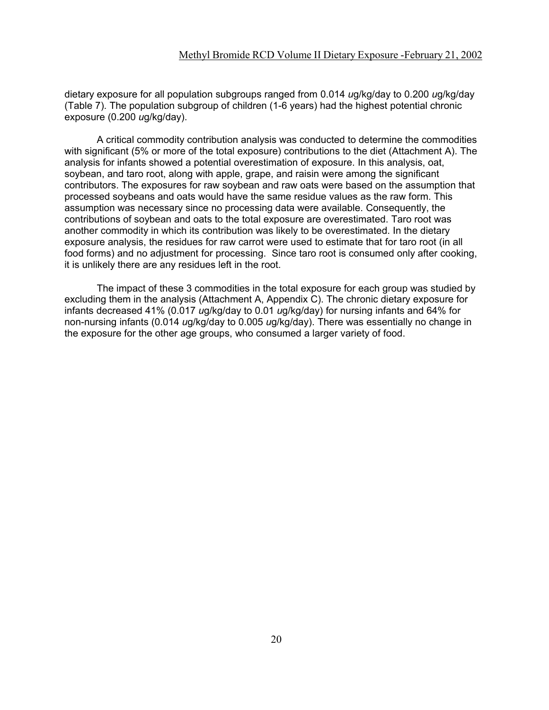dietary exposure for all population subgroups ranged from 0.014 *u*g/kg/day to 0.200 *u*g/kg/day (Table 7). The population subgroup of children (1-6 years) had the highest potential chronic exposure (0.200 *u*g/kg/day).

A critical commodity contribution analysis was conducted to determine the commodities with significant (5% or more of the total exposure) contributions to the diet (Attachment A). The analysis for infants showed a potential overestimation of exposure. In this analysis, oat, soybean, and taro root, along with apple, grape, and raisin were among the significant contributors. The exposures for raw soybean and raw oats were based on the assumption that processed soybeans and oats would have the same residue values as the raw form. This assumption was necessary since no processing data were available. Consequently, the contributions of soybean and oats to the total exposure are overestimated. Taro root was another commodity in which its contribution was likely to be overestimated. In the dietary exposure analysis, the residues for raw carrot were used to estimate that for taro root (in all food forms) and no adjustment for processing. Since taro root is consumed only after cooking, it is unlikely there are any residues left in the root.

The impact of these 3 commodities in the total exposure for each group was studied by excluding them in the analysis (Attachment A, Appendix C). The chronic dietary exposure for infants decreased 41% (0.017 *u*g/kg/day to 0.01 *u*g/kg/day) for nursing infants and 64% for non-nursing infants (0.014 *u*g/kg/day to 0.005 *u*g/kg/day). There was essentially no change in the exposure for the other age groups, who consumed a larger variety of food.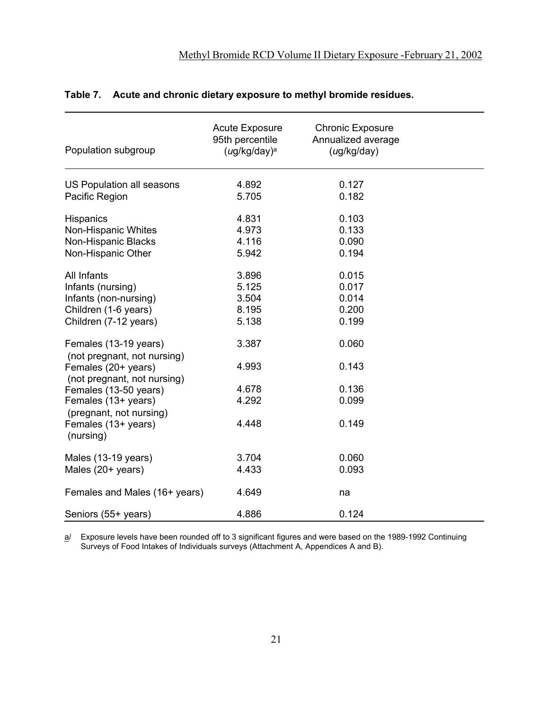| Population subgroup                                  | <b>Acute Exposure</b><br>95th percentile<br>$(ug/kg/day)^a$ | <b>Chronic Exposure</b><br>Annualized average<br>(ug/kg/day) |  |
|------------------------------------------------------|-------------------------------------------------------------|--------------------------------------------------------------|--|
| US Population all seasons                            | 4.892                                                       | 0.127                                                        |  |
| Pacific Region                                       | 5.705                                                       | 0.182                                                        |  |
| <b>Hispanics</b>                                     | 4.831                                                       | 0.103                                                        |  |
| Non-Hispanic Whites                                  | 4.973                                                       | 0.133                                                        |  |
| Non-Hispanic Blacks                                  | 4.116                                                       | 0.090                                                        |  |
| Non-Hispanic Other                                   | 5.942                                                       | 0.194                                                        |  |
| All Infants                                          | 3.896                                                       | 0.015                                                        |  |
| Infants (nursing)                                    | 5.125                                                       | 0.017                                                        |  |
| Infants (non-nursing)                                | 3.504                                                       | 0.014                                                        |  |
| Children (1-6 years)                                 | 8.195                                                       | 0.200                                                        |  |
| Children (7-12 years)                                | 5.138                                                       | 0.199                                                        |  |
| Females (13-19 years)<br>(not pregnant, not nursing) | 3.387                                                       | 0.060                                                        |  |
| Females (20+ years)<br>(not pregnant, not nursing)   | 4.993                                                       | 0.143                                                        |  |
| Females (13-50 years)                                | 4.678                                                       | 0.136                                                        |  |
| Females (13+ years)                                  | 4.292                                                       | 0.099                                                        |  |
| (pregnant, not nursing)                              |                                                             |                                                              |  |
| Females (13+ years)<br>(nursing)                     | 4.448                                                       | 0.149                                                        |  |
| Males (13-19 years)                                  | 3.704                                                       | 0.060                                                        |  |
| Males (20+ years)                                    | 4.433                                                       | 0.093                                                        |  |
|                                                      |                                                             |                                                              |  |
| Females and Males (16+ years)                        | 4.649                                                       | na                                                           |  |
| Seniors (55+ years)                                  | 4.886                                                       | 0.124                                                        |  |

# **Table 7. Acute and chronic dietary exposure to methyl bromide residues.**

a/ Exposure levels have been rounded off to 3 significant figures and were based on the 1989-1992 Continuing Surveys of Food Intakes of Individuals surveys (Attachment A, Appendices A and B).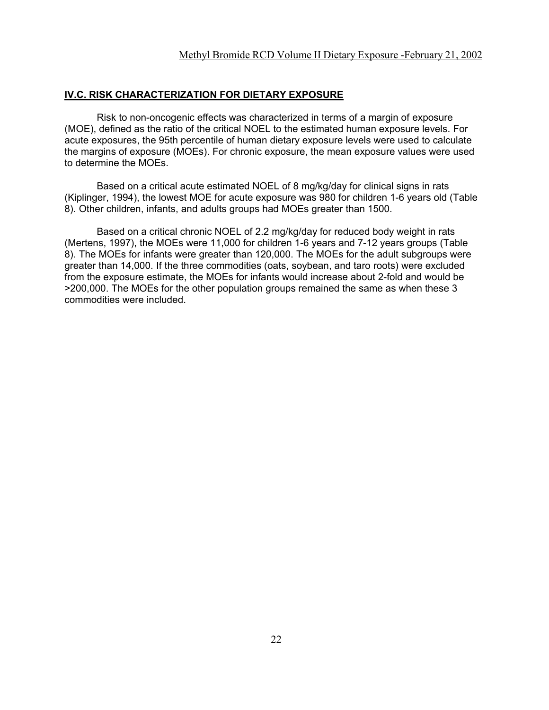#### **IV.C. RISK CHARACTERIZATION FOR DIETARY EXPOSURE**

Risk to non-oncogenic effects was characterized in terms of a margin of exposure (MOE), defined as the ratio of the critical NOEL to the estimated human exposure levels. For acute exposures, the 95th percentile of human dietary exposure levels were used to calculate the margins of exposure (MOEs). For chronic exposure, the mean exposure values were used to determine the MOEs.

Based on a critical acute estimated NOEL of 8 mg/kg/day for clinical signs in rats (Kiplinger, 1994), the lowest MOE for acute exposure was 980 for children 1-6 years old (Table 8). Other children, infants, and adults groups had MOEs greater than 1500.

Based on a critical chronic NOEL of 2.2 mg/kg/day for reduced body weight in rats (Mertens, 1997), the MOEs were 11,000 for children 1-6 years and 7-12 years groups (Table 8). The MOEs for infants were greater than 120,000. The MOEs for the adult subgroups were greater than 14,000. If the three commodities (oats, soybean, and taro roots) were excluded from the exposure estimate, the MOEs for infants would increase about 2-fold and would be >200,000. The MOEs for the other population groups remained the same as when these 3 commodities were included.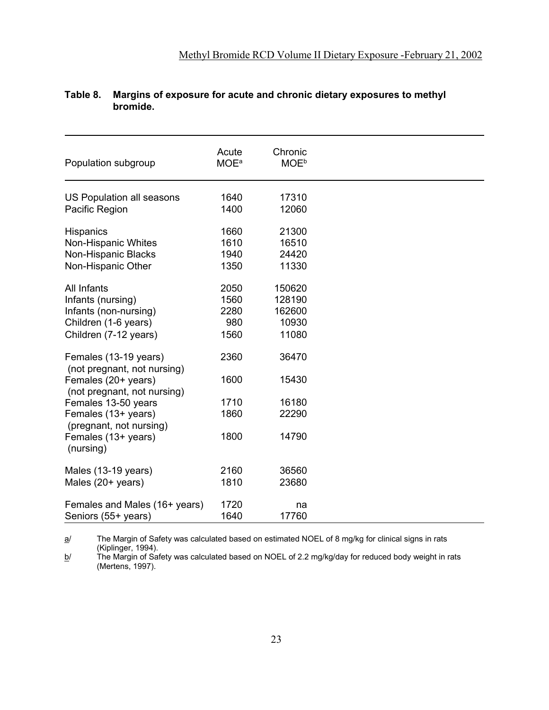| Population subgroup                         | Acute<br><b>MOE</b> <sup>a</sup> | Chronic<br><b>MOE</b> <sup>b</sup> |
|---------------------------------------------|----------------------------------|------------------------------------|
| US Population all seasons<br>Pacific Region | 1640<br>1400                     | 17310<br>12060                     |
|                                             |                                  |                                    |
| Hispanics                                   | 1660                             | 21300                              |
| Non-Hispanic Whites                         | 1610                             | 16510                              |
| Non-Hispanic Blacks                         | 1940                             | 24420                              |
| Non-Hispanic Other                          | 1350                             | 11330                              |
|                                             |                                  |                                    |
| All Infants                                 | 2050                             | 150620                             |
| Infants (nursing)                           | 1560                             | 128190                             |
| Infants (non-nursing)                       | 2280                             | 162600                             |
| Children (1-6 years)                        | 980                              | 10930                              |
| Children (7-12 years)                       | 1560                             | 11080                              |
|                                             |                                  |                                    |
| Females (13-19 years)                       | 2360                             | 36470                              |
| (not pregnant, not nursing)                 |                                  |                                    |
| Females (20+ years)                         | 1600                             | 15430                              |
| (not pregnant, not nursing)                 | 1710                             | 16180                              |
| Females 13-50 years<br>Females (13+ years)  | 1860                             | 22290                              |
| (pregnant, not nursing)                     |                                  |                                    |
| Females (13+ years)                         | 1800                             | 14790                              |
| (nursing)                                   |                                  |                                    |
|                                             |                                  |                                    |
| Males (13-19 years)                         | 2160                             | 36560                              |
| Males $(20+)$ years)                        | 1810                             | 23680                              |
|                                             |                                  |                                    |
| Females and Males (16+ years)               | 1720                             | na                                 |
| Seniors (55+ years)                         | 1640                             | 17760                              |

# **Table 8. Margins of exposure for acute and chronic dietary exposures to methyl bromide.**

a/ The Margin of Safety was calculated based on estimated NOEL of 8 mg/kg for clinical signs in rats (Kiplinger, 1994).

b/ The Margin of Safety was calculated based on NOEL of 2.2 mg/kg/day for reduced body weight in rats (Mertens, 1997).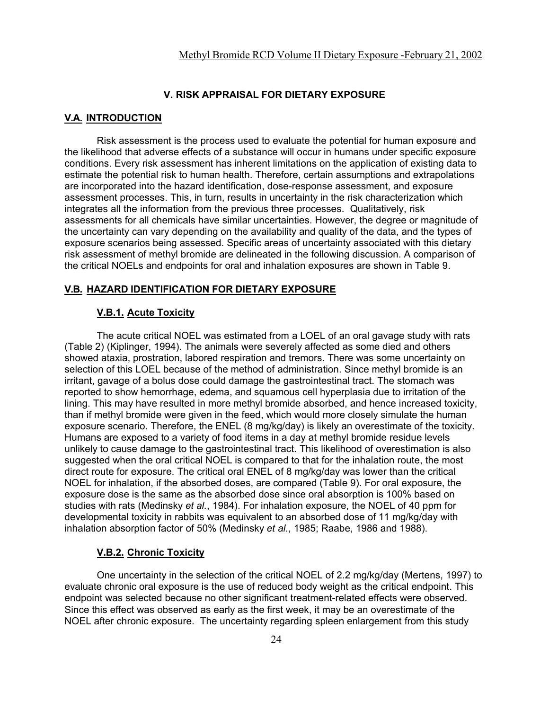### **V. RISK APPRAISAL FOR DIETARY EXPOSURE**

#### **V.A. INTRODUCTION**

Risk assessment is the process used to evaluate the potential for human exposure and the likelihood that adverse effects of a substance will occur in humans under specific exposure conditions. Every risk assessment has inherent limitations on the application of existing data to estimate the potential risk to human health. Therefore, certain assumptions and extrapolations are incorporated into the hazard identification, dose-response assessment, and exposure assessment processes. This, in turn, results in uncertainty in the risk characterization which integrates all the information from the previous three processes. Qualitatively, risk assessments for all chemicals have similar uncertainties. However, the degree or magnitude of the uncertainty can vary depending on the availability and quality of the data, and the types of exposure scenarios being assessed. Specific areas of uncertainty associated with this dietary risk assessment of methyl bromide are delineated in the following discussion. A comparison of the critical NOELs and endpoints for oral and inhalation exposures are shown in Table 9.

#### **V.B. HAZARD IDENTIFICATION FOR DIETARY EXPOSURE**

#### **V.B.1. Acute Toxicity**

The acute critical NOEL was estimated from a LOEL of an oral gavage study with rats (Table 2) (Kiplinger, 1994). The animals were severely affected as some died and others showed ataxia, prostration, labored respiration and tremors. There was some uncertainty on selection of this LOEL because of the method of administration. Since methyl bromide is an irritant, gavage of a bolus dose could damage the gastrointestinal tract. The stomach was reported to show hemorrhage, edema, and squamous cell hyperplasia due to irritation of the lining. This may have resulted in more methyl bromide absorbed, and hence increased toxicity, than if methyl bromide were given in the feed, which would more closely simulate the human exposure scenario. Therefore, the ENEL (8 mg/kg/day) is likely an overestimate of the toxicity. Humans are exposed to a variety of food items in a day at methyl bromide residue levels unlikely to cause damage to the gastrointestinal tract. This likelihood of overestimation is also suggested when the oral critical NOEL is compared to that for the inhalation route, the most direct route for exposure. The critical oral ENEL of 8 mg/kg/day was lower than the critical NOEL for inhalation, if the absorbed doses, are compared (Table 9). For oral exposure, the exposure dose is the same as the absorbed dose since oral absorption is 100% based on studies with rats (Medinsky *et al.*, 1984). For inhalation exposure, the NOEL of 40 ppm for developmental toxicity in rabbits was equivalent to an absorbed dose of 11 mg/kg/day with inhalation absorption factor of 50% (Medinsky *et al.*, 1985; Raabe, 1986 and 1988).

#### **V.B.2. Chronic Toxicity**

One uncertainty in the selection of the critical NOEL of 2.2 mg/kg/day (Mertens, 1997) to evaluate chronic oral exposure is the use of reduced body weight as the critical endpoint. This endpoint was selected because no other significant treatment-related effects were observed. Since this effect was observed as early as the first week, it may be an overestimate of the NOEL after chronic exposure. The uncertainty regarding spleen enlargement from this study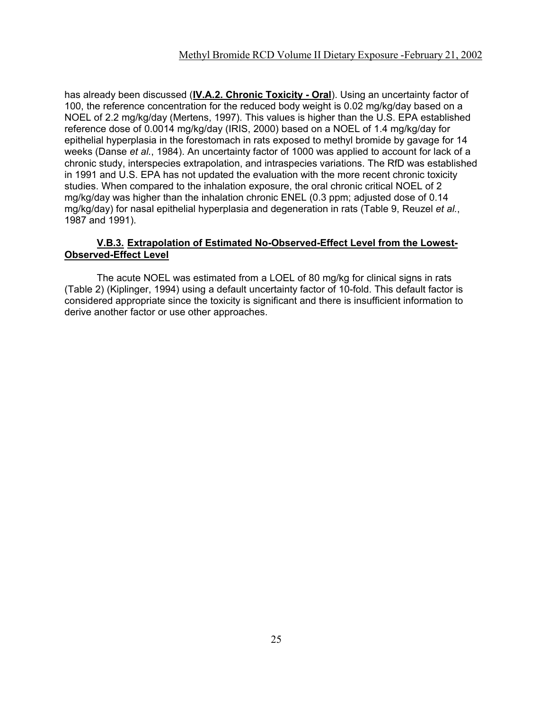has already been discussed (**IV.A.2. Chronic Toxicity - Oral**). Using an uncertainty factor of 100, the reference concentration for the reduced body weight is 0.02 mg/kg/day based on a NOEL of 2.2 mg/kg/day (Mertens, 1997). This values is higher than the U.S. EPA established reference dose of 0.0014 mg/kg/day (IRIS, 2000) based on a NOEL of 1.4 mg/kg/day for epithelial hyperplasia in the forestomach in rats exposed to methyl bromide by gavage for 14 weeks (Danse *et al.*, 1984). An uncertainty factor of 1000 was applied to account for lack of a chronic study, interspecies extrapolation, and intraspecies variations. The RfD was established in 1991 and U.S. EPA has not updated the evaluation with the more recent chronic toxicity studies. When compared to the inhalation exposure, the oral chronic critical NOEL of 2 mg/kg/day was higher than the inhalation chronic ENEL (0.3 ppm; adjusted dose of 0.14 mg/kg/day) for nasal epithelial hyperplasia and degeneration in rats (Table 9, Reuzel *et al.*, 1987 and 1991).

# **V.B.3. Extrapolation of Estimated No-Observed-Effect Level from the Lowest-Observed-Effect Level**

The acute NOEL was estimated from a LOEL of 80 mg/kg for clinical signs in rats (Table 2) (Kiplinger, 1994) using a default uncertainty factor of 10-fold. This default factor is considered appropriate since the toxicity is significant and there is insufficient information to derive another factor or use other approaches.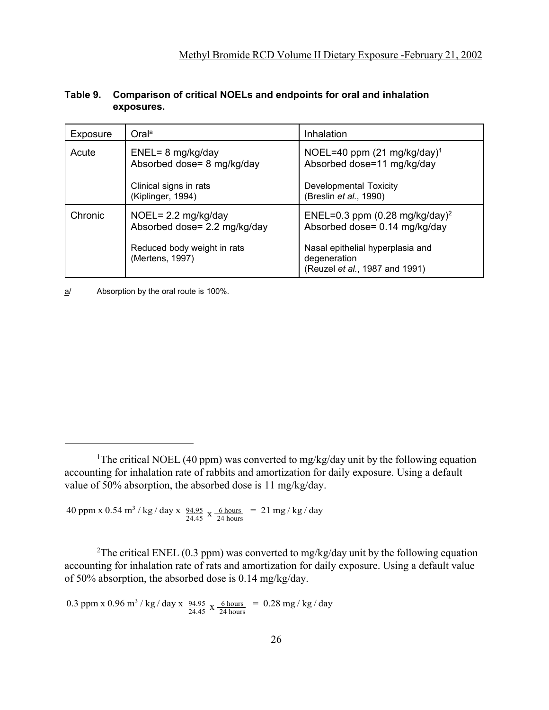| Exposure | Oral <sup>a</sup>                                                                                               | Inhalation                                                                                                                                                        |
|----------|-----------------------------------------------------------------------------------------------------------------|-------------------------------------------------------------------------------------------------------------------------------------------------------------------|
| Acute    | $ENEL=8$ mg/kg/day<br>Absorbed dose= 8 mg/kg/day<br>Clinical signs in rats<br>(Kiplinger, 1994)                 | NOEL=40 ppm $(21 \text{ mg/kg/day})^1$<br>Absorbed dose=11 mg/kg/day<br>Developmental Toxicity<br>(Breslin et al., 1990)                                          |
| Chronic  | NOEL= $2.2 \text{ mg/kg/day}$<br>Absorbed dose= 2.2 mg/kg/day<br>Reduced body weight in rats<br>(Mertens, 1997) | ENEL=0.3 ppm (0.28 mg/kg/day) <sup>2</sup><br>Absorbed dose= 0.14 mg/kg/day<br>Nasal epithelial hyperplasia and<br>degeneration<br>(Reuzel et al., 1987 and 1991) |

# **Table 9. Comparison of critical NOELs and endpoints for oral and inhalation exposures.**

a/ Absorption by the oral route is 100%.

 $40$  ppm x  $0.54$  m<sup>3</sup> / kg / day x  $\frac{94.95}{24.45}$  x  $\frac{6 \text{ hours}}{24 \text{ hours}}$  = 21 mg / kg / day

<sup>2</sup>The critical ENEL (0.3 ppm) was converted to mg/kg/day unit by the following equation accounting for inhalation rate of rats and amortization for daily exposure. Using a default value of 50% absorption, the absorbed dose is 0.14 mg/kg/day.

0.3 ppm x 0.96 m<sup>3</sup> / kg / day x  $\frac{94.95}{24.45}$  x  $\frac{6 \text{ hours}}{24 \text{ hours}}$  = 0.28 mg / kg / day

<sup>&</sup>lt;sup>1</sup>The critical NOEL (40 ppm) was converted to mg/kg/day unit by the following equation accounting for inhalation rate of rabbits and amortization for daily exposure. Using a default value of 50% absorption, the absorbed dose is 11 mg/kg/day.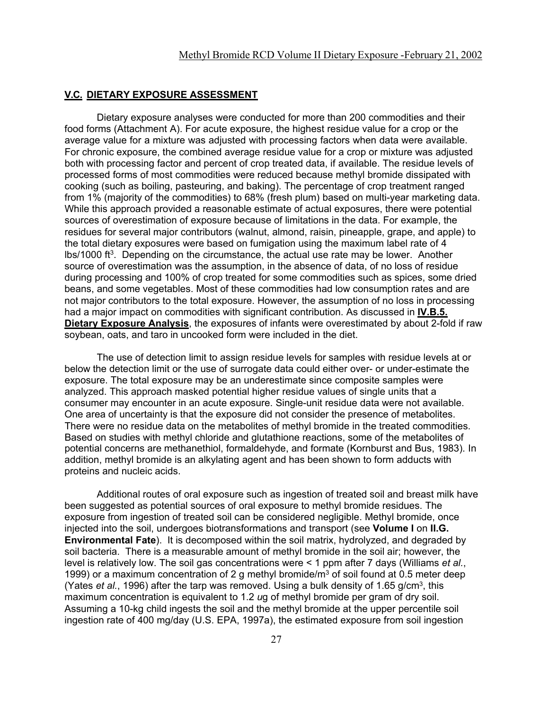#### **V.C. DIETARY EXPOSURE ASSESSMENT**

Dietary exposure analyses were conducted for more than 200 commodities and their food forms (Attachment A). For acute exposure, the highest residue value for a crop or the average value for a mixture was adjusted with processing factors when data were available. For chronic exposure, the combined average residue value for a crop or mixture was adjusted both with processing factor and percent of crop treated data, if available. The residue levels of processed forms of most commodities were reduced because methyl bromide dissipated with cooking (such as boiling, pasteuring, and baking). The percentage of crop treatment ranged from 1% (majority of the commodities) to 68% (fresh plum) based on multi-year marketing data. While this approach provided a reasonable estimate of actual exposures, there were potential sources of overestimation of exposure because of limitations in the data. For example, the residues for several major contributors (walnut, almond, raisin, pineapple, grape, and apple) to the total dietary exposures were based on fumigation using the maximum label rate of 4 lbs/1000 ft3. Depending on the circumstance, the actual use rate may be lower. Another source of overestimation was the assumption, in the absence of data, of no loss of residue during processing and 100% of crop treated for some commodities such as spices, some dried beans, and some vegetables. Most of these commodities had low consumption rates and are not major contributors to the total exposure. However, the assumption of no loss in processing had a major impact on commodities with significant contribution. As discussed in **IV.B.5. Dietary Exposure Analysis**, the exposures of infants were overestimated by about 2-fold if raw soybean, oats, and taro in uncooked form were included in the diet.

The use of detection limit to assign residue levels for samples with residue levels at or below the detection limit or the use of surrogate data could either over- or under-estimate the exposure. The total exposure may be an underestimate since composite samples were analyzed. This approach masked potential higher residue values of single units that a consumer may encounter in an acute exposure. Single-unit residue data were not available. One area of uncertainty is that the exposure did not consider the presence of metabolites. There were no residue data on the metabolites of methyl bromide in the treated commodities. Based on studies with methyl chloride and glutathione reactions, some of the metabolites of potential concerns are methanethiol, formaldehyde, and formate (Kornburst and Bus, 1983). In addition, methyl bromide is an alkylating agent and has been shown to form adducts with proteins and nucleic acids.

Additional routes of oral exposure such as ingestion of treated soil and breast milk have been suggested as potential sources of oral exposure to methyl bromide residues. The exposure from ingestion of treated soil can be considered negligible. Methyl bromide, once injected into the soil, undergoes biotransformations and transport (see **Volume I** on **II.G. Environmental Fate**). It is decomposed within the soil matrix, hydrolyzed, and degraded by soil bacteria. There is a measurable amount of methyl bromide in the soil air; however, the level is relatively low. The soil gas concentrations were < 1 ppm after 7 days (Williams *et al.*, 1999) or a maximum concentration of 2 g methyl bromide/m<sup>3</sup> of soil found at 0.5 meter deep (Yates *et al.*, 1996) after the tarp was removed. Using a bulk density of 1.65 g/cm3, this maximum concentration is equivalent to 1.2 *u*g of methyl bromide per gram of dry soil. Assuming a 10-kg child ingests the soil and the methyl bromide at the upper percentile soil ingestion rate of 400 mg/day (U.S. EPA, 1997a), the estimated exposure from soil ingestion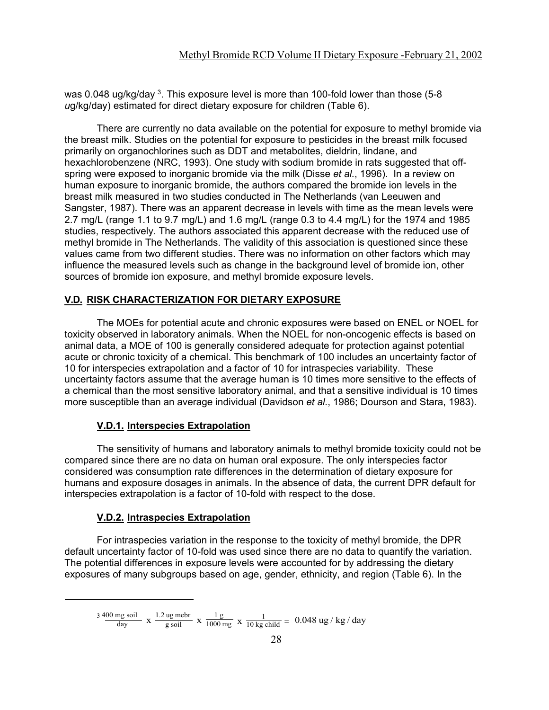was 0.048 ug/kg/day  $^3$ . This exposure level is more than 100-fold lower than those (5-8  $\,$ *u*g/kg/day) estimated for direct dietary exposure for children (Table 6).

There are currently no data available on the potential for exposure to methyl bromide via the breast milk. Studies on the potential for exposure to pesticides in the breast milk focused primarily on organochlorines such as DDT and metabolites, dieldrin, lindane, and hexachlorobenzene (NRC, 1993). One study with sodium bromide in rats suggested that offspring were exposed to inorganic bromide via the milk (Disse *et al.*, 1996). In a review on human exposure to inorganic bromide, the authors compared the bromide ion levels in the breast milk measured in two studies conducted in The Netherlands (van Leeuwen and Sangster, 1987). There was an apparent decrease in levels with time as the mean levels were 2.7 mg/L (range 1.1 to 9.7 mg/L) and 1.6 mg/L (range 0.3 to 4.4 mg/L) for the 1974 and 1985 studies, respectively. The authors associated this apparent decrease with the reduced use of methyl bromide in The Netherlands. The validity of this association is questioned since these values came from two different studies. There was no information on other factors which may influence the measured levels such as change in the background level of bromide ion, other sources of bromide ion exposure, and methyl bromide exposure levels.

# **V.D. RISK CHARACTERIZATION FOR DIETARY EXPOSURE**

The MOEs for potential acute and chronic exposures were based on ENEL or NOEL for toxicity observed in laboratory animals. When the NOEL for non-oncogenic effects is based on animal data, a MOE of 100 is generally considered adequate for protection against potential acute or chronic toxicity of a chemical. This benchmark of 100 includes an uncertainty factor of 10 for interspecies extrapolation and a factor of 10 for intraspecies variability. These uncertainty factors assume that the average human is 10 times more sensitive to the effects of a chemical than the most sensitive laboratory animal, and that a sensitive individual is 10 times more susceptible than an average individual (Davidson *et al.*, 1986; Dourson and Stara, 1983).

## **V.D.1. Interspecies Extrapolation**

The sensitivity of humans and laboratory animals to methyl bromide toxicity could not be compared since there are no data on human oral exposure. The only interspecies factor considered was consumption rate differences in the determination of dietary exposure for humans and exposure dosages in animals. In the absence of data, the current DPR default for interspecies extrapolation is a factor of 10-fold with respect to the dose.

## **V.D.2. Intraspecies Extrapolation**

For intraspecies variation in the response to the toxicity of methyl bromide, the DPR default uncertainty factor of 10-fold was used since there are no data to quantify the variation. The potential differences in exposure levels were accounted for by addressing the dietary exposures of many subgroups based on age, gender, ethnicity, and region (Table 6). In the

<sup>400</sup> mg soil day 1.2 ug mebr g soil 1 g 1000 mg  $\frac{3400 \text{ mg soil}}{\text{day}}$  x  $\frac{1.2 \text{ ug m} \cdot \text{e} \cdot \text{m}}{g \cdot \text{soil}}$  x  $\frac{1 g}{1000 \text{ mg}}$  x  $\frac{1}{10 \text{ kg child}}$  = 0.048 ug / kg / day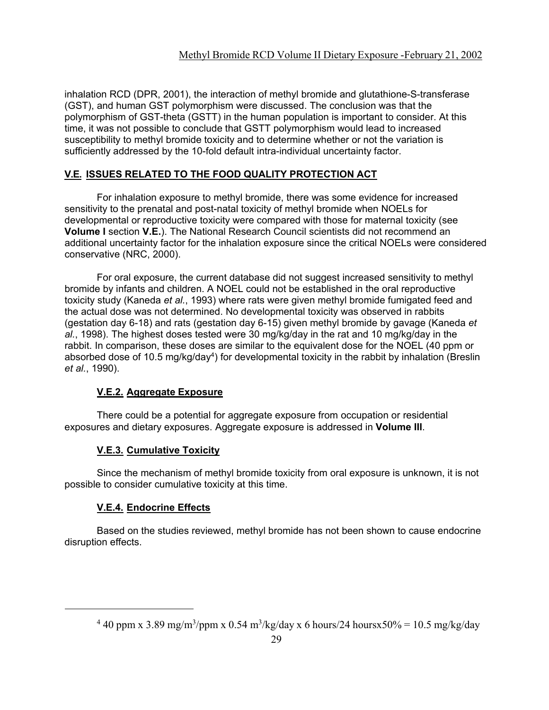inhalation RCD (DPR, 2001), the interaction of methyl bromide and glutathione-S-transferase (GST), and human GST polymorphism were discussed. The conclusion was that the polymorphism of GST-theta (GSTT) in the human population is important to consider. At this time, it was not possible to conclude that GSTT polymorphism would lead to increased susceptibility to methyl bromide toxicity and to determine whether or not the variation is sufficiently addressed by the 10-fold default intra-individual uncertainty factor.

# **V.E. ISSUES RELATED TO THE FOOD QUALITY PROTECTION ACT**

For inhalation exposure to methyl bromide, there was some evidence for increased sensitivity to the prenatal and post-natal toxicity of methyl bromide when NOELs for developmental or reproductive toxicity were compared with those for maternal toxicity (see **Volume I** section **V.E.**). The National Research Council scientists did not recommend an additional uncertainty factor for the inhalation exposure since the critical NOELs were considered conservative (NRC, 2000).

For oral exposure, the current database did not suggest increased sensitivity to methyl bromide by infants and children. A NOEL could not be established in the oral reproductive toxicity study (Kaneda *et al.*, 1993) where rats were given methyl bromide fumigated feed and the actual dose was not determined. No developmental toxicity was observed in rabbits (gestation day 6-18) and rats (gestation day 6-15) given methyl bromide by gavage (Kaneda *et al.*, 1998). The highest doses tested were 30 mg/kg/day in the rat and 10 mg/kg/day in the rabbit. In comparison, these doses are similar to the equivalent dose for the NOEL (40 ppm or absorbed dose of 10.5 mg/kg/day<sup>4</sup>) for developmental toxicity in the rabbit by inhalation (Breslin *et al.*, 1990).

# **V.E.2. Aggregate Exposure**

There could be a potential for aggregate exposure from occupation or residential exposures and dietary exposures. Aggregate exposure is addressed in **Volume III**.

# **V.E.3. Cumulative Toxicity**

Since the mechanism of methyl bromide toxicity from oral exposure is unknown, it is not possible to consider cumulative toxicity at this time.

# **V.E.4. Endocrine Effects**

Based on the studies reviewed, methyl bromide has not been shown to cause endocrine disruption effects.

<sup>&</sup>lt;sup>4</sup> 40 ppm x 3.89 mg/m<sup>3</sup>/ppm x 0.54 m<sup>3</sup>/kg/day x 6 hours/24 hoursx50% = 10.5 mg/kg/day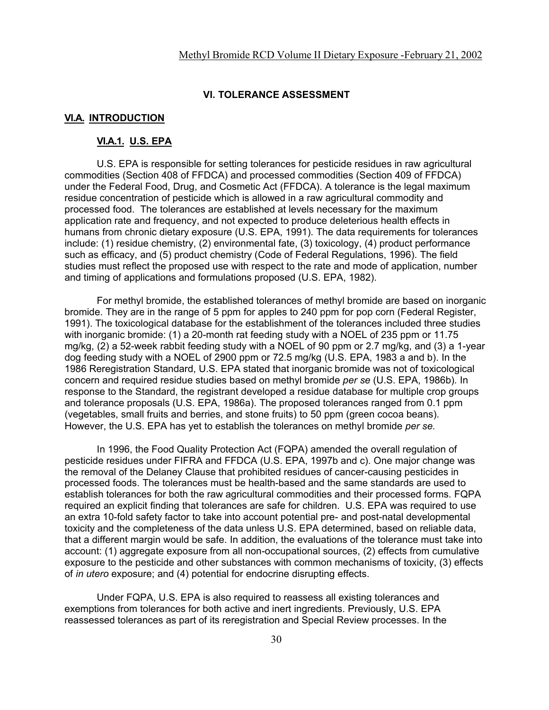#### **VI. TOLERANCE ASSESSMENT**

## **VI.A. INTRODUCTION**

#### **VI.A.1. U.S. EPA**

U.S. EPA is responsible for setting tolerances for pesticide residues in raw agricultural commodities (Section 408 of FFDCA) and processed commodities (Section 409 of FFDCA) under the Federal Food, Drug, and Cosmetic Act (FFDCA). A tolerance is the legal maximum residue concentration of pesticide which is allowed in a raw agricultural commodity and processed food. The tolerances are established at levels necessary for the maximum application rate and frequency, and not expected to produce deleterious health effects in humans from chronic dietary exposure (U.S. EPA, 1991). The data requirements for tolerances include: (1) residue chemistry, (2) environmental fate, (3) toxicology, (4) product performance such as efficacy, and (5) product chemistry (Code of Federal Regulations, 1996). The field studies must reflect the proposed use with respect to the rate and mode of application, number and timing of applications and formulations proposed (U.S. EPA, 1982).

For methyl bromide, the established tolerances of methyl bromide are based on inorganic bromide. They are in the range of 5 ppm for apples to 240 ppm for pop corn (Federal Register, 1991). The toxicological database for the establishment of the tolerances included three studies with inorganic bromide: (1) a 20-month rat feeding study with a NOEL of 235 ppm or 11.75 mg/kg, (2) a 52-week rabbit feeding study with a NOEL of 90 ppm or 2.7 mg/kg, and (3) a 1-year dog feeding study with a NOEL of 2900 ppm or 72.5 mg/kg (U.S. EPA, 1983 a and b). In the 1986 Reregistration Standard, U.S. EPA stated that inorganic bromide was not of toxicological concern and required residue studies based on methyl bromide *per se* (U.S. EPA, 1986b)*.* In response to the Standard, the registrant developed a residue database for multiple crop groups and tolerance proposals (U.S. EPA, 1986a). The proposed tolerances ranged from 0.1 ppm (vegetables, small fruits and berries, and stone fruits) to 50 ppm (green cocoa beans). However, the U.S. EPA has yet to establish the tolerances on methyl bromide *per se.*

In 1996, the Food Quality Protection Act (FQPA) amended the overall regulation of pesticide residues under FIFRA and FFDCA (U.S. EPA, 1997b and c). One major change was the removal of the Delaney Clause that prohibited residues of cancer-causing pesticides in processed foods. The tolerances must be health-based and the same standards are used to establish tolerances for both the raw agricultural commodities and their processed forms. FQPA required an explicit finding that tolerances are safe for children. U.S. EPA was required to use an extra 10-fold safety factor to take into account potential pre- and post-natal developmental toxicity and the completeness of the data unless U.S. EPA determined, based on reliable data, that a different margin would be safe. In addition, the evaluations of the tolerance must take into account: (1) aggregate exposure from all non-occupational sources, (2) effects from cumulative exposure to the pesticide and other substances with common mechanisms of toxicity, (3) effects of *in utero* exposure; and (4) potential for endocrine disrupting effects.

Under FQPA, U.S. EPA is also required to reassess all existing tolerances and exemptions from tolerances for both active and inert ingredients. Previously, U.S. EPA reassessed tolerances as part of its reregistration and Special Review processes. In the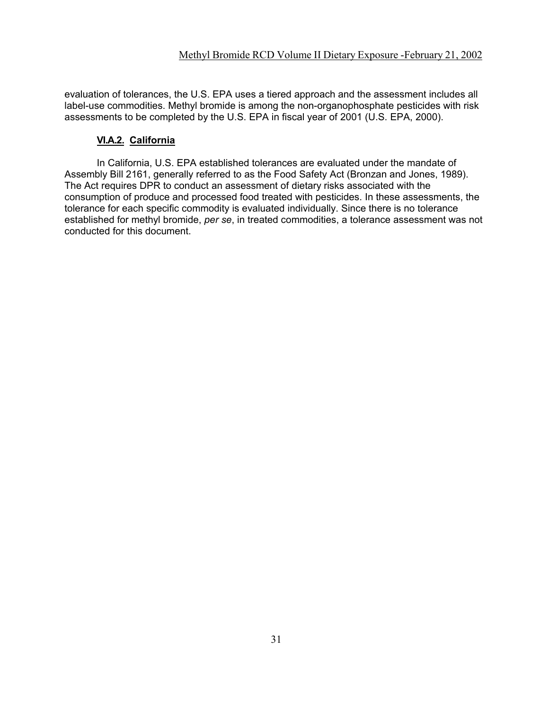evaluation of tolerances, the U.S. EPA uses a tiered approach and the assessment includes all label-use commodities. Methyl bromide is among the non-organophosphate pesticides with risk assessments to be completed by the U.S. EPA in fiscal year of 2001 (U.S. EPA, 2000).

# **VI.A.2. California**

In California, U.S. EPA established tolerances are evaluated under the mandate of Assembly Bill 2161, generally referred to as the Food Safety Act (Bronzan and Jones, 1989). The Act requires DPR to conduct an assessment of dietary risks associated with the consumption of produce and processed food treated with pesticides. In these assessments, the tolerance for each specific commodity is evaluated individually. Since there is no tolerance established for methyl bromide, *per se*, in treated commodities, a tolerance assessment was not conducted for this document.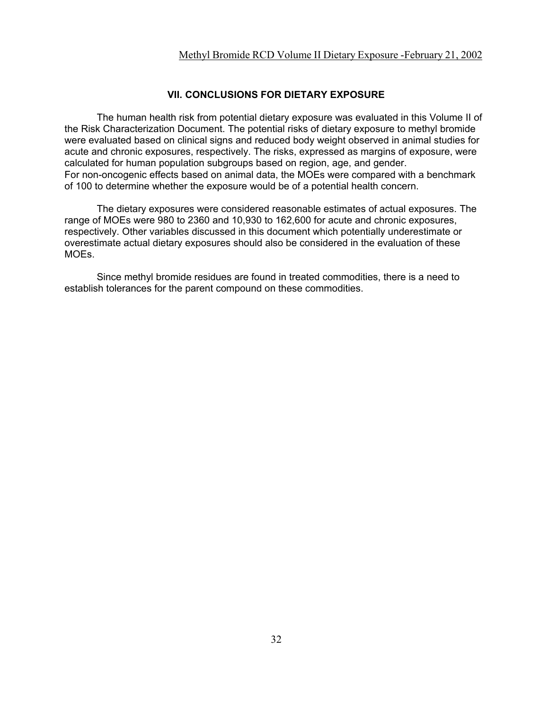# **VII. CONCLUSIONS FOR DIETARY EXPOSURE**

The human health risk from potential dietary exposure was evaluated in this Volume II of the Risk Characterization Document. The potential risks of dietary exposure to methyl bromide were evaluated based on clinical signs and reduced body weight observed in animal studies for acute and chronic exposures, respectively. The risks, expressed as margins of exposure, were calculated for human population subgroups based on region, age, and gender. For non-oncogenic effects based on animal data, the MOEs were compared with a benchmark of 100 to determine whether the exposure would be of a potential health concern.

The dietary exposures were considered reasonable estimates of actual exposures. The range of MOEs were 980 to 2360 and 10,930 to 162,600 for acute and chronic exposures, respectively. Other variables discussed in this document which potentially underestimate or overestimate actual dietary exposures should also be considered in the evaluation of these MOEs.

Since methyl bromide residues are found in treated commodities, there is a need to establish tolerances for the parent compound on these commodities.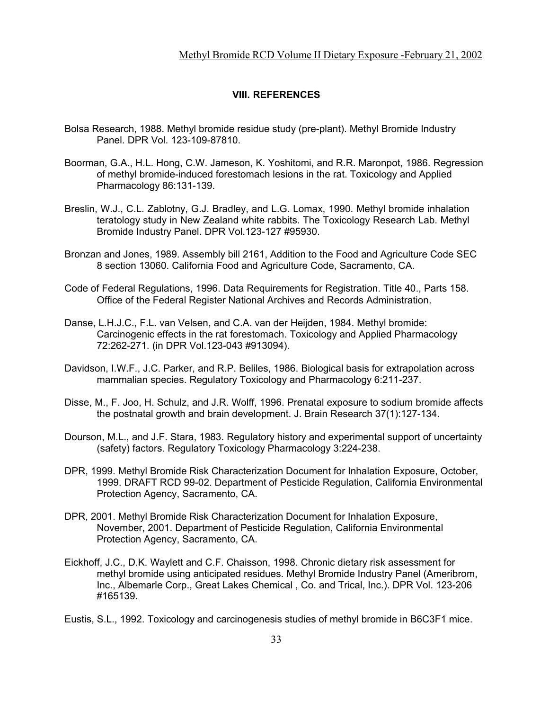#### **VIII. REFERENCES**

- Bolsa Research, 1988. Methyl bromide residue study (pre-plant). Methyl Bromide Industry Panel. DPR Vol. 123-109-87810.
- Boorman, G.A., H.L. Hong, C.W. Jameson, K. Yoshitomi, and R.R. Maronpot, 1986. Regression of methyl bromide-induced forestomach lesions in the rat. Toxicology and Applied Pharmacology 86:131-139.
- Breslin, W.J., C.L. Zablotny, G.J. Bradley, and L.G. Lomax, 1990. Methyl bromide inhalation teratology study in New Zealand white rabbits. The Toxicology Research Lab. Methyl Bromide Industry Panel. DPR Vol.123-127 #95930.
- Bronzan and Jones, 1989. Assembly bill 2161, Addition to the Food and Agriculture Code SEC 8 section 13060. California Food and Agriculture Code, Sacramento, CA.
- Code of Federal Regulations, 1996. Data Requirements for Registration. Title 40., Parts 158. Office of the Federal Register National Archives and Records Administration.
- Danse, L.H.J.C., F.L. van Velsen, and C.A. van der Heijden, 1984. Methyl bromide: Carcinogenic effects in the rat forestomach. Toxicology and Applied Pharmacology 72:262-271. (in DPR Vol.123-043 #913094).
- Davidson, I.W.F., J.C. Parker, and R.P. Beliles, 1986. Biological basis for extrapolation across mammalian species. Regulatory Toxicology and Pharmacology 6:211-237.
- Disse, M., F. Joo, H. Schulz, and J.R. Wolff, 1996. Prenatal exposure to sodium bromide affects the postnatal growth and brain development. J. Brain Research 37(1):127-134.
- Dourson, M.L., and J.F. Stara, 1983. Regulatory history and experimental support of uncertainty (safety) factors. Regulatory Toxicology Pharmacology 3:224-238.
- DPR, 1999. Methyl Bromide Risk Characterization Document for Inhalation Exposure, October, 1999. DRAFT RCD 99-02. Department of Pesticide Regulation, California Environmental Protection Agency, Sacramento, CA.
- DPR, 2001. Methyl Bromide Risk Characterization Document for Inhalation Exposure, November, 2001. Department of Pesticide Regulation, California Environmental Protection Agency, Sacramento, CA.
- Eickhoff, J.C., D.K. Waylett and C.F. Chaisson, 1998. Chronic dietary risk assessment for methyl bromide using anticipated residues. Methyl Bromide Industry Panel (Ameribrom, Inc., Albemarle Corp., Great Lakes Chemical , Co. and Trical, Inc.). DPR Vol. 123-206 #165139.

Eustis, S.L., 1992. Toxicology and carcinogenesis studies of methyl bromide in B6C3F1 mice.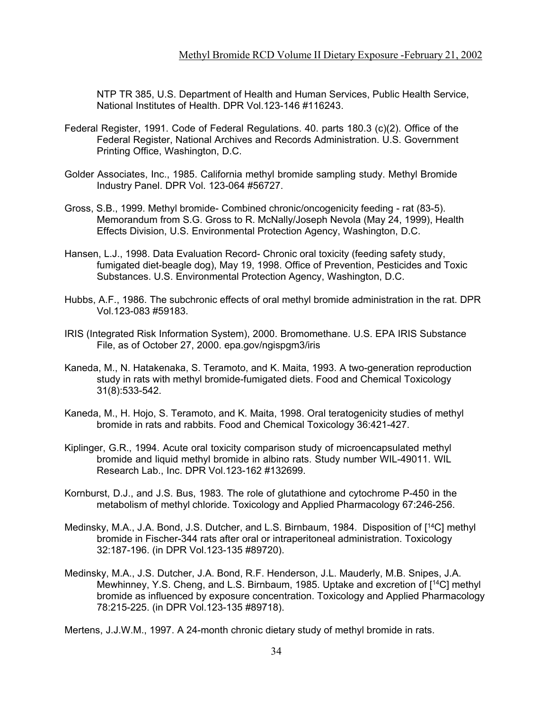NTP TR 385, U.S. Department of Health and Human Services, Public Health Service, National Institutes of Health. DPR Vol.123-146 #116243.

- Federal Register, 1991. Code of Federal Regulations. 40. parts 180.3 (c)(2). Office of the Federal Register, National Archives and Records Administration. U.S. Government Printing Office, Washington, D.C.
- Golder Associates, Inc., 1985. California methyl bromide sampling study. Methyl Bromide Industry Panel. DPR Vol. 123-064 #56727.
- Gross, S.B., 1999. Methyl bromide- Combined chronic/oncogenicity feeding rat (83-5). Memorandum from S.G. Gross to R. McNally/Joseph Nevola (May 24, 1999), Health Effects Division, U.S. Environmental Protection Agency, Washington, D.C.
- Hansen, L.J., 1998. Data Evaluation Record- Chronic oral toxicity (feeding safety study, fumigated diet-beagle dog), May 19, 1998. Office of Prevention, Pesticides and Toxic Substances. U.S. Environmental Protection Agency, Washington, D.C.
- Hubbs, A.F., 1986. The subchronic effects of oral methyl bromide administration in the rat. DPR Vol.123-083 #59183.
- IRIS (Integrated Risk Information System), 2000. Bromomethane. U.S. EPA IRIS Substance File, as of October 27, 2000. epa.gov/ngispgm3/iris
- Kaneda, M., N. Hatakenaka, S. Teramoto, and K. Maita, 1993. A two-generation reproduction study in rats with methyl bromide-fumigated diets. Food and Chemical Toxicology 31(8):533-542.
- Kaneda, M., H. Hojo, S. Teramoto, and K. Maita, 1998. Oral teratogenicity studies of methyl bromide in rats and rabbits. Food and Chemical Toxicology 36:421-427.
- Kiplinger, G.R., 1994. Acute oral toxicity comparison study of microencapsulated methyl bromide and liquid methyl bromide in albino rats. Study number WIL-49011. WIL Research Lab., Inc. DPR Vol.123-162 #132699.
- Kornburst, D.J., and J.S. Bus, 1983. The role of glutathione and cytochrome P-450 in the metabolism of methyl chloride. Toxicology and Applied Pharmacology 67:246-256.
- Medinsky, M.A., J.A. Bond, J.S. Dutcher, and L.S. Birnbaum, 1984. Disposition of [14C] methyl bromide in Fischer-344 rats after oral or intraperitoneal administration. Toxicology 32:187-196. (in DPR Vol.123-135 #89720).
- Medinsky, M.A., J.S. Dutcher, J.A. Bond, R.F. Henderson, J.L. Mauderly, M.B. Snipes, J.A. Mewhinney, Y.S. Cheng, and L.S. Birnbaum, 1985. Uptake and excretion of [14C] methyl bromide as influenced by exposure concentration. Toxicology and Applied Pharmacology 78:215-225. (in DPR Vol.123-135 #89718).

Mertens, J.J.W.M., 1997. A 24-month chronic dietary study of methyl bromide in rats.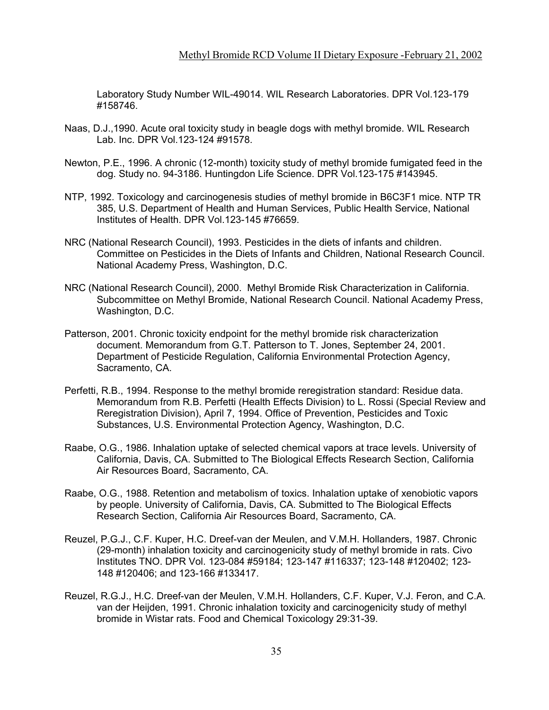Laboratory Study Number WIL-49014. WIL Research Laboratories. DPR Vol.123-179 #158746.

- Naas, D.J.,1990. Acute oral toxicity study in beagle dogs with methyl bromide. WIL Research Lab. Inc. DPR Vol.123-124 #91578.
- Newton, P.E., 1996. A chronic (12-month) toxicity study of methyl bromide fumigated feed in the dog. Study no. 94-3186. Huntingdon Life Science. DPR Vol.123-175 #143945.
- NTP, 1992. Toxicology and carcinogenesis studies of methyl bromide in B6C3F1 mice. NTP TR 385, U.S. Department of Health and Human Services, Public Health Service, National Institutes of Health. DPR Vol.123-145 #76659.
- NRC (National Research Council), 1993. Pesticides in the diets of infants and children. Committee on Pesticides in the Diets of Infants and Children, National Research Council. National Academy Press, Washington, D.C.
- NRC (National Research Council), 2000. Methyl Bromide Risk Characterization in California. Subcommittee on Methyl Bromide, National Research Council. National Academy Press, Washington, D.C.
- Patterson, 2001. Chronic toxicity endpoint for the methyl bromide risk characterization document. Memorandum from G.T. Patterson to T. Jones, September 24, 2001. Department of Pesticide Regulation, California Environmental Protection Agency, Sacramento, CA.
- Perfetti, R.B., 1994. Response to the methyl bromide reregistration standard: Residue data. Memorandum from R.B. Perfetti (Health Effects Division) to L. Rossi (Special Review and Reregistration Division), April 7, 1994. Office of Prevention, Pesticides and Toxic Substances, U.S. Environmental Protection Agency, Washington, D.C.
- Raabe, O.G., 1986. Inhalation uptake of selected chemical vapors at trace levels. University of California, Davis, CA. Submitted to The Biological Effects Research Section, California Air Resources Board, Sacramento, CA.
- Raabe, O.G., 1988. Retention and metabolism of toxics. Inhalation uptake of xenobiotic vapors by people. University of California, Davis, CA. Submitted to The Biological Effects Research Section, California Air Resources Board, Sacramento, CA.
- Reuzel, P.G.J., C.F. Kuper, H.C. Dreef-van der Meulen, and V.M.H. Hollanders, 1987. Chronic (29-month) inhalation toxicity and carcinogenicity study of methyl bromide in rats. Civo Institutes TNO. DPR Vol. 123-084 #59184; 123-147 #116337; 123-148 #120402; 123- 148 #120406; and 123-166 #133417.
- Reuzel, R.G.J., H.C. Dreef-van der Meulen, V.M.H. Hollanders, C.F. Kuper, V.J. Feron, and C.A. van der Heijden, 1991. Chronic inhalation toxicity and carcinogenicity study of methyl bromide in Wistar rats. Food and Chemical Toxicology 29:31-39.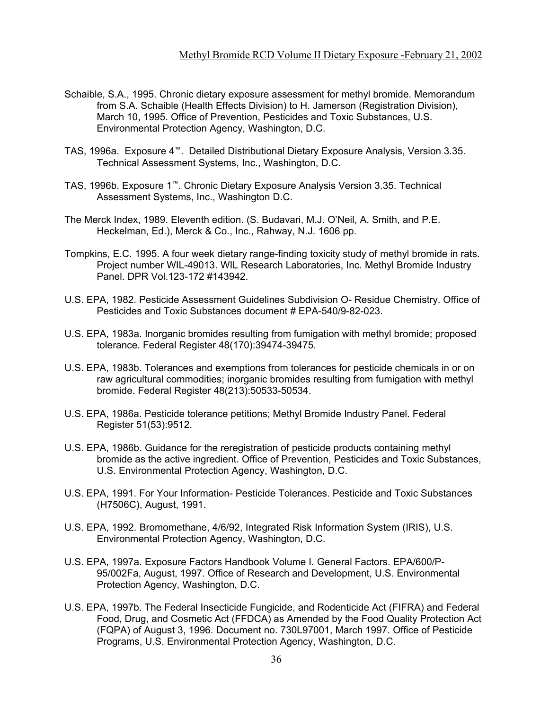- Schaible, S.A., 1995. Chronic dietary exposure assessment for methyl bromide. Memorandum from S.A. Schaible (Health Effects Division) to H. Jamerson (Registration Division), March 10, 1995. Office of Prevention, Pesticides and Toxic Substances, U.S. Environmental Protection Agency, Washington, D.C.
- TAS, 1996a. Exposure 4™. Detailed Distributional Dietary Exposure Analysis, Version 3.35. Technical Assessment Systems, Inc., Washington, D.C.
- TAS, 1996b. Exposure 1™. Chronic Dietary Exposure Analysis Version 3.35. Technical Assessment Systems, Inc., Washington D.C.
- The Merck Index, 1989. Eleventh edition. (S. Budavari, M.J. O'Neil, A. Smith, and P.E. Heckelman, Ed.), Merck & Co., Inc., Rahway, N.J. 1606 pp.
- Tompkins, E.C. 1995. A four week dietary range-finding toxicity study of methyl bromide in rats. Project number WIL-49013. WIL Research Laboratories, Inc. Methyl Bromide Industry Panel. DPR Vol.123-172 #143942.
- U.S. EPA, 1982. Pesticide Assessment Guidelines Subdivision O- Residue Chemistry. Office of Pesticides and Toxic Substances document # EPA-540/9-82-023.
- U.S. EPA, 1983a. Inorganic bromides resulting from fumigation with methyl bromide; proposed tolerance. Federal Register 48(170):39474-39475.
- U.S. EPA, 1983b. Tolerances and exemptions from tolerances for pesticide chemicals in or on raw agricultural commodities; inorganic bromides resulting from fumigation with methyl bromide. Federal Register 48(213):50533-50534.
- U.S. EPA, 1986a. Pesticide tolerance petitions; Methyl Bromide Industry Panel. Federal Register 51(53):9512.
- U.S. EPA, 1986b. Guidance for the reregistration of pesticide products containing methyl bromide as the active ingredient. Office of Prevention, Pesticides and Toxic Substances, U.S. Environmental Protection Agency, Washington, D.C.
- U.S. EPA, 1991. For Your Information- Pesticide Tolerances. Pesticide and Toxic Substances (H7506C), August, 1991.
- U.S. EPA, 1992. Bromomethane, 4/6/92, Integrated Risk Information System (IRIS), U.S. Environmental Protection Agency, Washington, D.C.
- U.S. EPA, 1997a. Exposure Factors Handbook Volume I. General Factors. EPA/600/P-95/002Fa, August, 1997. Office of Research and Development, U.S. Environmental Protection Agency, Washington, D.C.
- U.S. EPA, 1997b. The Federal Insecticide Fungicide, and Rodenticide Act (FIFRA) and Federal Food, Drug, and Cosmetic Act (FFDCA) as Amended by the Food Quality Protection Act (FQPA) of August 3, 1996. Document no. 730L97001, March 1997. Office of Pesticide Programs, U.S. Environmental Protection Agency, Washington, D.C.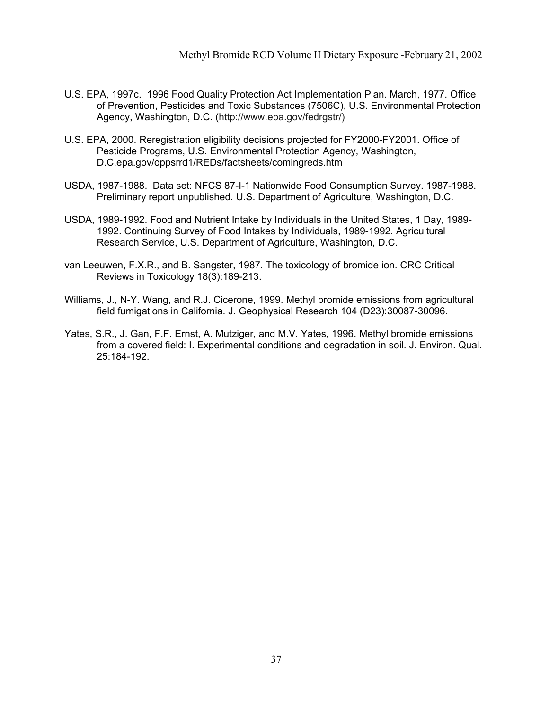- U.S. EPA, 1997c. 1996 Food Quality Protection Act Implementation Plan. March, 1977. Office of Prevention, Pesticides and Toxic Substances (7506C), U.S. Environmental Protection Agency, Washington, D.C. [\(http://www.epa.gov/fedrgstr/\)](http://www.epa.gov/fedrgstr/))
- U.S. EPA, 2000. Reregistration eligibility decisions projected for FY2000-FY2001. Office of Pesticide Programs, U.S. Environmental Protection Agency, Washington, D.C.epa.gov/oppsrrd1/REDs/factsheets/comingreds.htm
- USDA, 1987-1988. Data set: NFCS 87-I-1 Nationwide Food Consumption Survey. 1987-1988. Preliminary report unpublished. U.S. Department of Agriculture, Washington, D.C.
- USDA, 1989-1992. Food and Nutrient Intake by Individuals in the United States, 1 Day, 1989- 1992. Continuing Survey of Food Intakes by Individuals, 1989-1992. Agricultural Research Service, U.S. Department of Agriculture, Washington, D.C.
- van Leeuwen, F.X.R., and B. Sangster, 1987. The toxicology of bromide ion. CRC Critical Reviews in Toxicology 18(3):189-213.
- Williams, J., N-Y. Wang, and R.J. Cicerone, 1999. Methyl bromide emissions from agricultural field fumigations in California. J. Geophysical Research 104 (D23):30087-30096.
- Yates, S.R., J. Gan, F.F. Ernst, A. Mutziger, and M.V. Yates, 1996. Methyl bromide emissions from a covered field: I. Experimental conditions and degradation in soil. J. Environ. Qual. 25:184-192.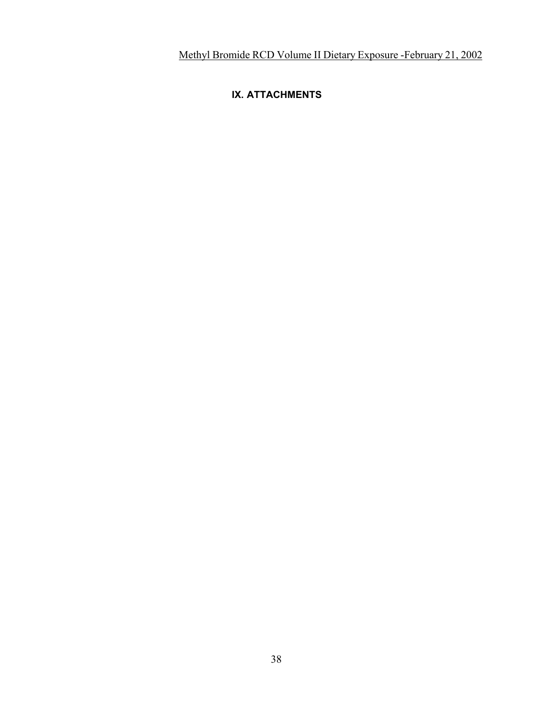## **IX. ATTACHMENTS**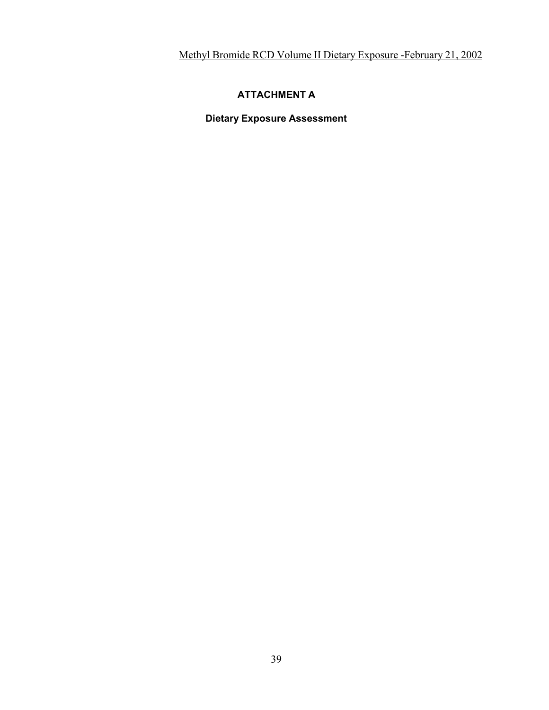### **ATTACHMENT A**

**Dietary Exposure Assessment**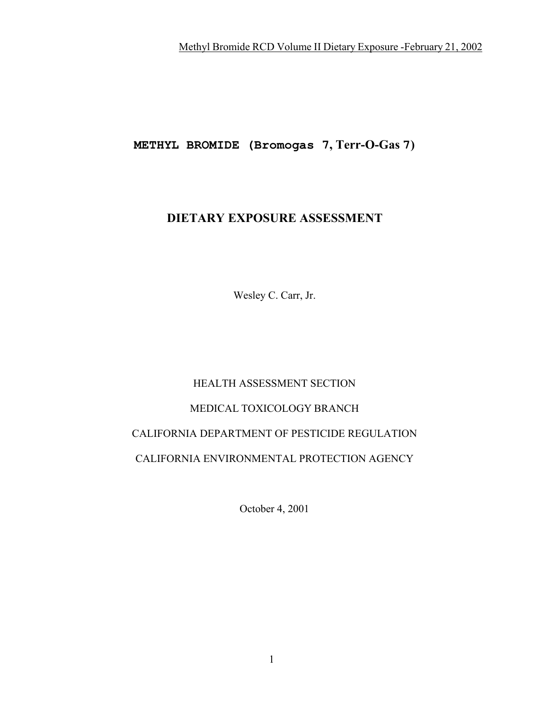**METHYL BROMIDE (Bromogas 7, Terr-O-Gas 7)** 

# **DIETARY EXPOSURE ASSESSMENT**

Wesley C. Carr, Jr.

## HEALTH ASSESSMENT SECTION

### MEDICAL TOXICOLOGY BRANCH

## CALIFORNIA DEPARTMENT OF PESTICIDE REGULATION

## CALIFORNIA ENVIRONMENTAL PROTECTION AGENCY

October 4, 2001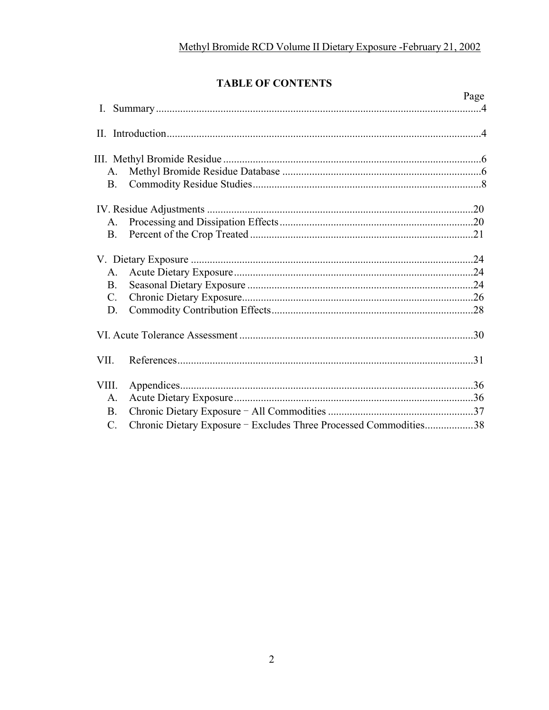# **TABLE OF CONTENTS**

|                |                                                                   | Page |
|----------------|-------------------------------------------------------------------|------|
|                |                                                                   |      |
|                |                                                                   |      |
|                |                                                                   |      |
| A.             |                                                                   |      |
| <b>B.</b>      |                                                                   |      |
|                |                                                                   |      |
| $\mathsf{A}$ . |                                                                   |      |
| <b>B.</b>      |                                                                   |      |
|                |                                                                   |      |
| A.             |                                                                   |      |
| <b>B.</b>      |                                                                   |      |
| $C_{\cdot}$    |                                                                   |      |
| D.             |                                                                   |      |
|                |                                                                   |      |
| VII.           |                                                                   |      |
| VIII.          |                                                                   |      |
| A.             |                                                                   |      |
| <b>B.</b>      |                                                                   |      |
| $\mathbf{C}$ . | Chronic Dietary Exposure - Excludes Three Processed Commodities38 |      |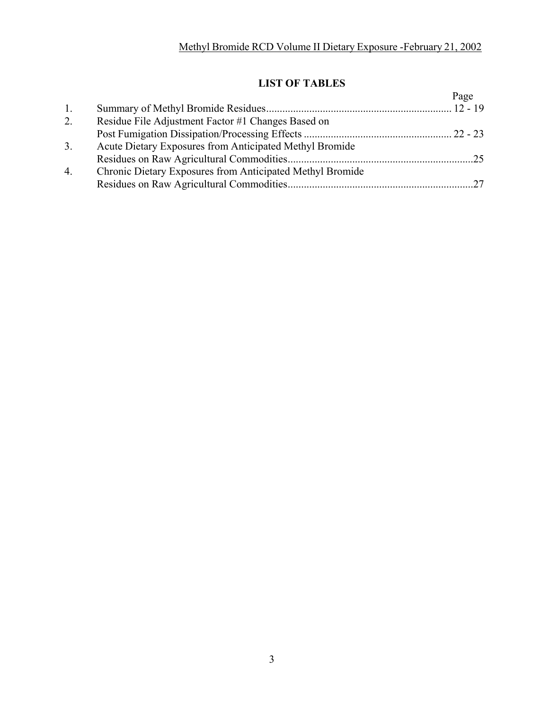# **LIST OF TABLES**

|    |                                                           | Page |
|----|-----------------------------------------------------------|------|
| 1. |                                                           |      |
| 2. | Residue File Adjustment Factor #1 Changes Based on        |      |
|    |                                                           |      |
| 3. | Acute Dietary Exposures from Anticipated Methyl Bromide   |      |
|    |                                                           |      |
| 4. | Chronic Dietary Exposures from Anticipated Methyl Bromide |      |
|    |                                                           |      |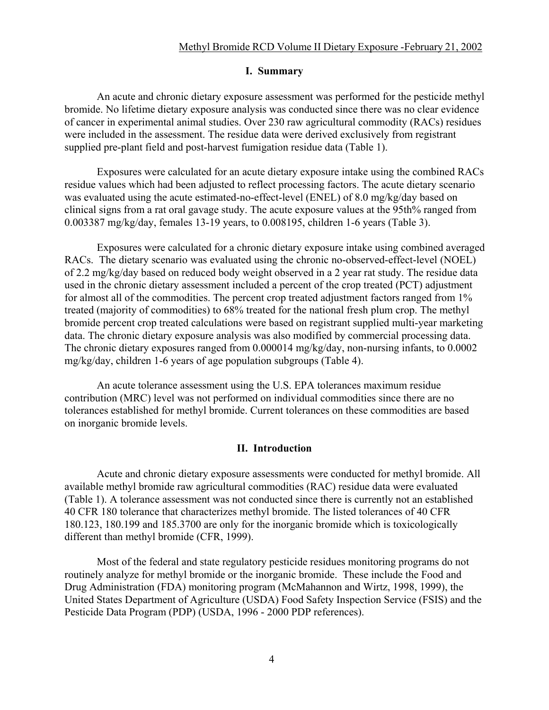#### **I. Summary**

An acute and chronic dietary exposure assessment was performed for the pesticide methyl bromide. No lifetime dietary exposure analysis was conducted since there was no clear evidence of cancer in experimental animal studies. Over 230 raw agricultural commodity (RACs) residues were included in the assessment. The residue data were derived exclusively from registrant supplied pre-plant field and post-harvest fumigation residue data (Table 1).

Exposures were calculated for an acute dietary exposure intake using the combined RACs residue values which had been adjusted to reflect processing factors. The acute dietary scenario was evaluated using the acute estimated-no-effect-level (ENEL) of 8.0 mg/kg/day based on clinical signs from a rat oral gavage study. The acute exposure values at the 95th% ranged from 0.003387 mg/kg/day, females 13-19 years, to 0.008195, children 1-6 years (Table 3).

Exposures were calculated for a chronic dietary exposure intake using combined averaged RACs. The dietary scenario was evaluated using the chronic no-observed-effect-level (NOEL) of 2.2 mg/kg/day based on reduced body weight observed in a 2 year rat study. The residue data used in the chronic dietary assessment included a percent of the crop treated (PCT) adjustment for almost all of the commodities. The percent crop treated adjustment factors ranged from 1% treated (majority of commodities) to 68% treated for the national fresh plum crop. The methyl bromide percent crop treated calculations were based on registrant supplied multi-year marketing data. The chronic dietary exposure analysis was also modified by commercial processing data. The chronic dietary exposures ranged from 0.000014 mg/kg/day, non-nursing infants, to 0.0002 mg/kg/day, children 1-6 years of age population subgroups (Table 4).

An acute tolerance assessment using the U.S. EPA tolerances maximum residue contribution (MRC) level was not performed on individual commodities since there are no tolerances established for methyl bromide. Current tolerances on these commodities are based on inorganic bromide levels.

### **II. Introduction**

Acute and chronic dietary exposure assessments were conducted for methyl bromide. All available methyl bromide raw agricultural commodities (RAC) residue data were evaluated (Table 1). A tolerance assessment was not conducted since there is currently not an established 40 CFR 180 tolerance that characterizes methyl bromide. The listed tolerances of 40 CFR 180.123, 180.199 and 185.3700 are only for the inorganic bromide which is toxicologically different than methyl bromide (CFR, 1999).

Most of the federal and state regulatory pesticide residues monitoring programs do not routinely analyze for methyl bromide or the inorganic bromide. These include the Food and Drug Administration (FDA) monitoring program (McMahannon and Wirtz, 1998, 1999), the United States Department of Agriculture (USDA) Food Safety Inspection Service (FSIS) and the Pesticide Data Program (PDP) (USDA, 1996 - 2000 PDP references).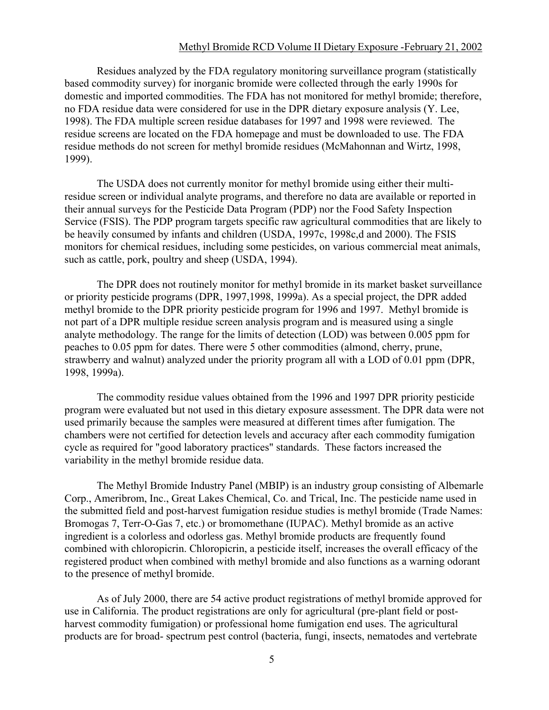### Methyl Bromide RCD Volume II Dietary Exposure -February 21, 2002

Residues analyzed by the FDA regulatory monitoring surveillance program (statistically based commodity survey) for inorganic bromide were collected through the early 1990s for domestic and imported commodities. The FDA has not monitored for methyl bromide; therefore, no FDA residue data were considered for use in the DPR dietary exposure analysis (Y. Lee, 1998). The FDA multiple screen residue databases for 1997 and 1998 were reviewed. The residue screens are located on the FDA homepage and must be downloaded to use. The FDA residue methods do not screen for methyl bromide residues (McMahonnan and Wirtz, 1998, 1999).

The USDA does not currently monitor for methyl bromide using either their multiresidue screen or individual analyte programs, and therefore no data are available or reported in their annual surveys for the Pesticide Data Program (PDP) nor the Food Safety Inspection Service (FSIS). The PDP program targets specific raw agricultural commodities that are likely to be heavily consumed by infants and children (USDA, 1997c, 1998c,d and 2000). The FSIS monitors for chemical residues, including some pesticides, on various commercial meat animals, such as cattle, pork, poultry and sheep (USDA, 1994).

The DPR does not routinely monitor for methyl bromide in its market basket surveillance or priority pesticide programs (DPR, 1997,1998, 1999a). As a special project, the DPR added methyl bromide to the DPR priority pesticide program for 1996 and 1997. Methyl bromide is not part of a DPR multiple residue screen analysis program and is measured using a single analyte methodology. The range for the limits of detection (LOD) was between 0.005 ppm for peaches to 0.05 ppm for dates. There were 5 other commodities (almond, cherry, prune, strawberry and walnut) analyzed under the priority program all with a LOD of 0.01 ppm (DPR, 1998, 1999a).

The commodity residue values obtained from the 1996 and 1997 DPR priority pesticide program were evaluated but not used in this dietary exposure assessment. The DPR data were not used primarily because the samples were measured at different times after fumigation. The chambers were not certified for detection levels and accuracy after each commodity fumigation cycle as required for "good laboratory practices" standards. These factors increased the variability in the methyl bromide residue data.

The Methyl Bromide Industry Panel (MBIP) is an industry group consisting of Albemarle Corp., Ameribrom, Inc., Great Lakes Chemical, Co. and Trical, Inc. The pesticide name used in the submitted field and post-harvest fumigation residue studies is methyl bromide (Trade Names: Bromogas 7, Terr-O-Gas 7, etc.) or bromomethane (IUPAC). Methyl bromide as an active ingredient is a colorless and odorless gas. Methyl bromide products are frequently found combined with chloropicrin. Chloropicrin, a pesticide itself, increases the overall efficacy of the registered product when combined with methyl bromide and also functions as a warning odorant to the presence of methyl bromide.

As of July 2000, there are 54 active product registrations of methyl bromide approved for use in California. The product registrations are only for agricultural (pre-plant field or postharvest commodity fumigation) or professional home fumigation end uses. The agricultural products are for broad- spectrum pest control (bacteria, fungi, insects, nematodes and vertebrate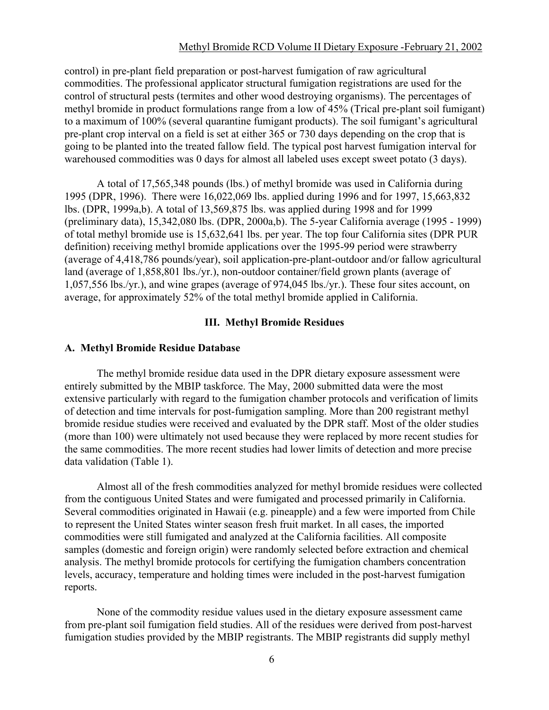### Methyl Bromide RCD Volume II Dietary Exposure -February 21, 2002

control) in pre-plant field preparation or post-harvest fumigation of raw agricultural commodities. The professional applicator structural fumigation registrations are used for the control of structural pests (termites and other wood destroying organisms). The percentages of methyl bromide in product formulations range from a low of 45% (Trical pre-plant soil fumigant) to a maximum of 100% (several quarantine fumigant products). The soil fumigant's agricultural pre-plant crop interval on a field is set at either 365 or 730 days depending on the crop that is going to be planted into the treated fallow field. The typical post harvest fumigation interval for warehoused commodities was 0 days for almost all labeled uses except sweet potato (3 days).

A total of 17,565,348 pounds (lbs.) of methyl bromide was used in California during 1995 (DPR, 1996). There were 16,022,069 lbs. applied during 1996 and for 1997, 15,663,832 lbs. (DPR, 1999a,b). A total of 13,569,875 lbs. was applied during 1998 and for 1999 (preliminary data), 15,342,080 lbs. (DPR, 2000a,b). The 5-year California average (1995 - 1999) of total methyl bromide use is 15,632,641 lbs. per year. The top four California sites (DPR PUR definition) receiving methyl bromide applications over the 1995-99 period were strawberry (average of 4,418,786 pounds/year), soil application-pre-plant-outdoor and/or fallow agricultural land (average of 1,858,801 lbs./yr.), non-outdoor container/field grown plants (average of 1,057,556 lbs./yr.), and wine grapes (average of 974,045 lbs./yr.). These four sites account, on average, for approximately 52% of the total methyl bromide applied in California.

### **III. Methyl Bromide Residues**

### **A. Methyl Bromide Residue Database**

The methyl bromide residue data used in the DPR dietary exposure assessment were entirely submitted by the MBIP taskforce. The May, 2000 submitted data were the most extensive particularly with regard to the fumigation chamber protocols and verification of limits of detection and time intervals for post-fumigation sampling. More than 200 registrant methyl bromide residue studies were received and evaluated by the DPR staff. Most of the older studies (more than 100) were ultimately not used because they were replaced by more recent studies for the same commodities. The more recent studies had lower limits of detection and more precise data validation (Table 1).

Almost all of the fresh commodities analyzed for methyl bromide residues were collected from the contiguous United States and were fumigated and processed primarily in California. Several commodities originated in Hawaii (e.g. pineapple) and a few were imported from Chile to represent the United States winter season fresh fruit market. In all cases, the imported commodities were still fumigated and analyzed at the California facilities. All composite samples (domestic and foreign origin) were randomly selected before extraction and chemical analysis. The methyl bromide protocols for certifying the fumigation chambers concentration levels, accuracy, temperature and holding times were included in the post-harvest fumigation reports.

None of the commodity residue values used in the dietary exposure assessment came from pre-plant soil fumigation field studies. All of the residues were derived from post-harvest fumigation studies provided by the MBIP registrants. The MBIP registrants did supply methyl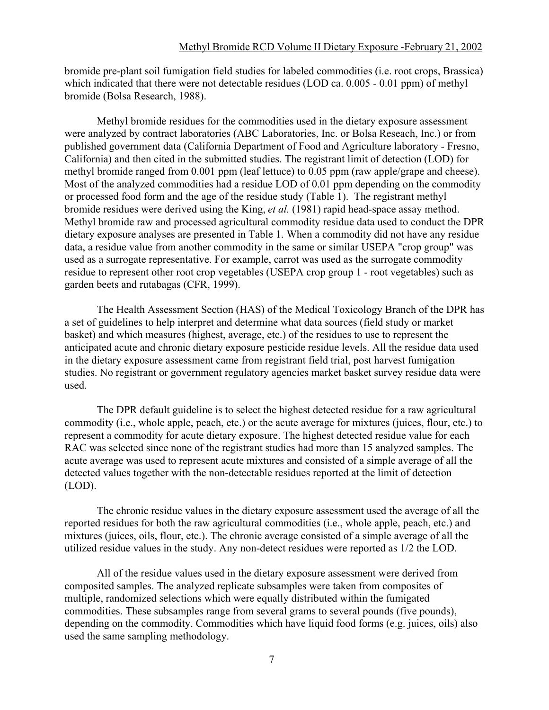bromide pre-plant soil fumigation field studies for labeled commodities (i.e. root crops, Brassica) which indicated that there were not detectable residues (LOD ca. 0.005 - 0.01 ppm) of methyl bromide (Bolsa Research, 1988).

Methyl bromide residues for the commodities used in the dietary exposure assessment were analyzed by contract laboratories (ABC Laboratories, Inc. or Bolsa Reseach, Inc.) or from published government data (California Department of Food and Agriculture laboratory - Fresno, California) and then cited in the submitted studies. The registrant limit of detection (LOD) for methyl bromide ranged from 0.001 ppm (leaf lettuce) to 0.05 ppm (raw apple/grape and cheese). Most of the analyzed commodities had a residue LOD of 0.01 ppm depending on the commodity or processed food form and the age of the residue study (Table 1). The registrant methyl bromide residues were derived using the King, *et al.* (1981) rapid head-space assay method. Methyl bromide raw and processed agricultural commodity residue data used to conduct the DPR dietary exposure analyses are presented in Table 1. When a commodity did not have any residue data, a residue value from another commodity in the same or similar USEPA "crop group" was used as a surrogate representative. For example, carrot was used as the surrogate commodity residue to represent other root crop vegetables (USEPA crop group 1 - root vegetables) such as garden beets and rutabagas (CFR, 1999).

The Health Assessment Section (HAS) of the Medical Toxicology Branch of the DPR has a set of guidelines to help interpret and determine what data sources (field study or market basket) and which measures (highest, average, etc.) of the residues to use to represent the anticipated acute and chronic dietary exposure pesticide residue levels. All the residue data used in the dietary exposure assessment came from registrant field trial, post harvest fumigation studies. No registrant or government regulatory agencies market basket survey residue data were used.

The DPR default guideline is to select the highest detected residue for a raw agricultural commodity (i.e., whole apple, peach, etc.) or the acute average for mixtures (juices, flour, etc.) to represent a commodity for acute dietary exposure. The highest detected residue value for each RAC was selected since none of the registrant studies had more than 15 analyzed samples. The acute average was used to represent acute mixtures and consisted of a simple average of all the detected values together with the non-detectable residues reported at the limit of detection (LOD).

The chronic residue values in the dietary exposure assessment used the average of all the reported residues for both the raw agricultural commodities (i.e., whole apple, peach, etc.) and mixtures (juices, oils, flour, etc.). The chronic average consisted of a simple average of all the utilized residue values in the study. Any non-detect residues were reported as 1/2 the LOD.

All of the residue values used in the dietary exposure assessment were derived from composited samples. The analyzed replicate subsamples were taken from composites of multiple, randomized selections which were equally distributed within the fumigated commodities. These subsamples range from several grams to several pounds (five pounds), depending on the commodity. Commodities which have liquid food forms (e.g. juices, oils) also used the same sampling methodology.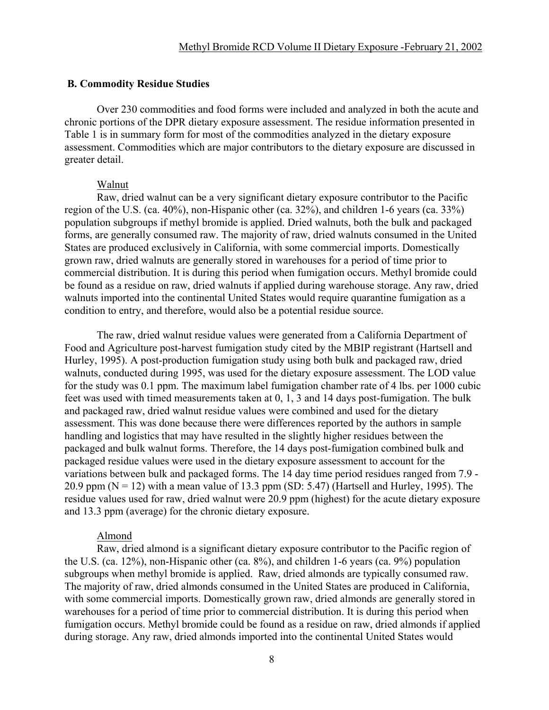#### **B. Commodity Residue Studies**

Over 230 commodities and food forms were included and analyzed in both the acute and chronic portions of the DPR dietary exposure assessment. The residue information presented in Table 1 is in summary form for most of the commodities analyzed in the dietary exposure assessment. Commodities which are major contributors to the dietary exposure are discussed in greater detail.

#### Walnut

Raw, dried walnut can be a very significant dietary exposure contributor to the Pacific region of the U.S. (ca. 40%), non-Hispanic other (ca. 32%), and children 1-6 years (ca. 33%) population subgroups if methyl bromide is applied. Dried walnuts, both the bulk and packaged forms, are generally consumed raw. The majority of raw, dried walnuts consumed in the United States are produced exclusively in California, with some commercial imports. Domestically grown raw, dried walnuts are generally stored in warehouses for a period of time prior to commercial distribution. It is during this period when fumigation occurs. Methyl bromide could be found as a residue on raw, dried walnuts if applied during warehouse storage. Any raw, dried walnuts imported into the continental United States would require quarantine fumigation as a condition to entry, and therefore, would also be a potential residue source.

The raw, dried walnut residue values were generated from a California Department of Food and Agriculture post-harvest fumigation study cited by the MBIP registrant (Hartsell and Hurley, 1995). A post-production fumigation study using both bulk and packaged raw, dried walnuts, conducted during 1995, was used for the dietary exposure assessment. The LOD value for the study was 0.1 ppm. The maximum label fumigation chamber rate of 4 lbs. per 1000 cubic feet was used with timed measurements taken at 0, 1, 3 and 14 days post-fumigation. The bulk and packaged raw, dried walnut residue values were combined and used for the dietary assessment. This was done because there were differences reported by the authors in sample handling and logistics that may have resulted in the slightly higher residues between the packaged and bulk walnut forms. Therefore, the 14 days post-fumigation combined bulk and packaged residue values were used in the dietary exposure assessment to account for the variations between bulk and packaged forms. The 14 day time period residues ranged from 7.9 - 20.9 ppm ( $N = 12$ ) with a mean value of 13.3 ppm (SD: 5.47) (Hartsell and Hurley, 1995). The residue values used for raw, dried walnut were 20.9 ppm (highest) for the acute dietary exposure and 13.3 ppm (average) for the chronic dietary exposure.

#### Almond

Raw, dried almond is a significant dietary exposure contributor to the Pacific region of the U.S. (ca. 12%), non-Hispanic other (ca. 8%), and children 1-6 years (ca. 9%) population subgroups when methyl bromide is applied. Raw, dried almonds are typically consumed raw. The majority of raw, dried almonds consumed in the United States are produced in California, with some commercial imports. Domestically grown raw, dried almonds are generally stored in warehouses for a period of time prior to commercial distribution. It is during this period when fumigation occurs. Methyl bromide could be found as a residue on raw, dried almonds if applied during storage. Any raw, dried almonds imported into the continental United States would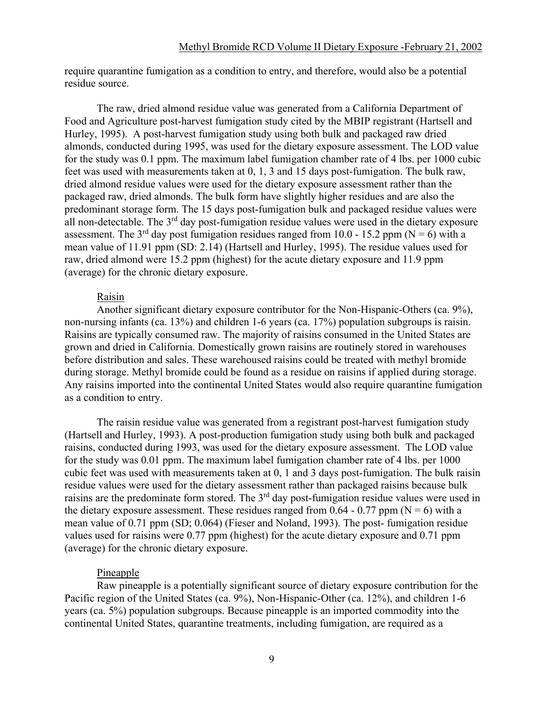require quarantine fumigation as a condition to entry, and therefore, would also be a potential residue source.

The raw, dried almond residue value was generated from a California Department of Food and Agriculture post-harvest fumigation study cited by the MBIP registrant (Hartsell and Hurley, 1995). A post-harvest fumigation study using both bulk and packaged raw dried almonds, conducted during 1995, was used for the dietary exposure assessment. The LOD value for the study was 0.1 ppm. The maximum label fumigation chamber rate of 4 lbs. per 1000 cubic feet was used with measurements taken at 0, 1, 3 and 15 days post-fumigation. The bulk raw, dried almond residue values were used for the dietary exposure assessment rather than the packaged raw, dried almonds. The bulk form have slightly higher residues and are also the predominant storage form. The 15 days post-fumigation bulk and packaged residue values were all non-detectable. The  $3<sup>rd</sup>$  day post-fumigation residue values were used in the dietary exposure assessment. The 3<sup>rd</sup> day post fumigation residues ranged from 10.0 - 15.2 ppm (N = 6) with a mean value of 11.91 ppm (SD: 2.14) (Hartsell and Hurley, 1995). The residue values used for raw, dried almond were 15.2 ppm (highest) for the acute dietary exposure and 11.9 ppm (average) for the chronic dietary exposure.

### Raisin

Another significant dietary exposure contributor for the Non-Hispanic-Others (ca. 9%), non-nursing infants (ca. 13%) and children 1-6 years (ca. 17%) population subgroups is raisin. Raisins are typically consumed raw. The majority of raisins consumed in the United States are grown and dried in California. Domestically grown raisins are routinely stored in warehouses before distribution and sales. These warehoused raisins could be treated with methyl bromide during storage. Methyl bromide could be found as a residue on raisins if applied during storage. Any raisins imported into the continental United States would also require quarantine fumigation as a condition to entry.

The raisin residue value was generated from a registrant post-harvest fumigation study (Hartsell and Hurley, 1993). A post-production fumigation study using both bulk and packaged raisins, conducted during 1993, was used for the dietary exposure assessment. The LOD value for the study was 0.01 ppm. The maximum label fumigation chamber rate of 4 lbs. per 1000 cubic feet was used with measurements taken at 0, 1 and 3 days post-fumigation. The bulk raisin residue values were used for the dietary assessment rather than packaged raisins because bulk raisins are the predominate form stored. The 3<sup>rd</sup> day post-fumigation residue values were used in the dietary exposure assessment. These residues ranged from 0.64 - 0.77 ppm ( $N = 6$ ) with a mean value of 0.71 ppm (SD; 0.064) (Fieser and Noland, 1993). The post- fumigation residue values used for raisins were 0.77 ppm (highest) for the acute dietary exposure and 0.71 ppm (average) for the chronic dietary exposure.

### Pineapple

Raw pineapple is a potentially significant source of dietary exposure contribution for the Pacific region of the United States (ca. 9%), Non-Hispanic-Other (ca. 12%), and children 1-6 years (ca. 5%) population subgroups. Because pineapple is an imported commodity into the continental United States, quarantine treatments, including fumigation, are required as a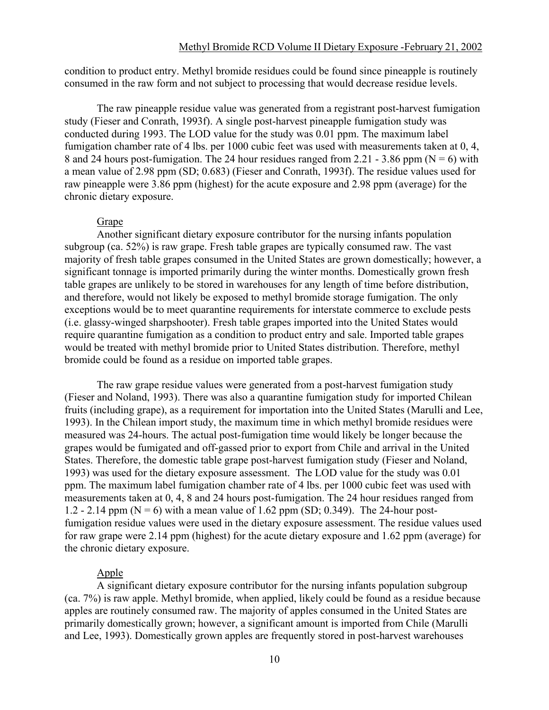condition to product entry. Methyl bromide residues could be found since pineapple is routinely consumed in the raw form and not subject to processing that would decrease residue levels.

The raw pineapple residue value was generated from a registrant post-harvest fumigation study (Fieser and Conrath, 1993f). A single post-harvest pineapple fumigation study was conducted during 1993. The LOD value for the study was 0.01 ppm. The maximum label fumigation chamber rate of 4 lbs. per 1000 cubic feet was used with measurements taken at 0, 4, 8 and 24 hours post-fumigation. The 24 hour residues ranged from 2.21 - 3.86 ppm ( $N = 6$ ) with a mean value of 2.98 ppm (SD; 0.683) (Fieser and Conrath, 1993f). The residue values used for raw pineapple were 3.86 ppm (highest) for the acute exposure and 2.98 ppm (average) for the chronic dietary exposure.

### Grape

Another significant dietary exposure contributor for the nursing infants population subgroup (ca. 52%) is raw grape. Fresh table grapes are typically consumed raw. The vast majority of fresh table grapes consumed in the United States are grown domestically; however, a significant tonnage is imported primarily during the winter months. Domestically grown fresh table grapes are unlikely to be stored in warehouses for any length of time before distribution, and therefore, would not likely be exposed to methyl bromide storage fumigation. The only exceptions would be to meet quarantine requirements for interstate commerce to exclude pests (i.e. glassy-winged sharpshooter). Fresh table grapes imported into the United States would require quarantine fumigation as a condition to product entry and sale. Imported table grapes would be treated with methyl bromide prior to United States distribution. Therefore, methyl bromide could be found as a residue on imported table grapes.

The raw grape residue values were generated from a post-harvest fumigation study (Fieser and Noland, 1993). There was also a quarantine fumigation study for imported Chilean fruits (including grape), as a requirement for importation into the United States (Marulli and Lee, 1993). In the Chilean import study, the maximum time in which methyl bromide residues were measured was 24-hours. The actual post-fumigation time would likely be longer because the grapes would be fumigated and off-gassed prior to export from Chile and arrival in the United States. Therefore, the domestic table grape post-harvest fumigation study (Fieser and Noland, 1993) was used for the dietary exposure assessment. The LOD value for the study was 0.01 ppm. The maximum label fumigation chamber rate of 4 lbs. per 1000 cubic feet was used with measurements taken at 0, 4, 8 and 24 hours post-fumigation. The 24 hour residues ranged from 1.2 - 2.14 ppm ( $N = 6$ ) with a mean value of 1.62 ppm (SD; 0.349). The 24-hour postfumigation residue values were used in the dietary exposure assessment. The residue values used for raw grape were 2.14 ppm (highest) for the acute dietary exposure and 1.62 ppm (average) for the chronic dietary exposure.

### Apple

A significant dietary exposure contributor for the nursing infants population subgroup (ca. 7%) is raw apple. Methyl bromide, when applied, likely could be found as a residue because apples are routinely consumed raw. The majority of apples consumed in the United States are primarily domestically grown; however, a significant amount is imported from Chile (Marulli and Lee, 1993). Domestically grown apples are frequently stored in post-harvest warehouses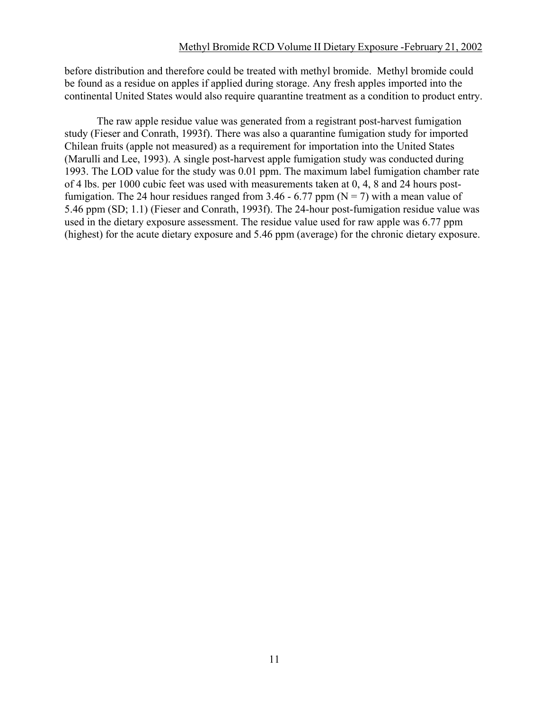before distribution and therefore could be treated with methyl bromide. Methyl bromide could be found as a residue on apples if applied during storage. Any fresh apples imported into the continental United States would also require quarantine treatment as a condition to product entry.

The raw apple residue value was generated from a registrant post-harvest fumigation study (Fieser and Conrath, 1993f). There was also a quarantine fumigation study for imported Chilean fruits (apple not measured) as a requirement for importation into the United States (Marulli and Lee, 1993). A single post-harvest apple fumigation study was conducted during 1993. The LOD value for the study was 0.01 ppm. The maximum label fumigation chamber rate of 4 lbs. per 1000 cubic feet was used with measurements taken at 0, 4, 8 and 24 hours postfumigation. The 24 hour residues ranged from 3.46 - 6.77 ppm ( $N = 7$ ) with a mean value of 5.46 ppm (SD; 1.1) (Fieser and Conrath, 1993f). The 24-hour post-fumigation residue value was used in the dietary exposure assessment. The residue value used for raw apple was 6.77 ppm (highest) for the acute dietary exposure and 5.46 ppm (average) for the chronic dietary exposure.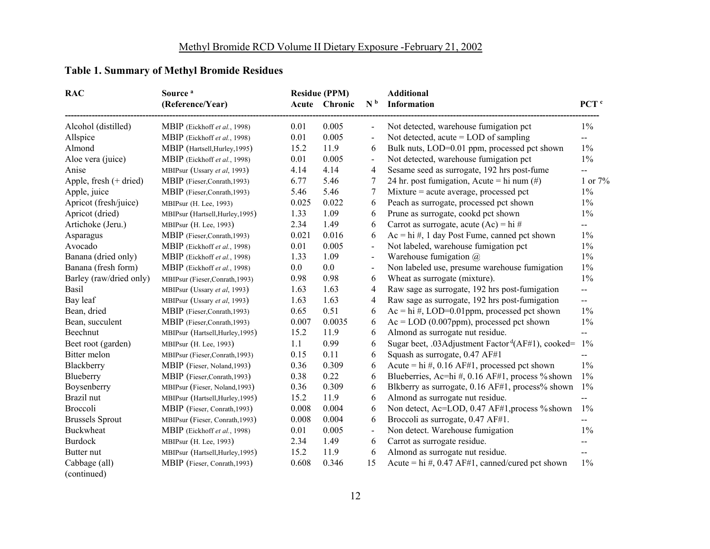## **Table 1. Summary of Methyl Bromide Residues**

| <b>RAC</b>               | Source <sup>a</sup>              |         | <b>Residue (PPM)</b> |                          | <b>Additional</b>                                                |                             |
|--------------------------|----------------------------------|---------|----------------------|--------------------------|------------------------------------------------------------------|-----------------------------|
|                          | (Reference/Year)                 |         | Acute Chronic        | N <sub>b</sub>           | Information                                                      | PCT <sup>c</sup>            |
| Alcohol (distilled)      | MBIP (Eickhoff et al., 1998)     | 0.01    | 0.005                | $\blacksquare$           | Not detected, warehouse fumigation pct                           | $1\%$                       |
| Allspice                 | MBIP (Eickhoff et al., 1998)     | 0.01    | 0.005                | $\overline{\phantom{a}}$ | Not detected, acute $=$ LOD of sampling                          | $\mathcal{L}^{\mathcal{L}}$ |
| Almond                   | MBIP (Hartsell, Hurley, 1995)    | 15.2    | 11.9                 | 6                        | Bulk nuts, LOD=0.01 ppm, processed pct shown                     | $1\%$                       |
| Aloe vera (juice)        | MBIP (Eickhoff et al., 1998)     | 0.01    | 0.005                | $\overline{\phantom{a}}$ | Not detected, warehouse fumigation pct                           | $1\%$                       |
| Anise                    | MBIPsur (Ussary et al, 1993)     | 4.14    | 4.14                 | $\overline{4}$           | Sesame seed as surrogate, 192 hrs post-fume                      | $\mathcal{L}_{\mathcal{F}}$ |
| Apple, fresh $(+$ dried) | MBIP (Fieser, Conrath, 1993)     | 6.77    | 5.46                 | 7                        | 24 hr. post fumigation, Acute = hi num $(\#)$                    | 1 or $7%$                   |
| Apple, juice             | MBIP (Fieser,Conrath, 1993)      | 5.46    | 5.46                 | 7                        | $Mixture = acute average, processed pct$                         | $1\%$                       |
| Apricot (fresh/juice)    | MBIPsur (H. Lee, 1993)           | 0.025   | 0.022                | 6                        | Peach as surrogate, processed pct shown                          | $1\%$                       |
| Apricot (dried)          | MBIPsur (Hartsell, Hurley, 1995) | 1.33    | 1.09                 | 6                        | Prune as surrogate, cookd pct shown                              | $1\%$                       |
| Artichoke (Jeru.)        | MBIPsur (H. Lee, 1993)           | 2.34    | 1.49                 | 6                        | Carrot as surrogate, acute $(Ac) = hi \#$                        | $\overline{\phantom{a}}$    |
| Asparagus                | MBIP (Fieser, Conrath, 1993)     | 0.021   | 0.016                | 6                        | $Ac = hi \#$ , 1 day Post Fume, canned pct shown                 | $1\%$                       |
| Avocado                  | MBIP (Eickhoff et al., 1998)     | 0.01    | 0.005                | $\overline{\phantom{a}}$ | Not labeled, warehouse fumigation pct                            | $1\%$                       |
| Banana (dried only)      | MBIP (Eickhoff et al., 1998)     | 1.33    | 1.09                 | $\overline{\phantom{a}}$ | Warehouse fumigation $(a)$                                       | $1\%$                       |
| Banana (fresh form)      | MBIP (Eickhoff et al., 1998)     | $0.0\,$ | 0.0                  | $\blacksquare$           | Non labeled use, presume warehouse fumigation                    | $1\%$                       |
| Barley (raw/dried only)  | MBIPsur (Fieser,Conrath,1993)    | 0.98    | 0.98                 | 6                        | Wheat as surrogate (mixture).                                    | $1\%$                       |
| Basil                    | MBIPsur (Ussary et al, 1993)     | 1.63    | 1.63                 | 4                        | Raw sage as surrogate, 192 hrs post-fumigation                   | $\overline{\phantom{a}}$    |
| Bay leaf                 | MBIPsur (Ussary et al, 1993)     | 1.63    | 1.63                 | 4                        | Raw sage as surrogate, 192 hrs post-fumigation                   | $-$                         |
| Bean, dried              | MBIP (Fieser,Conrath, 1993)      | 0.65    | 0.51                 | 6                        | $Ac = hi \#$ , LOD=0.01ppm, processed pct shown                  | $1\%$                       |
| Bean, succulent          | MBIP (Fieser, Conrath, 1993)     | 0.007   | 0.0035               | 6                        | $Ac = LOD(0.007ppm)$ , processed pct shown                       | $1\%$                       |
| Beechnut                 | MBIPsur (Hartsell, Hurley, 1995) | 15.2    | 11.9                 | 6                        | Almond as surrogate nut residue.                                 | $\overline{a}$              |
| Beet root (garden)       | MBIPsur (H. Lee, 1993)           | 1.1     | 0.99                 | 6                        | Sugar beet, .03Adjustment Factor <sup>d</sup> (AF#1), cooked= 1% |                             |
| Bitter melon             | MBIPsur (Fieser, Conrath, 1993)  | 0.15    | 0.11                 | 6                        | Squash as surrogate, 0.47 AF#1                                   | --                          |
| Blackberry               | MBIP (Fieser, Noland, 1993)      | 0.36    | 0.309                | 6                        | Acute = hi #, $0.16$ AF#1, processed pct shown                   | $1\%$                       |
| Blueberry                | MBIP (Fieser,Conrath,1993)       | 0.38    | 0.22                 | 6                        | Blueberries, Ac=hi #, 0.16 AF#1, process % shown                 | $1\%$                       |
| Boysenberry              | MBIPsur (Fieser, Noland, 1993)   | 0.36    | 0.309                | 6                        | Blkberry as surrogate, 0.16 AF#1, process% shown                 | 1%                          |
| Brazil nut               | MBIPsur (Hartsell, Hurley, 1995) | 15.2    | 11.9                 | 6                        | Almond as surrogate nut residue.                                 | $\overline{\phantom{a}}$    |
| Broccoli                 | MBIP (Fieser, Conrath, 1993)     | 0.008   | 0.004                | 6                        | Non detect, Ac=LOD, 0.47 AF#1, process % shown                   | 1%                          |
| <b>Brussels Sprout</b>   | MBIPsur (Fieser, Conrath, 1993)  | 0.008   | 0.004                | 6                        | Broccoli as surrogate, 0.47 AF#1.                                | $-$                         |
| Buckwheat                | MBIP (Eickhoff et al., 1998)     | 0.01    | 0.005                | $\overline{\phantom{a}}$ | Non detect. Warehouse fumigation                                 | $1\%$                       |
| <b>Burdock</b>           | MBIPsur (H. Lee, 1993)           | 2.34    | 1.49                 | 6                        | Carrot as surrogate residue.                                     | --                          |
| Butter nut               | MBIPsur (Hartsell, Hurley, 1995) | 15.2    | 11.9                 | 6                        | Almond as surrogate nut residue.                                 | $- -$                       |
| Cabbage (all)            | MBIP (Fieser, Conrath, 1993)     | 0.608   | 0.346                | 15                       | Acute = hi #, 0.47 AF#1, canned/cured pct shown                  | $1\%$                       |
| (continued)              |                                  |         |                      |                          |                                                                  |                             |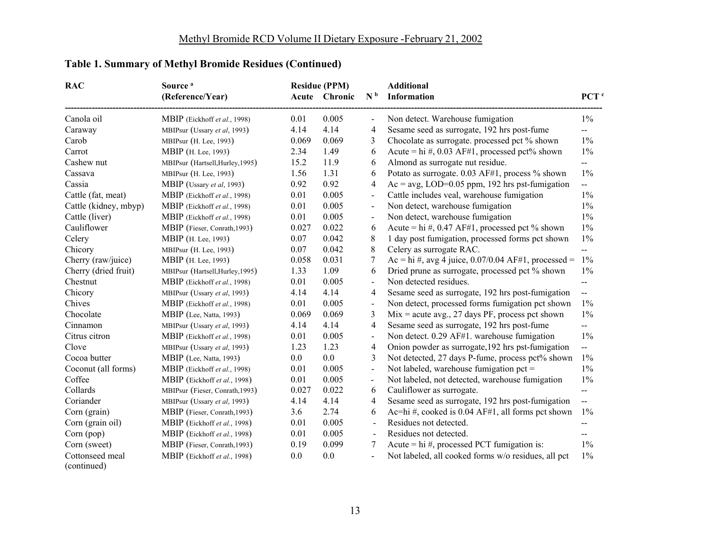| <b>RAC</b>            | Source <sup>a</sup><br>(Reference/Year) |         | <b>Residue (PPM)</b><br>Acute Chronic | N <sup>b</sup>           | <b>Additional</b><br>Information                        | PCT <sup>c</sup>         |
|-----------------------|-----------------------------------------|---------|---------------------------------------|--------------------------|---------------------------------------------------------|--------------------------|
| Canola oil            | MBIP (Eickhoff et al., 1998)            | 0.01    | 0.005                                 |                          | Non detect. Warehouse fumigation                        | $1\%$                    |
| Caraway               | MBIPsur (Ussary et al, 1993)            | 4.14    | 4.14                                  | 4                        | Sesame seed as surrogate, 192 hrs post-fume             | $-$                      |
| Carob                 | MBIPsur (H. Lee, 1993)                  | 0.069   | 0.069                                 | 3                        | Chocolate as surrogate. processed pct % shown           | $1\%$                    |
| Carrot                | MBIP (H. Lee, 1993)                     | 2.34    | 1.49                                  | 6                        | Acute = hi #, 0.03 AF#1, processed pct% shown           | $1\%$                    |
| Cashew nut            | MBIPsur (Hartsell, Hurley, 1995)        | 15.2    | 11.9                                  | 6                        | Almond as surrogate nut residue.                        | --                       |
| Cassava               | MBIPsur (H. Lee, 1993)                  | 1.56    | 1.31                                  | 6                        | Potato as surrogate. 0.03 AF#1, process % shown         | $1\%$                    |
| Cassia                | MBIP (Ussary et al, 1993)               | 0.92    | 0.92                                  | 4                        | $Ac = avg$ , LOD=0.05 ppm, 192 hrs pst-fumigation       | --                       |
| Cattle (fat, meat)    | MBIP (Eickhoff et al., 1998)            | 0.01    | 0.005                                 | $\overline{\phantom{a}}$ | Cattle includes veal, warehouse fumigation              | $1\%$                    |
| Cattle (kidney, mbyp) | MBIP (Eickhoff et al., 1998)            | 0.01    | 0.005                                 | $\blacksquare$           | Non detect, warehouse fumigation                        | $1\%$                    |
| Cattle (liver)        | MBIP (Eickhoff et al., 1998)            | 0.01    | 0.005                                 | $\overline{\phantom{a}}$ | Non detect, warehouse fumigation                        | $1\%$                    |
| Cauliflower           | MBIP (Fieser, Conrath, 1993)            | 0.027   | 0.022                                 | 6                        | Acute = hi #, 0.47 AF#1, processed pct % shown          | $1\%$                    |
| Celery                | MBIP (H. Lee, 1993)                     | 0.07    | 0.042                                 | 8                        | 1 day post fumigation, processed forms pct shown        | $1\%$                    |
| Chicory               | MBIPsur (H. Lee, 1993)                  | 0.07    | 0.042                                 | 8                        | Celery as surrogate RAC.                                | $-$                      |
| Cherry (raw/juice)    | MBIP (H. Lee, 1993)                     | 0.058   | 0.031                                 | 7                        | Ac = hi #, avg 4 juice, $0.07/0.04$ AF#1, processed =   | $1\%$                    |
| Cherry (dried fruit)  | MBIPsur (Hartsell, Hurley, 1995)        | 1.33    | 1.09                                  | 6                        | Dried prune as surrogate, processed pct % shown         | $1\%$                    |
| Chestnut              | MBIP (Eickhoff et al., 1998)            | 0.01    | 0.005                                 | $\overline{\phantom{a}}$ | Non detected residues.                                  | $- -$                    |
| Chicory               | MBIPsur (Ussary et al, 1993)            | 4.14    | 4.14                                  | 4                        | Sesame seed as surrogate, 192 hrs post-fumigation       | $\overline{a}$           |
| Chives                | MBIP (Eickhoff et al., 1998)            | 0.01    | 0.005                                 | $\overline{\phantom{a}}$ | Non detect, processed forms fumigation pct shown        | $1\%$                    |
| Chocolate             | MBIP (Lee, Natta, 1993)                 | 0.069   | 0.069                                 | 3                        | $Mix = acute avg., 27 days PF, process pct shown$       | $1\%$                    |
| Cinnamon              | MBIPsur (Ussary et al, 1993)            | 4.14    | 4.14                                  | $\overline{4}$           | Sesame seed as surrogate, 192 hrs post-fume             | --                       |
| Citrus citron         | MBIP (Eickhoff et al., 1998)            | 0.01    | 0.005                                 | $\overline{\phantom{a}}$ | Non detect. 0.29 AF#1. warehouse fumigation             | $1\%$                    |
| Clove                 | MBIPsur (Ussary et al, 1993)            | 1.23    | 1.23                                  | $\overline{4}$           | Onion powder as surrogate, 192 hrs pst-fumigation       | $\overline{\phantom{a}}$ |
| Cocoa butter          | MBIP (Lee, Natta, 1993)                 | $0.0\,$ | $0.0\,$                               | 3                        | Not detected, 27 days P-fume, process pct% shown        | 1%                       |
| Coconut (all forms)   | MBIP (Eickhoff et al., 1998)            | 0.01    | 0.005                                 | $\blacksquare$           | Not labeled, warehouse fumigation pct =                 | $1\%$                    |
| Coffee                | MBIP (Eickhoff et al., 1998)            | 0.01    | 0.005                                 | $\blacksquare$           | Not labeled, not detected, warehouse fumigation         | $1\%$                    |
| Collards              | MBIPsur (Fieser, Conrath, 1993)         | 0.027   | 0.022                                 | 6                        | Cauliflower as surrogate.                               | $- -$                    |
| Coriander             | MBIPsur (Ussary et al, 1993)            | 4.14    | 4.14                                  | 4                        | Sesame seed as surrogate, 192 hrs post-fumigation       | $\overline{a}$           |
| Corn (grain)          | MBIP (Fieser, Conrath, 1993)            | 3.6     | 2.74                                  | 6                        | Ac=hi #, cooked is $0.04$ AF#1, all forms pct shown     | $1\%$                    |
| Corn (grain oil)      | MBIP (Eickhoff et al., 1998)            | 0.01    | 0.005                                 | $\blacksquare$           | Residues not detected.                                  | --                       |
| Corn (pop)            | MBIP (Eickhoff et al., 1998)            | 0.01    | 0.005                                 |                          | Residues not detected.                                  | $-$                      |
| Corn (sweet)          | MBIP (Fieser, Conrath, 1993)            | 0.19    | 0.099                                 | 7                        | Acute = $\overline{hi}$ #, processed PCT fumigation is: | $1\%$                    |
| Cottonseed meal       | MBIP (Eickhoff et al., 1998)            | 0.0     | 0.0                                   |                          | Not labeled, all cooked forms w/o residues, all pct     | $1\%$                    |
| (continued)           |                                         |         |                                       |                          |                                                         |                          |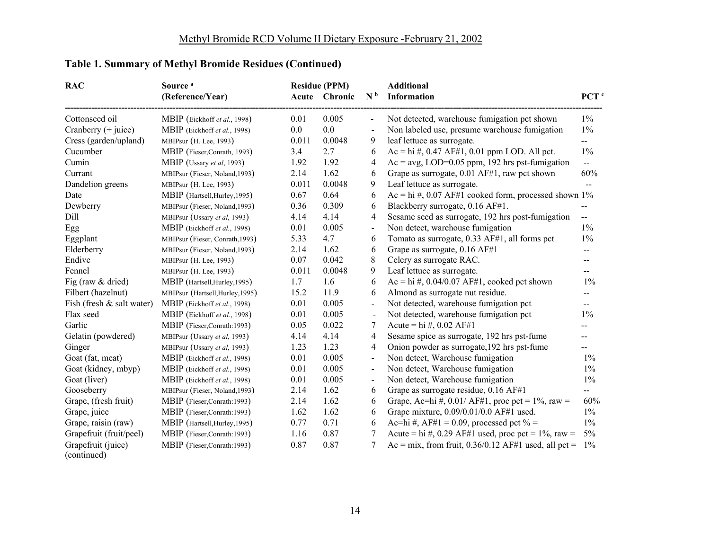| <b>RAC</b>                | Source <sup>a</sup><br>(Reference/Year) |         | <b>Residue (PPM)</b><br>Acute Chronic | N <sub>b</sub>           | <b>Additional</b><br><b>Information</b>                 | PCT <sup>c</sup>         |
|---------------------------|-----------------------------------------|---------|---------------------------------------|--------------------------|---------------------------------------------------------|--------------------------|
|                           |                                         |         |                                       |                          |                                                         |                          |
| Cottonseed oil            | MBIP (Eickhoff et al., 1998)            | 0.01    | 0.005                                 |                          | Not detected, warehouse fumigation pct shown            | $1\%$                    |
| Cranberry (+ juice)       | MBIP (Eickhoff et al., 1998)            | $0.0\,$ | 0.0                                   | $\overline{\phantom{a}}$ | Non labeled use, presume warehouse fumigation           | $1\%$                    |
| Cress (garden/upland)     | MBIPsur (H. Lee, 1993)                  | 0.011   | 0.0048                                | 9                        | leaf lettuce as surrogate.                              | $-$                      |
| Cucumber                  | MBIP (Fieser, Conrath, 1993)            | 3.4     | 2.7                                   | 6                        | $Ac = hi \#$ , 0.47 AF#1, 0.01 ppm LOD. All pct.        | $1\%$                    |
| Cumin                     | MBIP (Ussary et al, 1993)               | 1.92    | 1.92                                  | 4                        | $Ac = avg$ , LOD=0.05 ppm, 192 hrs pst-fumigation       | $\overline{\phantom{a}}$ |
| Currant                   | MBIPsur (Fieser, Noland, 1993)          | 2.14    | 1.62                                  | 6                        | Grape as surrogate, 0.01 AF#1, raw pct shown            | 60%                      |
| Dandelion greens          | MBIPsur (H. Lee, 1993)                  | 0.011   | 0.0048                                | 9                        | Leaf lettuce as surrogate.                              | $-$                      |
| Date                      | MBIP (Hartsell, Hurley, 1995)           | 0.67    | 0.64                                  | 6                        | Ac = hi #, 0.07 AF#1 cooked form, processed shown $1\%$ |                          |
| Dewberry                  | MBIPsur (Fieser, Noland, 1993)          | 0.36    | 0.309                                 | 6                        | Blackberry surrogate, 0.16 AF#1.                        |                          |
| Dill                      | MBIPsur (Ussary et al, 1993)            | 4.14    | 4.14                                  | 4                        | Sesame seed as surrogate, 192 hrs post-fumigation       | --                       |
| Egg                       | MBIP (Eickhoff et al., 1998)            | 0.01    | 0.005                                 | $\overline{a}$           | Non detect, warehouse fumigation                        | $1\%$                    |
| Eggplant                  | MBIPsur (Fieser, Conrath, 1993)         | 5.33    | 4.7                                   | 6                        | Tomato as surrogate, 0.33 AF#1, all forms pct           | $1\%$                    |
| Elderberry                | MBIPsur (Fieser, Noland, 1993)          | 2.14    | 1.62                                  | 6                        | Grape as surrogate, 0.16 AF#1                           | $-$                      |
| Endive                    | MBIPsur (H. Lee, 1993)                  | 0.07    | 0.042                                 | 8                        | Celery as surrogate RAC.                                | $-$                      |
| Fennel                    | MBIPsur (H. Lee, 1993)                  | 0.011   | 0.0048                                | 9                        | Leaf lettuce as surrogate.                              | $\overline{a}$           |
| Fig (raw & dried)         | MBIP (Hartsell, Hurley, 1995)           | 1.7     | 1.6                                   | 6                        | Ac = hi #, $0.04/0.07$ AF#1, cooked pct shown           | $1\%$                    |
| Filbert (hazelnut)        | MBIPsur (Hartsell, Hurley, 1995)        | 15.2    | 11.9                                  | 6                        | Almond as surrogate nut residue.                        | --                       |
| Fish (fresh & salt water) | MBIP (Eickhoff et al., 1998)            | 0.01    | 0.005                                 |                          | Not detected, warehouse fumigation pct                  | $\overline{\phantom{a}}$ |
| Flax seed                 | MBIP (Eickhoff et al., 1998)            | 0.01    | 0.005                                 |                          | Not detected, warehouse fumigation pct                  | $1\%$                    |
| Garlic                    | MBIP (Fieser, Conrath: 1993)            | 0.05    | 0.022                                 | 7                        | Acute = hi #, 0.02 AF#1                                 |                          |
| Gelatin (powdered)        | MBIPsur (Ussary et al, 1993)            | 4.14    | 4.14                                  | 4                        | Sesame spice as surrogate, 192 hrs pst-fume             |                          |
| Ginger                    | MBIPsur (Ussary et al, 1993)            | 1.23    | 1.23                                  | 4                        | Onion powder as surrogate, 192 hrs pst-fume             | $-$                      |
| Goat (fat, meat)          | MBIP (Eickhoff et al., 1998)            | 0.01    | 0.005                                 | $\overline{\phantom{a}}$ | Non detect, Warehouse fumigation                        | $1\%$                    |
| Goat (kidney, mbyp)       | MBIP (Eickhoff et al., 1998)            | 0.01    | 0.005                                 | $\blacksquare$           | Non detect, Warehouse fumigation                        | $1\%$                    |
| Goat (liver)              | MBIP (Eickhoff et al., 1998)            | 0.01    | 0.005                                 | $\overline{\phantom{a}}$ | Non detect, Warehouse fumigation                        | $1\%$                    |
| Gooseberry                | MBIPsur (Fieser, Noland, 1993)          | 2.14    | 1.62                                  | 6                        | Grape as surrogate residue, 0.16 AF#1                   | $- -$                    |
| Grape, (fresh fruit)      | MBIP (Fieser, Conrath: 1993)            | 2.14    | 1.62                                  | 6                        | Grape, Ac=hi #, 0.01/ AF#1, proc pct = $1\%$ , raw =    | 60%                      |
| Grape, juice              | MBIP (Fieser,Conrath:1993)              | 1.62    | 1.62                                  | 6                        | Grape mixture, 0.09/0.01/0.0 AF#1 used.                 | $1\%$                    |
| Grape, raisin (raw)       | MBIP (Hartsell, Hurley, 1995)           | 0.77    | 0.71                                  | 6                        | Ac=hi #, AF#1 = 0.09, processed pct % =                 | $1\%$                    |
| Grapefruit (fruit/peel)   | MBIP (Fieser, Conrath: 1993)            | 1.16    | 0.87                                  | 7                        | Acute = hi #, 0.29 AF#1 used, proc pct = $1\%$ , raw =  | $5\%$                    |
| Grapefruit (juice)        | MBIP (Fieser,Conrath:1993)              | 0.87    | 0.87                                  | 7                        | Ac = mix, from fruit, $0.36/0.12$ AF#1 used, all pct =  | $1\%$                    |
| (continued)               |                                         |         |                                       |                          |                                                         |                          |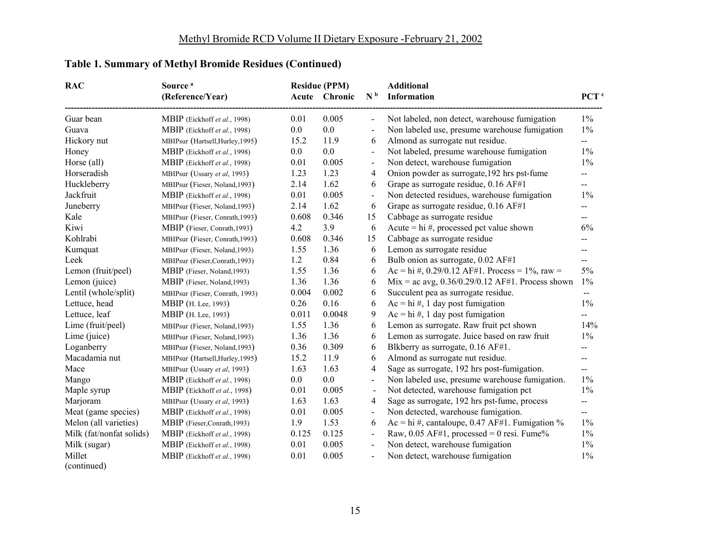| <b>RAC</b>               | Source <sup>a</sup><br>(Reference/Year) |         | <b>Residue (PPM)</b><br>Acute Chronic | N <sup>b</sup>           | <b>Additional</b><br><b>Information</b>            | PCT <sup>c</sup>         |
|--------------------------|-----------------------------------------|---------|---------------------------------------|--------------------------|----------------------------------------------------|--------------------------|
|                          |                                         |         |                                       |                          |                                                    |                          |
| Guar bean                | MBIP (Eickhoff et al., 1998)            | 0.01    | 0.005                                 |                          | Not labeled, non detect, warehouse fumigation      | $1\%$                    |
| Guava                    | MBIP (Eickhoff et al., 1998)            | 0.0     | 0.0                                   |                          | Non labeled use, presume warehouse fumigation      | $1\%$                    |
| Hickory nut              | MBIPsur (Hartsell, Hurley, 1995)        | 15.2    | 11.9                                  | 6                        | Almond as surrogate nut residue.                   | --                       |
| Honey                    | MBIP (Eickhoff et al., 1998)            | $0.0\,$ | $0.0\,$                               |                          | Not labeled, presume warehouse fumigation          | $1\%$                    |
| Horse (all)              | MBIP (Eickhoff et al., 1998)            | 0.01    | 0.005                                 | $\blacksquare$           | Non detect, warehouse fumigation                   | $1\%$                    |
| Horseradish              | MBIPsur (Ussary et al, 1993)            | 1.23    | 1.23                                  | 4                        | Onion powder as surrogate, 192 hrs pst-fume        | --                       |
| Huckleberry              | MBIPsur (Fieser, Noland, 1993)          | 2.14    | 1.62                                  | 6                        | Grape as surrogate residue, 0.16 AF#1              | $- -$                    |
| Jackfruit                | MBIP (Eickhoff et al., 1998)            | 0.01    | 0.005                                 | $\overline{\phantom{a}}$ | Non detected residues, warehouse fumigation        | $1\%$                    |
| Juneberry                | MBIPsur (Fieser, Noland, 1993)          | 2.14    | 1.62                                  | 6                        | Grape as surrogate residue, 0.16 AF#1              | $- -$                    |
| Kale                     | MBIPsur (Fieser, Conrath, 1993)         | 0.608   | 0.346                                 | 15                       | Cabbage as surrogate residue                       | $\overline{\phantom{a}}$ |
| Kiwi                     | MBIP (Fieser, Conrath, 1993)            | 4.2     | 3.9                                   | 6                        | Acute = $\mathrm{hi}$ #, processed pct value shown | 6%                       |
| Kohlrabi                 | MBIPsur (Fieser, Conrath, 1993)         | 0.608   | 0.346                                 | 15                       | Cabbage as surrogate residue                       | --                       |
| Kumquat                  | MBIPsur (Fieser, Noland, 1993)          | 1.55    | 1.36                                  | 6                        | Lemon as surrogate residue                         | $\overline{a}$           |
| Leek                     | MBIPsur (Fieser,Conrath,1993)           | 1.2     | 0.84                                  | 6                        | Bulb onion as surrogate, 0.02 AF#1                 | $\overline{a}$           |
| Lemon (fruit/peel)       | MBIP (Fieser, Noland, 1993)             | 1.55    | 1.36                                  | 6                        | Ac = hi #, 0.29/0.12 AF#1. Process = $1\%$ , raw = | $5\%$                    |
| Lemon (juice)            | MBIP (Fieser, Noland, 1993)             | 1.36    | 1.36                                  | 6                        | Mix = ac avg, $0.36/0.29/0.12$ AF#1. Process shown | $1\%$                    |
| Lentil (whole/split)     | MBIPsur (Fieser, Conrath, 1993)         | 0.004   | 0.002                                 | 6                        | Succulent pea as surrogate residue.                | $\overline{\phantom{a}}$ |
| Lettuce, head            | MBIP (H. Lee, 1993)                     | 0.26    | 0.16                                  | 6                        | $Ac = hi \#$ , 1 day post fumigation               | $1\%$                    |
| Lettuce, leaf            | MBIP (H. Lee, 1993)                     | 0.011   | 0.0048                                | 9                        | $Ac = hi \#$ , 1 day post fumigation               | $\qquad \qquad -$        |
| Lime (fruit/peel)        | MBIPsur (Fieser, Noland, 1993)          | 1.55    | 1.36                                  | 6                        | Lemon as surrogate. Raw fruit pct shown            | 14%                      |
| Lime (juice)             | MBIPsur (Fieser, Noland, 1993)          | 1.36    | 1.36                                  | 6                        | Lemon as surrogate. Juice based on raw fruit       | $1\%$                    |
| Loganberry               | MBIPsur (Fieser, Noland, 1993)          | 0.36    | 0.309                                 | 6                        | Blkberry as surrogate, 0.16 AF#1.                  | $\overline{a}$           |
| Macadamia nut            | MBIPsur (Hartsell, Hurley, 1995)        | 15.2    | 11.9                                  | 6                        | Almond as surrogate nut residue.                   | $- -$                    |
| Mace                     | MBIPsur (Ussary et al, 1993)            | 1.63    | 1.63                                  | $\overline{4}$           | Sage as surrogate, 192 hrs post-fumigation.        | $-$                      |
| Mango                    | MBIP (Eickhoff et al., 1998)            | $0.0\,$ | $0.0\,$                               | $\blacksquare$           | Non labeled use, presume warehouse fumigation.     | $1\%$                    |
| Maple syrup              | MBIP (Eickhoff et al., 1998)            | 0.01    | 0.005                                 | $\blacksquare$           | Not detected, warehouse fumigation pct             | $1\%$                    |
| Marjoram                 | MBIPsur (Ussary et al, 1993)            | 1.63    | 1.63                                  | 4                        | Sage as surrogate, 192 hrs pst-fume, process       | $\overline{\phantom{a}}$ |
| Meat (game species)      | MBIP (Eickhoff et al., 1998)            | 0.01    | 0.005                                 | $\blacksquare$           | Non detected, warehouse fumigation.                | $- -$                    |
| Melon (all varieties)    | MBIP (Fieser,Conrath, 1993)             | 1.9     | 1.53                                  | 6                        | Ac = hi #, cantaloupe, $0.47$ AF#1. Fumigation %   | $1\%$                    |
| Milk (fat/nonfat solids) | MBIP (Eickhoff et al., 1998)            | 0.125   | 0.125                                 | $\overline{\phantom{a}}$ | Raw, $0.05$ AF#1, processed = 0 resi. Fume%        | $1\%$                    |
| Milk (sugar)             | MBIP (Eickhoff et al., 1998)            | 0.01    | 0.005                                 | $\blacksquare$           | Non detect, warehouse fumigation                   | $1\%$                    |
| Millet                   | MBIP (Eickhoff et al., 1998)            | 0.01    | 0.005                                 |                          | Non detect, warehouse fumigation                   | $1\%$                    |
| (continued)              |                                         |         |                                       |                          |                                                    |                          |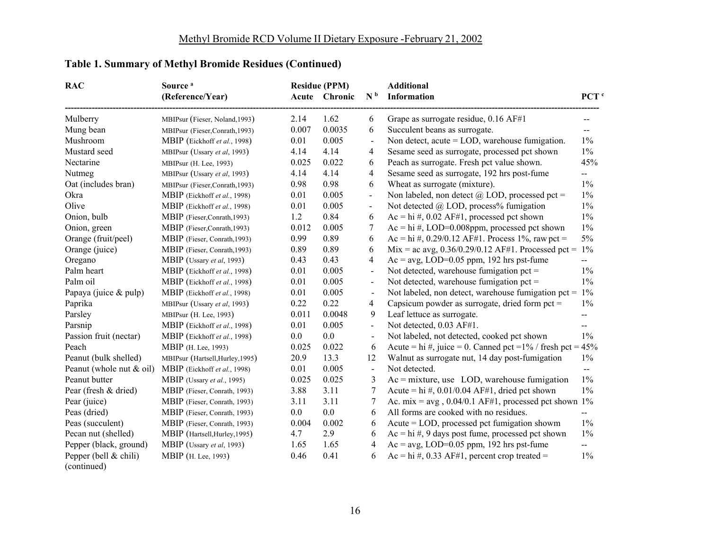| <b>RAC</b>                           | Source <sup>a</sup><br>(Reference/Year) |         | <b>Residue (PPM)</b><br>Acute Chronic | N <sub>b</sub>           | <b>Additional</b><br>Information                                 | PCT <sup>c</sup> |
|--------------------------------------|-----------------------------------------|---------|---------------------------------------|--------------------------|------------------------------------------------------------------|------------------|
|                                      |                                         |         |                                       |                          |                                                                  |                  |
| Mulberry                             | MBIPsur (Fieser, Noland, 1993)          | 2.14    | 1.62                                  | 6                        | Grape as surrogate residue, 0.16 AF#1                            |                  |
| Mung bean                            | MBIPsur (Fieser,Conrath,1993)           | 0.007   | 0.0035                                | 6                        | Succulent beans as surrogate.                                    | --               |
| Mushroom                             | MBIP (Eickhoff et al., 1998)            | 0.01    | 0.005                                 | $\blacksquare$           | Non detect, acute $=$ LOD, warehouse fumigation.                 | $1\%$            |
| Mustard seed                         | MBIPsur (Ussary et al, 1993)            | 4.14    | 4.14                                  | 4                        | Sesame seed as surrogate, processed pct shown                    | $1\%$            |
| Nectarine                            | MBIPsur (H. Lee, 1993)                  | 0.025   | 0.022                                 | 6                        | Peach as surrogate. Fresh pct value shown.                       | 45%              |
| Nutmeg                               | MBIPsur (Ussary et al, 1993)            | 4.14    | 4.14                                  | 4                        | Sesame seed as surrogate, 192 hrs post-fume                      | --               |
| Oat (includes bran)                  | MBIPsur (Fieser,Conrath,1993)           | 0.98    | 0.98                                  | 6                        | Wheat as surrogate (mixture).                                    | $1\%$            |
| Okra                                 | MBIP (Eickhoff et al., 1998)            | 0.01    | 0.005                                 | $\blacksquare$           | Non labeled, non detect @ LOD, processed pct =                   | $1\%$            |
| Olive                                | MBIP (Eickhoff et al., 1998)            | 0.01    | 0.005                                 | $\blacksquare$           | Not detected @ LOD, process% fumigation                          | $1\%$            |
| Onion, bulb                          | MBIP (Fieser,Conrath, 1993)             | 1.2     | 0.84                                  | 6                        | $Ac = hi \#$ , 0.02 AF#1, processed pct shown                    | $1\%$            |
| Onion, green                         | MBIP (Fieser,Conrath, 1993)             | 0.012   | 0.005                                 | 7                        | $Ac = hi \#$ , LOD=0.008ppm, processed pct shown                 | $1\%$            |
| Orange (fruit/peel)                  | MBIP (Fieser, Conrath, 1993)            | 0.99    | 0.89                                  | 6                        | Ac = hi #, 0.29/0.12 AF#1. Process 1%, raw pct =                 | $5\%$            |
| Orange (juice)                       | MBIP (Fieser, Conrath, 1993)            | 0.89    | 0.89                                  | 6                        | Mix = ac avg, $0.36/0.29/0.12$ AF#1. Processed pct =             | 1%               |
| Oregano                              | MBIP (Ussary et al, 1993)               | 0.43    | 0.43                                  | 4                        | $Ac = avg$ , LOD=0.05 ppm, 192 hrs pst-fume                      | $-$              |
| Palm heart                           | MBIP (Eickhoff et al., 1998)            | 0.01    | 0.005                                 | $\blacksquare$           | Not detected, warehouse fumigation pct $=$                       | $1\%$            |
| Palm oil                             | MBIP (Eickhoff et al., 1998)            | 0.01    | 0.005                                 | $\overline{\phantom{m}}$ | Not detected, warehouse fumigation pct $=$                       | $1\%$            |
| Papaya (juice & pulp)                | MBIP (Eickhoff et al., 1998)            | 0.01    | 0.005                                 |                          | Not labeled, non detect, warehouse fumigation $pet =$            | $1\%$            |
| Paprika                              | MBIPsur (Ussary et al, 1993)            | 0.22    | 0.22                                  | 4                        | Capsicum powder as surrogate, dried form pct $=$                 | $1\%$            |
| Parsley                              | MBIPsur (H. Lee, 1993)                  | 0.011   | 0.0048                                | 9                        | Leaf lettuce as surrogate.                                       | --               |
| Parsnip                              | MBIP (Eickhoff et al., 1998)            | 0.01    | 0.005                                 | $\blacksquare$           | Not detected, 0.03 AF#1.                                         | --               |
| Passion fruit (nectar)               | MBIP (Eickhoff et al., 1998)            | $0.0\,$ | $0.0\,$                               |                          | Not labeled, not detected, cooked pct shown                      | $1\%$            |
| Peach                                | MBIP (H. Lee, 1993)                     | 0.025   | 0.022                                 | 6                        | Acute = hi #, juice = 0. Canned pct = $1\%$ / fresh pct = $45\%$ |                  |
| Peanut (bulk shelled)                | MBIPsur (Hartsell, Hurley, 1995)        | 20.9    | 13.3                                  | 12                       | Walnut as surrogate nut, 14 day post-fumigation                  | $1\%$            |
| Peanut (whole nut & oil)             | MBIP (Eickhoff et al., 1998)            | 0.01    | 0.005                                 | $\overline{\phantom{a}}$ | Not detected.                                                    | --               |
| Peanut butter                        | MBIP (Ussary et al., 1995)              | 0.025   | 0.025                                 | 3                        | $Ac = mixture$ , use LOD, warehouse fumigation                   | $1\%$            |
| Pear (fresh & dried)                 | MBIP (Fieser, Conrath, 1993)            | 3.88    | 3.11                                  | 7                        | Acute = hi #, $0.01/0.04$ AF#1, dried pct shown                  | $1\%$            |
| Pear (juice)                         | MBIP (Fieser, Conrath, 1993)            | 3.11    | 3.11                                  | 7                        | Ac. mix = $avg$ , 0.04/0.1 AF#1, processed pct shown 1%          |                  |
| Peas (dried)                         | MBIP (Fieser, Conrath, 1993)            | $0.0\,$ | 0.0                                   | 6                        | All forms are cooked with no residues.                           | $\overline{a}$   |
| Peas (succulent)                     | MBIP (Fieser, Conrath, 1993)            | 0.004   | 0.002                                 | 6                        | Acute = LOD, processed pct fumigation showm                      | $1\%$            |
| Pecan nut (shelled)                  | MBIP (Hartsell, Hurley, 1995)           | 4.7     | 2.9                                   | 6                        | $Ac = hi \#$ , 9 days post fume, processed pct shown             | $1\%$            |
| Pepper (black, ground)               | MBIP (Ussary et al, 1993)               | 1.65    | 1.65                                  | 4                        | $Ac = avg$ , LOD=0.05 ppm, 192 hrs pst-fume                      | $-$              |
| Pepper (bell & chili)<br>(continued) | MBIP (H. Lee, 1993)                     | 0.46    | 0.41                                  | 6                        | $Ac = hi \#$ , 0.33 AF#1, percent crop treated =                 | $1\%$            |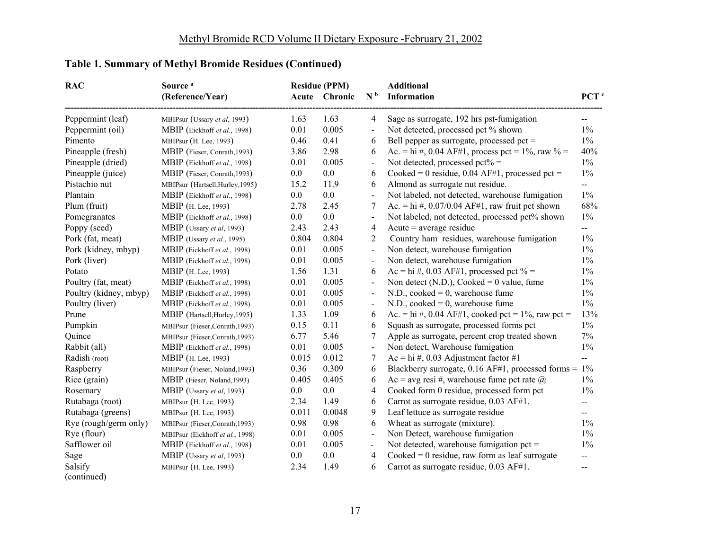| <b>RAC</b>             | Source <sup>a</sup>              |          | <b>Residue (PPM)</b> |                          | <b>Additional</b>                                        |                                               |
|------------------------|----------------------------------|----------|----------------------|--------------------------|----------------------------------------------------------|-----------------------------------------------|
|                        | (Reference/Year)                 | Acute    | Chronic              | N <sup>b</sup>           | <b>Information</b>                                       | PCT <sup>c</sup>                              |
| Peppermint (leaf)      | MBIPsur (Ussary et al, 1993)     | 1.63     | 1.63                 | 4                        | Sage as surrogate, 192 hrs pst-fumigation                | $\overline{a}$                                |
| Peppermint (oil)       | MBIP (Eickhoff et al., 1998)     | 0.01     | 0.005                | $\blacksquare$           | Not detected, processed pct % shown                      | $1\%$                                         |
| Pimento                | MBIPsur (H. Lee, 1993)           | 0.46     | 0.41                 | 6                        | Bell pepper as surrogate, processed pct =                | $1\%$                                         |
| Pineapple (fresh)      | MBIP (Fieser, Conrath, 1993)     | 3.86     | 2.98                 | 6                        | Ac. = hi #, 0.04 AF#1, process pct = $1\%$ , raw $\%$ =  | 40%                                           |
| Pineapple (dried)      | MBIP (Eickhoff et al., 1998)     | 0.01     | 0.005                | $\blacksquare$           | Not detected, processed $pet\% =$                        | $1\%$                                         |
| Pineapple (juice)      | MBIP (Fieser, Conrath, 1993)     | $0.0\,$  | $0.0\,$              | 6                        | Cooked = 0 residue, $0.04$ AF#1, processed pct =         | $1\%$                                         |
| Pistachio nut          | MBIPsur (Hartsell, Hurley, 1995) | 15.2     | 11.9                 | 6                        | Almond as surrogate nut residue.                         | $-$                                           |
| Plantain               | MBIP (Eickhoff et al., 1998)     | $0.0\,$  | $0.0\,$              | $\blacksquare$           | Not labeled, not detected, warehouse fumigation          | $1\%$                                         |
| Plum (fruit)           | MBIP (H. Lee, 1993)              | 2.78     | 2.45                 | 7                        | Ac. = hi #, $0.07/0.04$ AF#1, raw fruit pct shown        | 68%                                           |
| Pomegranates           | MBIP (Eickhoff et al., 1998)     | $0.0\,$  | $0.0\,$              | $\blacksquare$           | Not labeled, not detected, processed pct% shown          | $1\%$                                         |
| Poppy (seed)           | MBIP (Ussary et al, 1993)        | 2.43     | 2.43                 | $\overline{4}$           | $Acute = average residue$                                | $-$                                           |
| Pork (fat, meat)       | MBIP (Ussary et al., 1995)       | 0.804    | 0.804                | $\overline{2}$           | Country ham residues, warehouse fumigation               | $1\%$                                         |
| Pork (kidney, mbyp)    | MBIP (Eickhoff et al., 1998)     | 0.01     | 0.005                | $\mathbf{r}$             | Non detect, warehouse fumigation                         | $1\%$                                         |
| Pork (liver)           | MBIP (Eickhoff et al., 1998)     | 0.01     | 0.005                | $\blacksquare$           | Non detect, warehouse fumigation                         | $1\%$                                         |
| Potato                 | MBIP (H. Lee, 1993)              | 1.56     | 1.31                 | 6                        | Ac = hi #, 0.03 AF#1, processed pct % =                  | $1\%$                                         |
| Poultry (fat, meat)    | MBIP (Eickhoff et al., 1998)     | 0.01     | 0.005                | $\blacksquare$           | Non detect (N.D.), Cooked = 0 value, fume                | $1\%$                                         |
| Poultry (kidney, mbyp) | MBIP (Eickhoff et al., 1998)     | 0.01     | 0.005                | $\blacksquare$           | N.D., cooked = $0$ , warehouse fume                      | $1\%$                                         |
| Poultry (liver)        | MBIP (Eickhoff et al., 1998)     | 0.01     | 0.005                | $\blacksquare$           | N.D., cooked = $0$ , warehouse fume                      | $1\%$                                         |
| Prune                  | MBIP (Hartsell, Hurley, 1995)    | 1.33     | 1.09                 | 6                        | Ac. = hi #, 0.04 AF#1, cooked pct = $1\%$ , raw pct =    | 13%                                           |
| Pumpkin                | MBIPsur (Fieser,Conrath,1993)    | 0.15     | 0.11                 | 6                        | Squash as surrogate, processed forms pct                 | $1\%$                                         |
| Quince                 | MBIPsur (Fieser, Conrath, 1993)  | 6.77     | 5.46                 | 7                        | Apple as surrogate, percent crop treated shown           | 7%                                            |
| Rabbit (all)           | MBIP (Eickhoff et al., 1998)     | 0.01     | 0.005                | $\blacksquare$           | Non detect, Warehouse fumigation                         | $1\%$                                         |
| Radish (root)          | MBIP (H. Lee, 1993)              | 0.015    | 0.012                | 7                        | Ac = hi #, 0.03 Adjustment factor #1                     | $-$                                           |
| Raspberry              | MBIPsur (Fieser, Noland, 1993)   | 0.36     | 0.309                | 6                        | Blackberry surrogate, 0.16 AF#1, processed forms = $1\%$ |                                               |
| Rice (grain)           | MBIP (Fieser, Noland, 1993)      | 0.405    | 0.405                | 6                        | Ac = avg resi #, warehouse fume pct rate $\omega$        | $1\%$                                         |
| Rosemary               | MBIP (Ussary et al, 1993)        | $0.0\,$  | $0.0\,$              | $\overline{\mathbf{4}}$  | Cooked form 0 residue, processed form pct                | $1\%$                                         |
| Rutabaga (root)        | MBIPsur (H. Lee, 1993)           | 2.34     | 1.49                 | 6                        | Carrot as surrogate residue, 0.03 AF#1.                  | $\mathord{\hspace{1pt}\text{--}\hspace{1pt}}$ |
| Rutabaga (greens)      | MBIPsur (H. Lee, 1993)           | 0.011    | 0.0048               | 9                        | Leaf lettuce as surrogate residue                        | $-$                                           |
| Rye (rough/germ only)  | MBIPsur (Fieser,Conrath,1993)    | 0.98     | 0.98                 | 6                        | Wheat as surrogate (mixture).                            | $1\%$                                         |
| Rye (flour)            | MBIPsur (Eickhoff et al., 1998)  | $0.01\,$ | 0.005                | $\blacksquare$           | Non Detect, warehouse fumigation                         | $1\%$                                         |
| Safflower oil          | MBIP (Eickhoff et al., 1998)     | 0.01     | 0.005                | $\overline{\phantom{a}}$ | Not detected, warehouse fumigation pct =                 | $1\%$                                         |
| Sage                   | MBIP (Ussary et al, 1993)        | $0.0\,$  | $0.0\,$              | 4                        | Cooked = $0$ residue, raw form as leaf surrogate         | $\mathord{\hspace{1pt}\text{--}\hspace{1pt}}$ |
| Salsify                | MBIPsur (H. Lee, 1993)           | 2.34     | 1.49                 | 6                        | Carrot as surrogate residue, 0.03 AF#1.                  | $- -$                                         |
| (continued)            |                                  |          |                      |                          |                                                          |                                               |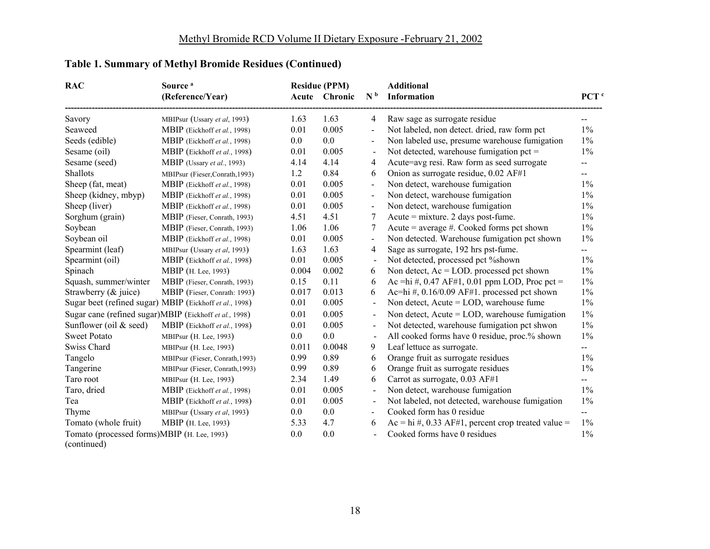| <b>RAC</b>                                                 | Source <sup>a</sup>                                     |         | <b>Residue (PPM)</b> |                          | <b>Additional</b>                                      |                  |
|------------------------------------------------------------|---------------------------------------------------------|---------|----------------------|--------------------------|--------------------------------------------------------|------------------|
|                                                            | (Reference/Year)                                        |         | Acute Chronic        | N <sub>b</sub>           | Information                                            | PCT <sup>c</sup> |
| Savory                                                     | MBIPsur (Ussary et al, 1993)                            | 1.63    | 1.63                 | 4                        | Raw sage as surrogate residue                          |                  |
| Seaweed                                                    | MBIP (Eickhoff et al., 1998)                            | 0.01    | 0.005                | $\overline{\phantom{a}}$ | Not labeled, non detect. dried, raw form pct           | $1\%$            |
| Seeds (edible)                                             | MBIP (Eickhoff et al., 1998)                            | $0.0\,$ | 0.0                  | $\overline{\phantom{a}}$ | Non labeled use, presume warehouse fumigation          | $1\%$            |
| Sesame (oil)                                               | MBIP (Eickhoff et al., 1998)                            | 0.01    | 0.005                | $\blacksquare$           | Not detected, warehouse fumigation pct $=$             | $1\%$            |
| Sesame (seed)                                              | MBIP (Ussary et al., 1993)                              | 4.14    | 4.14                 | 4                        | Acute=avg resi. Raw form as seed surrogate             | --               |
| Shallots                                                   | MBIPsur (Fieser,Conrath,1993)                           | 1.2     | 0.84                 | 6                        | Onion as surrogate residue, 0.02 AF#1                  | --               |
| Sheep (fat, meat)                                          | MBIP (Eickhoff et al., 1998)                            | 0.01    | 0.005                | $\overline{\phantom{0}}$ | Non detect, warehouse fumigation                       | $1\%$            |
| Sheep (kidney, mbyp)                                       | MBIP (Eickhoff et al., 1998)                            | 0.01    | 0.005                | $\overline{a}$           | Non detect, warehouse fumigation                       | $1\%$            |
| Sheep (liver)                                              | MBIP (Eickhoff et al., 1998)                            | 0.01    | 0.005                | $\overline{\phantom{a}}$ | Non detect, warehouse fumigation                       | $1\%$            |
| Sorghum (grain)                                            | MBIP (Fieser, Conrath, 1993)                            | 4.51    | 4.51                 | 7                        | Acute = $mixture. 2 days post-fume.$                   | $1\%$            |
| Soybean                                                    | MBIP (Fieser, Conrath, 1993)                            | 1.06    | 1.06                 | 7                        | Acute = average $#$ . Cooked forms pct shown           | $1\%$            |
| Soybean oil                                                | MBIP (Eickhoff et al., 1998)                            | 0.01    | 0.005                | $\overline{a}$           | Non detected. Warehouse fumigation pct shown           | $1\%$            |
| Spearmint (leaf)                                           | MBIPsur (Ussary et al, 1993)                            | 1.63    | 1.63                 | 4                        | Sage as surrogate, 192 hrs pst-fume.                   | —                |
| Spearmint (oil)                                            | MBIP (Eickhoff et al., 1998)                            | 0.01    | 0.005                | $\overline{a}$           | Not detected, processed pct %shown                     | $1\%$            |
| Spinach                                                    | MBIP (H. Lee, 1993)                                     | 0.004   | 0.002                | 6                        | Non detect, $Ac = LOD$ , processed pct shown           | $1\%$            |
| Squash, summer/winter                                      | MBIP (Fieser, Conrath, 1993)                            | 0.15    | 0.11                 | 6                        | Ac =hi #, 0.47 AF#1, 0.01 ppm LOD, Proc pct =          | $1\%$            |
| Strawberry (& juice)                                       | MBIP (Fieser, Conrath: 1993)                            | 0.017   | 0.013                | 6                        | Ac=hi #, $0.16/0.09$ AF#1. processed pct shown         | $1\%$            |
|                                                            | Sugar beet (refined sugar) MBIP (Eickhoff et al., 1998) | 0.01    | 0.005                | $\overline{\phantom{a}}$ | Non detect, Acute = LOD, warehouse fume                | $1\%$            |
|                                                            | Sugar cane (refined sugar)MBIP (Eickhoff et al., 1998)  | 0.01    | 0.005                |                          | Non detect, Acute = LOD, warehouse fumigation          | $1\%$            |
| Sunflower (oil & seed)                                     | MBIP (Eickhoff et al., 1998)                            | 0.01    | 0.005                | $\blacksquare$           | Not detected, warehouse fumigation pct shwon           | $1\%$            |
| <b>Sweet Potato</b>                                        | MBIPsur (H. Lee, 1993)                                  | $0.0\,$ | 0.0                  |                          | All cooked forms have 0 residue, proc.% shown          | $1\%$            |
| Swiss Chard                                                | MBIPsur (H. Lee, 1993)                                  | 0.011   | 0.0048               | 9                        | Leaf lettuce as surrogate.                             | --               |
| Tangelo                                                    | MBIPsur (Fieser, Conrath, 1993)                         | 0.99    | 0.89                 | 6                        | Orange fruit as surrogate residues                     | $1\%$            |
| Tangerine                                                  | MBIPsur (Fieser, Conrath, 1993)                         | 0.99    | 0.89                 | 6                        | Orange fruit as surrogate residues                     | $1\%$            |
| Taro root                                                  | MBIPsur (H. Lee, 1993)                                  | 2.34    | 1.49                 | 6                        | Carrot as surrogate, 0.03 AF#1                         | $\mathbf{--}$    |
| Taro, dried                                                | MBIP (Eickhoff et al., 1998)                            | 0.01    | 0.005                | $\blacksquare$           | Non detect, warehouse fumigation                       | $1\%$            |
| Tea                                                        | MBIP (Eickhoff et al., 1998)                            | 0.01    | 0.005                | $\blacksquare$           | Not labeled, not detected, warehouse fumigation        | $1\%$            |
| Thyme                                                      | MBIPsur (Ussary et al, 1993)                            | $0.0\,$ | 0.0                  | $\blacksquare$           | Cooked form has 0 residue                              | $-$              |
| Tomato (whole fruit)                                       | MBIP (H. Lee, 1993)                                     | 5.33    | 4.7                  | 6                        | $Ac = hi \#$ , 0.33 AF#1, percent crop treated value = | $1\%$            |
| Tomato (processed forms)MBIP (H. Lee, 1993)<br>(continued) |                                                         | 0.0     | 0.0                  | $\overline{a}$           | Cooked forms have 0 residues                           | $1\%$            |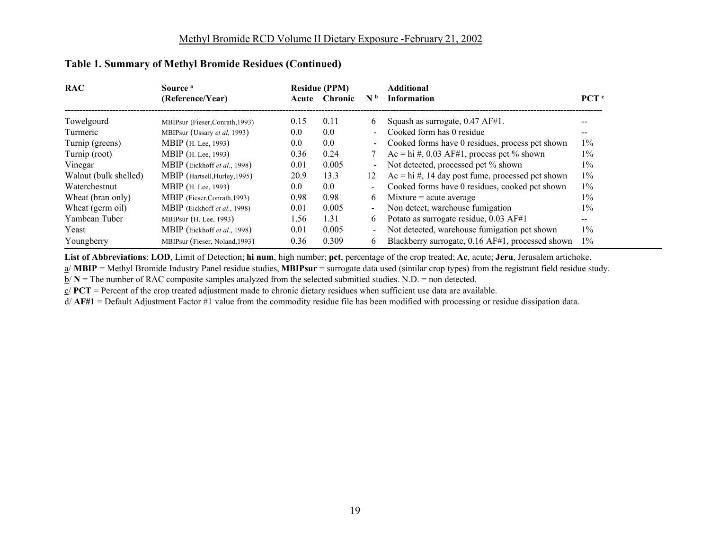| <b>RAC</b>            | Source <sup>a</sup>             |       | <b>Residue (PPM)</b> |                              | <b>Additional</b>                                    |                  |
|-----------------------|---------------------------------|-------|----------------------|------------------------------|------------------------------------------------------|------------------|
|                       | (Reference/Year)                | Acute | <b>Chronic</b>       | N <sub>b</sub>               | <b>Information</b>                                   | PCT <sup>c</sup> |
| Towelgourd            | MBIPsur (Fieser, Conrath, 1993) | 0.15  | 0.11                 | 6                            | Squash as surrogate, $0.47$ AF#1.                    |                  |
| Turmeric              | MBIPsur (Ussary et al. 1993)    | 0.0   | 0.0                  | ÷.                           | Cooked form has 0 residue                            |                  |
| Turnip (greens)       | <b>MBIP</b> (H. Lee, 1993)      | 0.0   | 0.0                  | $\overline{\phantom{0}}$     | Cooked forms have 0 residues, process pct shown      | $1\%$            |
| Turnip (root)         | <b>MBIP</b> (H. Lee, 1993)      | 0.36  | 0.24                 |                              | Ac = hi #, 0.03 AF#1, process pct % shown            | $1\%$            |
| Vinegar               | MBIP (Eickhoff et al., 1998)    | 0.01  | 0.005                | $\qquad \qquad \blacksquare$ | Not detected, processed pct % shown                  | $1\%$            |
| Walnut (bulk shelled) | MBIP (Hartsell, Hurley, 1995)   | 20.9  | 13.3                 | 12                           | $Ac = hi \#$ , 14 day post fume, processed pct shown | $1\%$            |
| Waterchestnut         | <b>MBIP</b> (H. Lee, 1993)      | 0.0   | 0.0                  | Ξ.                           | Cooked forms have 0 residues, cooked pct shown       | $1\%$            |
| Wheat (bran only)     | MBIP (Fieser, Conrath, 1993)    | 0.98  | 0.98                 | 6                            | $Mixture = acute average$                            | $1\%$            |
| Wheat (germ oil)      | MBIP (Eickhoff et al., 1998)    | 0.01  | 0.005                | Ξ.                           | Non detect, warehouse fumigation                     | $1\%$            |
| Yambean Tuber         | MBIPsur $(H. Lee, 1993)$        | 1.56  | 1.31                 | 6                            | Potato as surrogate residue, 0.03 AF#1               | --               |
| Yeast                 | MBIP (Eickhoff et al., 1998)    | 0.01  | 0.005                | $\blacksquare$               | Not detected, warehouse fumigation pct shown         | $1\%$            |
| Youngberry            | MBIPsur (Fieser, Noland, 1993)  | 0.36  | 0.309                | 6                            | Blackberry surrogate, 0.16 AF#1, processed shown     | $1\%$            |

**List of Abbreviations**: **LOD**, Limit of Detection; **hi num**, high number; **pct**, percentage of the crop treated; **Ac**, acute; **Jeru**, Jerusalem artichoke.

a/ **MBIP** = Methyl Bromide Industry Panel residue studies, **MBIPsur** = surrogate data used (similar crop types) from the registrant field residue study.

 $\underline{b}$ / **N** = The number of RAC composite samples analyzed from the selected submitted studies. N.D. = non detected.

 $c/$  **PCT** = Percent of the crop treated adjustment made to chronic dietary residues when sufficient use data are available.

 $d/$  **AF#1** = Default Adjustment Factor #1 value from the commodity residue file has been modified with processing or residue dissipation data.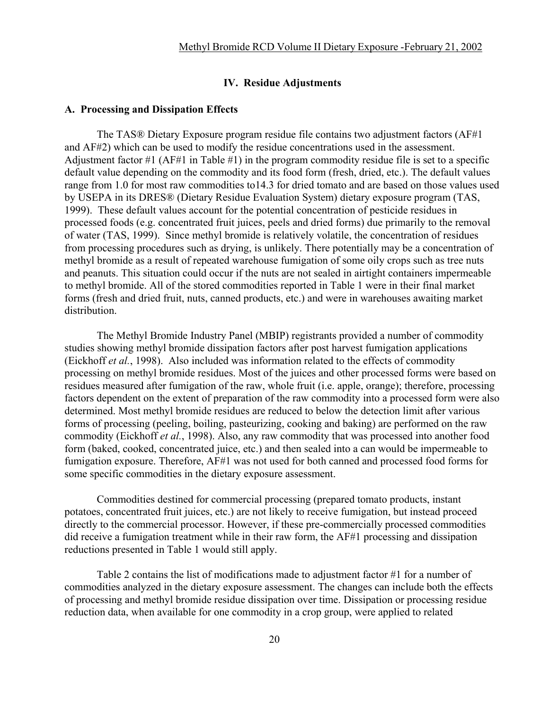### **IV. Residue Adjustments**

#### **A. Processing and Dissipation Effects**

The TAS® Dietary Exposure program residue file contains two adjustment factors (AF#1 and AF#2) which can be used to modify the residue concentrations used in the assessment. Adjustment factor #1 (AF#1 in Table #1) in the program commodity residue file is set to a specific default value depending on the commodity and its food form (fresh, dried, etc.). The default values range from 1.0 for most raw commodities to14.3 for dried tomato and are based on those values used by USEPA in its DRES® (Dietary Residue Evaluation System) dietary exposure program (TAS, 1999). These default values account for the potential concentration of pesticide residues in processed foods (e.g. concentrated fruit juices, peels and dried forms) due primarily to the removal of water (TAS, 1999). Since methyl bromide is relatively volatile, the concentration of residues from processing procedures such as drying, is unlikely. There potentially may be a concentration of methyl bromide as a result of repeated warehouse fumigation of some oily crops such as tree nuts and peanuts. This situation could occur if the nuts are not sealed in airtight containers impermeable to methyl bromide. All of the stored commodities reported in Table 1 were in their final market forms (fresh and dried fruit, nuts, canned products, etc.) and were in warehouses awaiting market distribution.

The Methyl Bromide Industry Panel (MBIP) registrants provided a number of commodity studies showing methyl bromide dissipation factors after post harvest fumigation applications (Eickhoff *et al.*, 1998). Also included was information related to the effects of commodity processing on methyl bromide residues. Most of the juices and other processed forms were based on residues measured after fumigation of the raw, whole fruit (i.e. apple, orange); therefore, processing factors dependent on the extent of preparation of the raw commodity into a processed form were also determined. Most methyl bromide residues are reduced to below the detection limit after various forms of processing (peeling, boiling, pasteurizing, cooking and baking) are performed on the raw commodity (Eickhoff *et al.*, 1998). Also, any raw commodity that was processed into another food form (baked, cooked, concentrated juice, etc.) and then sealed into a can would be impermeable to fumigation exposure. Therefore, AF#1 was not used for both canned and processed food forms for some specific commodities in the dietary exposure assessment.

Commodities destined for commercial processing (prepared tomato products, instant potatoes, concentrated fruit juices, etc.) are not likely to receive fumigation, but instead proceed directly to the commercial processor. However, if these pre-commercially processed commodities did receive a fumigation treatment while in their raw form, the AF#1 processing and dissipation reductions presented in Table 1 would still apply.

Table 2 contains the list of modifications made to adjustment factor #1 for a number of commodities analyzed in the dietary exposure assessment. The changes can include both the effects of processing and methyl bromide residue dissipation over time. Dissipation or processing residue reduction data, when available for one commodity in a crop group, were applied to related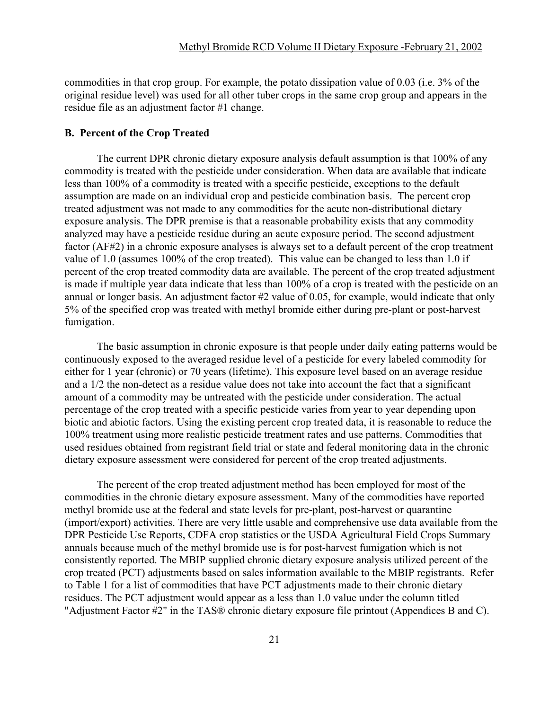commodities in that crop group. For example, the potato dissipation value of 0.03 (i.e. 3% of the original residue level) was used for all other tuber crops in the same crop group and appears in the residue file as an adjustment factor #1 change.

### **B. Percent of the Crop Treated**

The current DPR chronic dietary exposure analysis default assumption is that 100% of any commodity is treated with the pesticide under consideration. When data are available that indicate less than 100% of a commodity is treated with a specific pesticide, exceptions to the default assumption are made on an individual crop and pesticide combination basis. The percent crop treated adjustment was not made to any commodities for the acute non-distributional dietary exposure analysis. The DPR premise is that a reasonable probability exists that any commodity analyzed may have a pesticide residue during an acute exposure period. The second adjustment factor (AF#2) in a chronic exposure analyses is always set to a default percent of the crop treatment value of 1.0 (assumes 100% of the crop treated). This value can be changed to less than 1.0 if percent of the crop treated commodity data are available. The percent of the crop treated adjustment is made if multiple year data indicate that less than 100% of a crop is treated with the pesticide on an annual or longer basis. An adjustment factor #2 value of 0.05, for example, would indicate that only 5% of the specified crop was treated with methyl bromide either during pre-plant or post-harvest fumigation.

The basic assumption in chronic exposure is that people under daily eating patterns would be continuously exposed to the averaged residue level of a pesticide for every labeled commodity for either for 1 year (chronic) or 70 years (lifetime). This exposure level based on an average residue and a 1/2 the non-detect as a residue value does not take into account the fact that a significant amount of a commodity may be untreated with the pesticide under consideration. The actual percentage of the crop treated with a specific pesticide varies from year to year depending upon biotic and abiotic factors. Using the existing percent crop treated data, it is reasonable to reduce the 100% treatment using more realistic pesticide treatment rates and use patterns. Commodities that used residues obtained from registrant field trial or state and federal monitoring data in the chronic dietary exposure assessment were considered for percent of the crop treated adjustments.

The percent of the crop treated adjustment method has been employed for most of the commodities in the chronic dietary exposure assessment. Many of the commodities have reported methyl bromide use at the federal and state levels for pre-plant, post-harvest or quarantine (import/export) activities. There are very little usable and comprehensive use data available from the DPR Pesticide Use Reports, CDFA crop statistics or the USDA Agricultural Field Crops Summary annuals because much of the methyl bromide use is for post-harvest fumigation which is not consistently reported. The MBIP supplied chronic dietary exposure analysis utilized percent of the crop treated (PCT) adjustments based on sales information available to the MBIP registrants. Refer to Table 1 for a list of commodities that have PCT adjustments made to their chronic dietary residues. The PCT adjustment would appear as a less than 1.0 value under the column titled "Adjustment Factor #2" in the TAS® chronic dietary exposure file printout (Appendices B and C).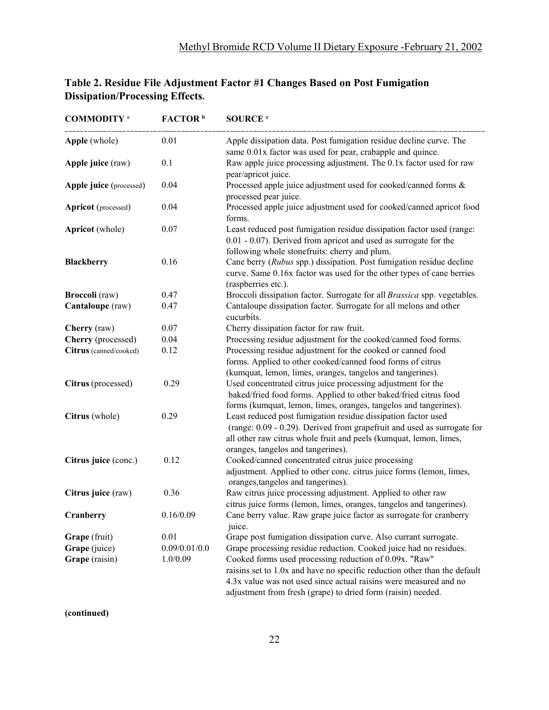| <b>COMMODITY</b> a         | FACTOR <sup>b</sup> | <b>SOURCE</b> <sup>c</sup>                                                                                                                                                                                                                                               |
|----------------------------|---------------------|--------------------------------------------------------------------------------------------------------------------------------------------------------------------------------------------------------------------------------------------------------------------------|
| Apple (whole)              | 0.01                | Apple dissipation data. Post fumigation residue decline curve. The<br>same 0.01x factor was used for pear, crabapple and quince.                                                                                                                                         |
| Apple juice (raw)          | 0.1                 | Raw apple juice processing adjustment. The 0.1x factor used for raw<br>pear/apricot juice.                                                                                                                                                                               |
| Apple juice (processed)    | 0.04                | Processed apple juice adjustment used for cooked/canned forms &<br>processed pear juice.                                                                                                                                                                                 |
| <b>Apricot</b> (processed) | 0.04                | Processed apple juice adjustment used for cooked/canned apricot food<br>forms.                                                                                                                                                                                           |
| <b>Apricot</b> (whole)     | 0.07                | Least reduced post fumigation residue dissipation factor used (range:<br>0.01 - 0.07). Derived from apricot and used as surrogate for the<br>following whole stonefruits: cherry and plum.                                                                               |
| <b>Blackberry</b>          | 0.16                | Cane berry (Rubus spp.) dissipation. Post fumigation residue decline<br>curve. Same 0.16x factor was used for the other types of cane berries<br>(raspberries etc.).                                                                                                     |
| <b>Broccoli</b> (raw)      | 0.47                | Broccoli dissipation factor. Surrogate for all Brassica spp. vegetables.                                                                                                                                                                                                 |
| Cantaloupe (raw)           | 0.47                | Cantaloupe dissipation factor. Surrogate for all melons and other<br>cucurbits.                                                                                                                                                                                          |
| Cherry (raw)               | 0.07                | Cherry dissipation factor for raw fruit.                                                                                                                                                                                                                                 |
| Cherry (processed)         | 0.04                | Processing residue adjustment for the cooked/canned food forms.                                                                                                                                                                                                          |
| Citrus (canned/cooked)     | 0.12                | Processing residue adjustment for the cooked or canned food<br>forms. Applied to other cooked/canned food forms of citrus<br>(kumquat, lemon, limes, oranges, tangelos and tangerines).                                                                                  |
| Citrus (processed)         | 0.29                | Used concentrated citrus juice processing adjustment for the<br>baked/fried food forms. Applied to other baked/fried citrus food<br>forms (kumquat, lemon, limes, oranges, tangelos and tangerines).                                                                     |
| Citrus (whole)             | 0.29                | Least reduced post fumigation residue dissipation factor used<br>(range: 0.09 - 0.29). Derived from grapefruit and used as surrogate for<br>all other raw citrus whole fruit and peels (kumquat, lemon, limes,<br>oranges, tangelos and tangerines).                     |
| Citrus juice (conc.)       | 0.12                | Cooked/canned concentrated citrus juice processing<br>adjustment. Applied to other conc. citrus juice forms (lemon, limes,<br>oranges, tangelos and tangerines).                                                                                                         |
| Citrus juice (raw)         | 0.36                | Raw citrus juice processing adjustment. Applied to other raw<br>citrus juice forms (lemon, limes, oranges, tangelos and tangerines).                                                                                                                                     |
| Cranberry                  | 0.16/0.09           | Cane berry value. Raw grape juice factor as surrogate for cranberry<br>juice.                                                                                                                                                                                            |
| Grape (fruit)              | 0.01                | Grape post fumigation dissipation curve. Also currant surrogate.                                                                                                                                                                                                         |
| Grape (juice)              | 0.09/0.01/0.0       | Grape processing residue reduction. Cooked juice had no residues.                                                                                                                                                                                                        |
| Grape (raisin)             | 1.0/0.09            | Cooked forms used processing reduction of 0.09x. "Raw"<br>raisins set to 1.0x and have no specific reduction other than the default<br>4.3x value was not used since actual raisins were measured and no<br>adjustment from fresh (grape) to dried form (raisin) needed. |

## **Table 2. Residue File Adjustment Factor #1 Changes Based on Post Fumigation Dissipation/Processing Effects.**

**(continued)**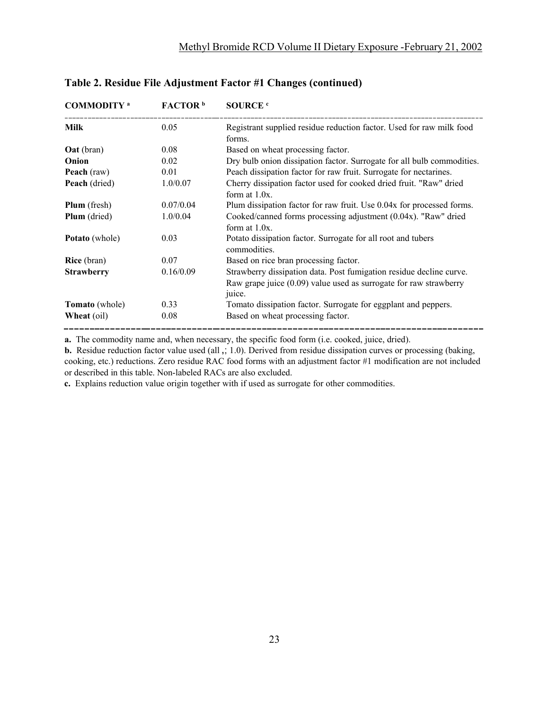| <b>COMMODITY</b> <sup>a</sup> | FACTOR <sup>b</sup> | SOURCE <sup>c</sup>                                                                                                                                  |
|-------------------------------|---------------------|------------------------------------------------------------------------------------------------------------------------------------------------------|
| <b>Milk</b>                   | 0.05                | Registrant supplied residue reduction factor. Used for raw milk food<br>forms.                                                                       |
| <b>Oat</b> (bran)             | 0.08                | Based on wheat processing factor.                                                                                                                    |
| Onion                         | 0.02                | Dry bulb onion dissipation factor. Surrogate for all bulb commodities.                                                                               |
| Peach (raw)                   | 0.01                | Peach dissipation factor for raw fruit. Surrogate for nectarines.                                                                                    |
| Peach (dried)                 | 1.0/0.07            | Cherry dissipation factor used for cooked dried fruit. "Raw" dried<br>form at $1.0x$ .                                                               |
| <b>Plum</b> (fresh)           | 0.07/0.04           | Plum dissipation factor for raw fruit. Use 0.04x for processed forms.                                                                                |
| Plum (dried)                  | 1.0/0.04            | Cooked/canned forms processing adjustment (0.04x). "Raw" dried<br>form at $1.0x$ .                                                                   |
| <b>Potato</b> (whole)         | 0.03                | Potato dissipation factor. Surrogate for all root and tubers<br>commodities.                                                                         |
| <b>Rice</b> (bran)            | 0.07                | Based on rice bran processing factor.                                                                                                                |
| <b>Strawberry</b>             | 0.16/0.09           | Strawberry dissipation data. Post fumigation residue decline curve.<br>Raw grape juice $(0.09)$ value used as surrogate for raw strawberry<br>juice. |
| <b>Tomato</b> (whole)         | 0.33                | Tomato dissipation factor. Surrogate for eggplant and peppers.                                                                                       |
| <b>Wheat</b> (oil)            | 0.08                | Based on wheat processing factor.                                                                                                                    |

#### **Table 2. Residue File Adjustment Factor #1 Changes (continued)**

**a.** The commodity name and, when necessary, the specific food form (i.e. cooked, juice, dried).

**b.** Residue reduction factor value used (all ,; 1.0). Derived from residue dissipation curves or processing (baking, cooking, etc.) reductions. Zero residue RAC food forms with an adjustment factor #1 modification are not included or described in this table. Non-labeled RACs are also excluded.

**c.** Explains reduction value origin together with if used as surrogate for other commodities.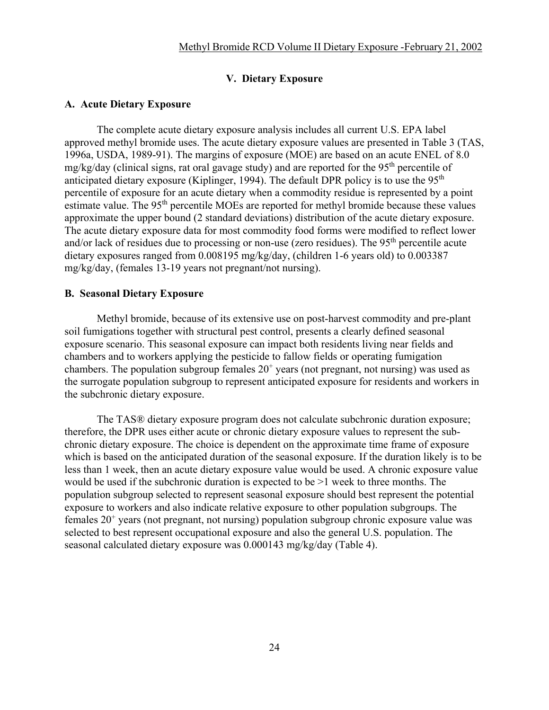### **V. Dietary Exposure**

#### **A. Acute Dietary Exposure**

The complete acute dietary exposure analysis includes all current U.S. EPA label approved methyl bromide uses. The acute dietary exposure values are presented in Table 3 (TAS, 1996a, USDA, 1989-91). The margins of exposure (MOE) are based on an acute ENEL of 8.0 mg/kg/day (clinical signs, rat oral gavage study) and are reported for the 95<sup>th</sup> percentile of anticipated dietary exposure (Kiplinger, 1994). The default DPR policy is to use the  $95<sup>th</sup>$ percentile of exposure for an acute dietary when a commodity residue is represented by a point estimate value. The 95<sup>th</sup> percentile MOEs are reported for methyl bromide because these values approximate the upper bound (2 standard deviations) distribution of the acute dietary exposure. The acute dietary exposure data for most commodity food forms were modified to reflect lower and/or lack of residues due to processing or non-use (zero residues). The 95<sup>th</sup> percentile acute dietary exposures ranged from 0.008195 mg/kg/day, (children 1-6 years old) to 0.003387 mg/kg/day, (females 13-19 years not pregnant/not nursing).

#### **B. Seasonal Dietary Exposure**

Methyl bromide, because of its extensive use on post-harvest commodity and pre-plant soil fumigations together with structural pest control, presents a clearly defined seasonal exposure scenario. This seasonal exposure can impact both residents living near fields and chambers and to workers applying the pesticide to fallow fields or operating fumigation chambers. The population subgroup females  $20<sup>+</sup>$  years (not pregnant, not nursing) was used as the surrogate population subgroup to represent anticipated exposure for residents and workers in the subchronic dietary exposure.

The TAS® dietary exposure program does not calculate subchronic duration exposure; therefore, the DPR uses either acute or chronic dietary exposure values to represent the subchronic dietary exposure. The choice is dependent on the approximate time frame of exposure which is based on the anticipated duration of the seasonal exposure. If the duration likely is to be less than 1 week, then an acute dietary exposure value would be used. A chronic exposure value would be used if the subchronic duration is expected to be >1 week to three months. The population subgroup selected to represent seasonal exposure should best represent the potential exposure to workers and also indicate relative exposure to other population subgroups. The females  $20<sup>+</sup>$  years (not pregnant, not nursing) population subgroup chronic exposure value was selected to best represent occupational exposure and also the general U.S. population. The seasonal calculated dietary exposure was 0.000143 mg/kg/day (Table 4).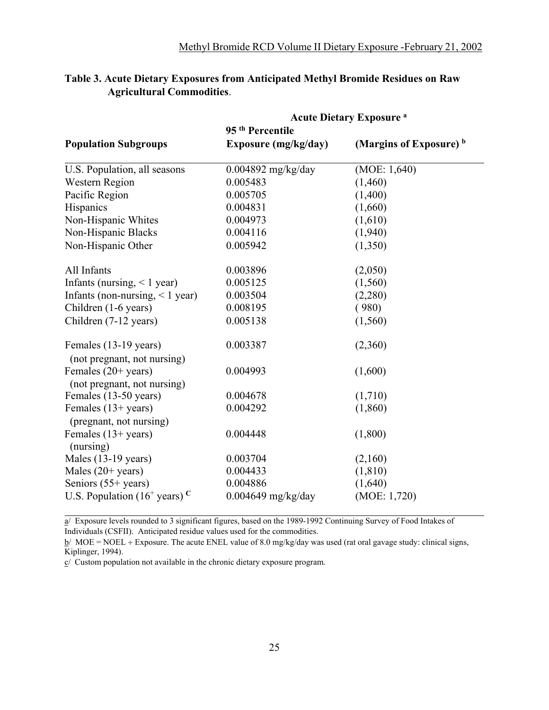|                                                       | <b>Acute Dietary Exposure a</b> |                         |
|-------------------------------------------------------|---------------------------------|-------------------------|
|                                                       | 95 <sup>th</sup> Percentile     |                         |
| <b>Population Subgroups</b>                           | Exposure (mg/kg/day)            | (Margins of Exposure) b |
| U.S. Population, all seasons                          | $0.004892$ mg/kg/day            | (MOE: 1,640)            |
| <b>Western Region</b>                                 | 0.005483                        | (1,460)                 |
| Pacific Region                                        | 0.005705                        | (1,400)                 |
| Hispanics                                             | 0.004831                        | (1,660)                 |
| Non-Hispanic Whites                                   | 0.004973                        | (1,610)                 |
| Non-Hispanic Blacks                                   | 0.004116                        | (1,940)                 |
| Non-Hispanic Other                                    | 0.005942                        | (1,350)                 |
| All Infants                                           | 0.003896                        | (2,050)                 |
| Infants (nursing, $\leq 1$ year)                      | 0.005125                        | (1,560)                 |
| Infants (non-nursing, $\leq 1$ year)                  | 0.003504                        | (2,280)                 |
| Children (1-6 years)                                  | 0.008195                        | (980)                   |
| Children (7-12 years)                                 | 0.005138                        | (1,560)                 |
| Females (13-19 years)<br>(not pregnant, not nursing)  | 0.003387                        | (2,360)                 |
| Females $(20+)$ years)<br>(not pregnant, not nursing) | 0.004993                        | (1,600)                 |
| Females (13-50 years)                                 | 0.004678                        | (1,710)                 |
| Females $(13+)$ years)<br>(pregnant, not nursing)     | 0.004292                        | (1,860)                 |
| Females $(13+)$ years)<br>(nursing)                   | 0.004448                        | (1,800)                 |
| Males $(13-19 \text{ years})$                         | 0.003704                        | (2,160)                 |
| Males $(20+)$ years)                                  | 0.004433                        | (1, 810)                |
| Seniors (55+ years)                                   | 0.004886                        | (1,640)                 |
| U.S. Population $(16^+$ years) <sup>C</sup>           | $0.004649$ mg/kg/day            | (MOE: 1,720)            |

### **Table 3. Acute Dietary Exposures from Anticipated Methyl Bromide Residues on Raw Agricultural Commodities**.

a/ Exposure levels rounded to 3 significant figures, based on the 1989-1992 Continuing Survey of Food Intakes of Individuals (CSFII). Anticipated residue values used for the commodities.

 $b/$  MOE = NOEL ÷ Exposure. The acute ENEL value of 8.0 mg/kg/day was used (rat oral gavage study: clinical signs, Kiplinger, 1994).

 $c/$  Custom population not available in the chronic dietary exposure program.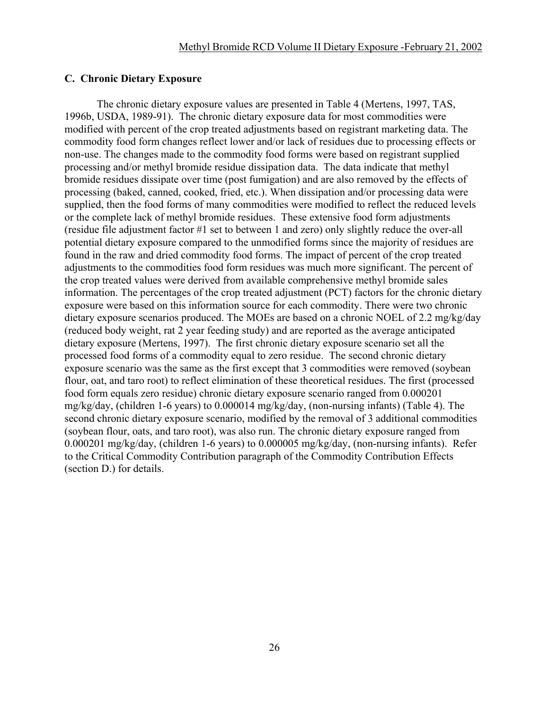### **C. Chronic Dietary Exposure**

The chronic dietary exposure values are presented in Table 4 (Mertens, 1997, TAS, 1996b, USDA, 1989-91). The chronic dietary exposure data for most commodities were modified with percent of the crop treated adjustments based on registrant marketing data. The commodity food form changes reflect lower and/or lack of residues due to processing effects or non-use. The changes made to the commodity food forms were based on registrant supplied processing and/or methyl bromide residue dissipation data. The data indicate that methyl bromide residues dissipate over time (post fumigation) and are also removed by the effects of processing (baked, canned, cooked, fried, etc.). When dissipation and/or processing data were supplied, then the food forms of many commodities were modified to reflect the reduced levels or the complete lack of methyl bromide residues. These extensive food form adjustments (residue file adjustment factor #1 set to between 1 and zero) only slightly reduce the over-all potential dietary exposure compared to the unmodified forms since the majority of residues are found in the raw and dried commodity food forms. The impact of percent of the crop treated adjustments to the commodities food form residues was much more significant. The percent of the crop treated values were derived from available comprehensive methyl bromide sales information. The percentages of the crop treated adjustment (PCT) factors for the chronic dietary exposure were based on this information source for each commodity. There were two chronic dietary exposure scenarios produced. The MOEs are based on a chronic NOEL of 2.2 mg/kg/day (reduced body weight, rat 2 year feeding study) and are reported as the average anticipated dietary exposure (Mertens, 1997). The first chronic dietary exposure scenario set all the processed food forms of a commodity equal to zero residue. The second chronic dietary exposure scenario was the same as the first except that 3 commodities were removed (soybean flour, oat, and taro root) to reflect elimination of these theoretical residues. The first (processed food form equals zero residue) chronic dietary exposure scenario ranged from 0.000201 mg/kg/day, (children 1-6 years) to 0.000014 mg/kg/day, (non-nursing infants) (Table 4). The second chronic dietary exposure scenario, modified by the removal of 3 additional commodities (soybean flour, oats, and taro root), was also run. The chronic dietary exposure ranged from 0.000201 mg/kg/day, (children 1-6 years) to 0.000005 mg/kg/day, (non-nursing infants). Refer to the Critical Commodity Contribution paragraph of the Commodity Contribution Effects (section D.) for details.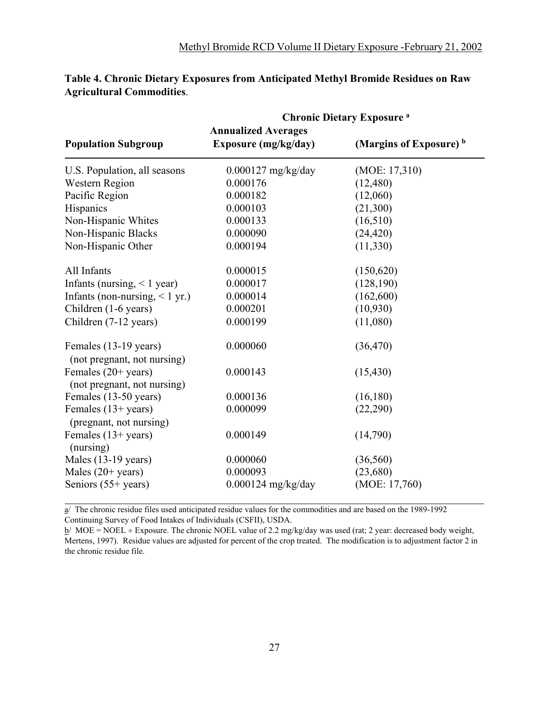|                                                      | <b>Chronic Dietary Exposure a</b>                         |                                    |
|------------------------------------------------------|-----------------------------------------------------------|------------------------------------|
| <b>Population Subgroup</b>                           | <b>Annualized Averages</b><br><b>Exposure (mg/kg/day)</b> | (Margins of Exposure) <sup>b</sup> |
| U.S. Population, all seasons                         | $0.000127$ mg/kg/day                                      | (MOE: 17,310)                      |
| <b>Western Region</b>                                | 0.000176                                                  | (12, 480)                          |
| Pacific Region                                       | 0.000182                                                  | (12,060)                           |
| Hispanics                                            | 0.000103                                                  | (21,300)                           |
| Non-Hispanic Whites                                  | 0.000133                                                  | (16,510)                           |
| Non-Hispanic Blacks                                  | 0.000090                                                  | (24, 420)                          |
| Non-Hispanic Other                                   | 0.000194                                                  | (11,330)                           |
| All Infants                                          | 0.000015                                                  | (150, 620)                         |
| Infants (nursing, $\leq 1$ year)                     | 0.000017                                                  | (128, 190)                         |
| Infants (non-nursing, $<$ 1 yr.)                     | 0.000014                                                  | (162,600)                          |
| Children (1-6 years)                                 | 0.000201                                                  | (10,930)                           |
| Children (7-12 years)                                | 0.000199                                                  | (11,080)                           |
| Females (13-19 years)<br>(not pregnant, not nursing) | 0.000060                                                  | (36, 470)                          |
| Females (20+ years)<br>(not pregnant, not nursing)   | 0.000143                                                  | (15, 430)                          |
| Females (13-50 years)                                | 0.000136                                                  | (16, 180)                          |
| Females $(13+)$ years)<br>(pregnant, not nursing)    | 0.000099                                                  | (22,290)                           |
| Females $(13+)$ years)<br>(nursing)                  | 0.000149                                                  | (14,790)                           |
| Males (13-19 years)                                  | 0.000060                                                  | (36, 560)                          |
| Males $(20+)$ years)                                 | 0.000093                                                  | (23,680)                           |
| Seniors $(55+)$ years)                               | $0.000124$ mg/kg/day                                      | (MOE: 17,760)                      |

### **Table 4. Chronic Dietary Exposures from Anticipated Methyl Bromide Residues on Raw Agricultural Commodities**.

 $\overline{a}$ / The chronic residue files used anticipated residue values for the commodities and are based on the 1989-1992 Continuing Survey of Food Intakes of Individuals (CSFII), USDA.

 $b/$  MOE = NOEL ÷ Exposure. The chronic NOEL value of 2.2 mg/kg/day was used (rat; 2 year: decreased body weight, Mertens, 1997). Residue values are adjusted for percent of the crop treated. The modification is to adjustment factor 2 in the chronic residue file.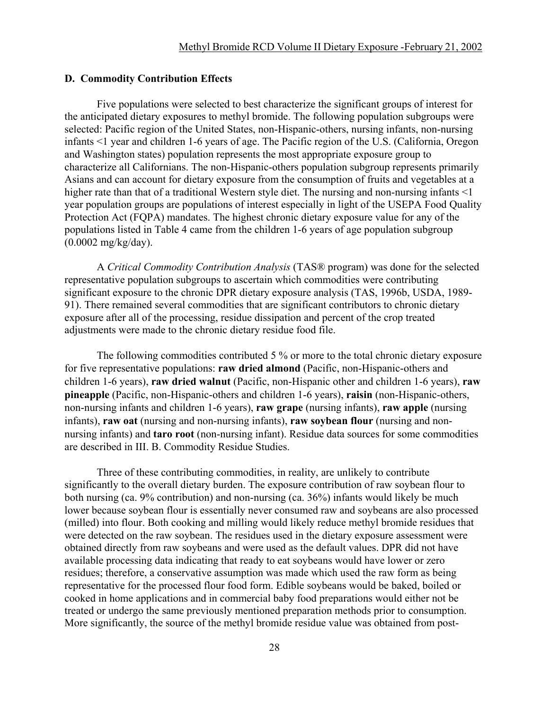#### **D. Commodity Contribution Effects**

Five populations were selected to best characterize the significant groups of interest for the anticipated dietary exposures to methyl bromide. The following population subgroups were selected: Pacific region of the United States, non-Hispanic-others, nursing infants, non-nursing infants <1 year and children 1-6 years of age. The Pacific region of the U.S. (California, Oregon and Washington states) population represents the most appropriate exposure group to characterize all Californians. The non-Hispanic-others population subgroup represents primarily Asians and can account for dietary exposure from the consumption of fruits and vegetables at a higher rate than that of a traditional Western style diet. The nursing and non-nursing infants <1 year population groups are populations of interest especially in light of the USEPA Food Quality Protection Act (FQPA) mandates. The highest chronic dietary exposure value for any of the populations listed in Table 4 came from the children 1-6 years of age population subgroup (0.0002 mg/kg/day).

A *Critical Commodity Contribution Analysis* (TAS® program) was done for the selected representative population subgroups to ascertain which commodities were contributing significant exposure to the chronic DPR dietary exposure analysis (TAS, 1996b, USDA, 1989- 91). There remained several commodities that are significant contributors to chronic dietary exposure after all of the processing, residue dissipation and percent of the crop treated adjustments were made to the chronic dietary residue food file.

The following commodities contributed 5 % or more to the total chronic dietary exposure for five representative populations: **raw dried almond** (Pacific, non-Hispanic-others and children 1-6 years), **raw dried walnut** (Pacific, non-Hispanic other and children 1-6 years), **raw pineapple** (Pacific, non-Hispanic-others and children 1-6 years), **raisin** (non-Hispanic-others, non-nursing infants and children 1-6 years), **raw grape** (nursing infants), **raw apple** (nursing infants), **raw oat** (nursing and non-nursing infants), **raw soybean flour** (nursing and nonnursing infants) and **taro root** (non-nursing infant). Residue data sources for some commodities are described in III. B. Commodity Residue Studies.

Three of these contributing commodities, in reality, are unlikely to contribute significantly to the overall dietary burden. The exposure contribution of raw soybean flour to both nursing (ca. 9% contribution) and non-nursing (ca. 36%) infants would likely be much lower because soybean flour is essentially never consumed raw and soybeans are also processed (milled) into flour. Both cooking and milling would likely reduce methyl bromide residues that were detected on the raw soybean. The residues used in the dietary exposure assessment were obtained directly from raw soybeans and were used as the default values. DPR did not have available processing data indicating that ready to eat soybeans would have lower or zero residues; therefore, a conservative assumption was made which used the raw form as being representative for the processed flour food form. Edible soybeans would be baked, boiled or cooked in home applications and in commercial baby food preparations would either not be treated or undergo the same previously mentioned preparation methods prior to consumption. More significantly, the source of the methyl bromide residue value was obtained from post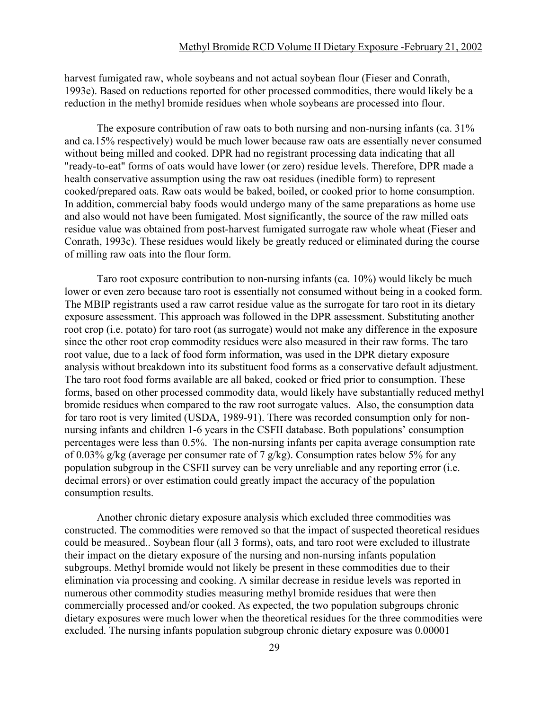harvest fumigated raw, whole soybeans and not actual soybean flour (Fieser and Conrath, 1993e). Based on reductions reported for other processed commodities, there would likely be a reduction in the methyl bromide residues when whole soybeans are processed into flour.

The exposure contribution of raw oats to both nursing and non-nursing infants (ca. 31% and ca.15% respectively) would be much lower because raw oats are essentially never consumed without being milled and cooked. DPR had no registrant processing data indicating that all "ready-to-eat" forms of oats would have lower (or zero) residue levels. Therefore, DPR made a health conservative assumption using the raw oat residues (inedible form) to represent cooked/prepared oats. Raw oats would be baked, boiled, or cooked prior to home consumption. In addition, commercial baby foods would undergo many of the same preparations as home use and also would not have been fumigated. Most significantly, the source of the raw milled oats residue value was obtained from post-harvest fumigated surrogate raw whole wheat (Fieser and Conrath, 1993c). These residues would likely be greatly reduced or eliminated during the course of milling raw oats into the flour form.

Taro root exposure contribution to non-nursing infants (ca. 10%) would likely be much lower or even zero because taro root is essentially not consumed without being in a cooked form. The MBIP registrants used a raw carrot residue value as the surrogate for taro root in its dietary exposure assessment. This approach was followed in the DPR assessment. Substituting another root crop (i.e. potato) for taro root (as surrogate) would not make any difference in the exposure since the other root crop commodity residues were also measured in their raw forms. The taro root value, due to a lack of food form information, was used in the DPR dietary exposure analysis without breakdown into its substituent food forms as a conservative default adjustment. The taro root food forms available are all baked, cooked or fried prior to consumption. These forms, based on other processed commodity data, would likely have substantially reduced methyl bromide residues when compared to the raw root surrogate values. Also, the consumption data for taro root is very limited (USDA, 1989-91). There was recorded consumption only for nonnursing infants and children 1-6 years in the CSFII database. Both populations' consumption percentages were less than 0.5%. The non-nursing infants per capita average consumption rate of 0.03% g/kg (average per consumer rate of 7 g/kg). Consumption rates below 5% for any population subgroup in the CSFII survey can be very unreliable and any reporting error (i.e. decimal errors) or over estimation could greatly impact the accuracy of the population consumption results.

Another chronic dietary exposure analysis which excluded three commodities was constructed. The commodities were removed so that the impact of suspected theoretical residues could be measured.. Soybean flour (all 3 forms), oats, and taro root were excluded to illustrate their impact on the dietary exposure of the nursing and non-nursing infants population subgroups. Methyl bromide would not likely be present in these commodities due to their elimination via processing and cooking. A similar decrease in residue levels was reported in numerous other commodity studies measuring methyl bromide residues that were then commercially processed and/or cooked. As expected, the two population subgroups chronic dietary exposures were much lower when the theoretical residues for the three commodities were excluded. The nursing infants population subgroup chronic dietary exposure was 0.00001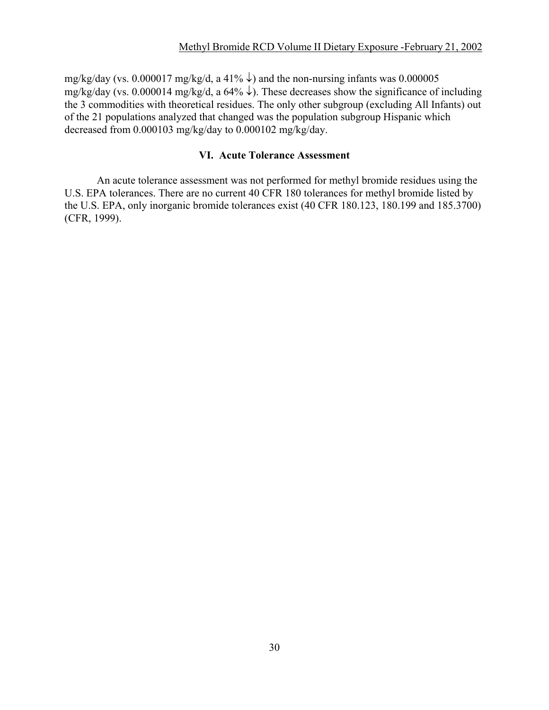mg/kg/day (vs. 0.000017 mg/kg/d, a 41%  $\downarrow$ ) and the non-nursing infants was 0.000005 mg/kg/day (vs. 0.000014 mg/kg/d, a 64%  $\downarrow$ ). These decreases show the significance of including the 3 commodities with theoretical residues. The only other subgroup (excluding All Infants) out of the 21 populations analyzed that changed was the population subgroup Hispanic which decreased from 0.000103 mg/kg/day to 0.000102 mg/kg/day.

### **VI. Acute Tolerance Assessment**

An acute tolerance assessment was not performed for methyl bromide residues using the U.S. EPA tolerances. There are no current 40 CFR 180 tolerances for methyl bromide listed by the U.S. EPA, only inorganic bromide tolerances exist (40 CFR 180.123, 180.199 and 185.3700) (CFR, 1999).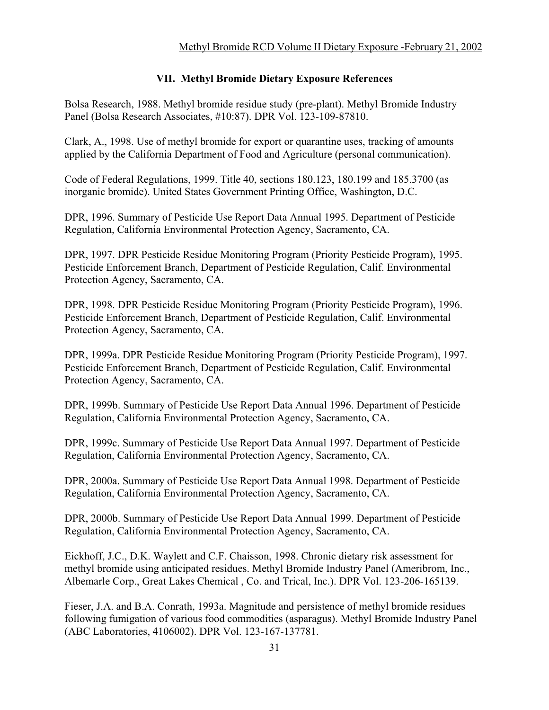# **VII. Methyl Bromide Dietary Exposure References**

Bolsa Research, 1988. Methyl bromide residue study (pre-plant). Methyl Bromide Industry Panel (Bolsa Research Associates, #10:87). DPR Vol. 123-109-87810.

Clark, A., 1998. Use of methyl bromide for export or quarantine uses, tracking of amounts applied by the California Department of Food and Agriculture (personal communication).

Code of Federal Regulations, 1999. Title 40, sections 180.123, 180.199 and 185.3700 (as inorganic bromide). United States Government Printing Office, Washington, D.C.

DPR, 1996. Summary of Pesticide Use Report Data Annual 1995. Department of Pesticide Regulation, California Environmental Protection Agency, Sacramento, CA.

DPR, 1997. DPR Pesticide Residue Monitoring Program (Priority Pesticide Program), 1995. Pesticide Enforcement Branch, Department of Pesticide Regulation, Calif. Environmental Protection Agency, Sacramento, CA.

DPR, 1998. DPR Pesticide Residue Monitoring Program (Priority Pesticide Program), 1996. Pesticide Enforcement Branch, Department of Pesticide Regulation, Calif. Environmental Protection Agency, Sacramento, CA.

DPR, 1999a. DPR Pesticide Residue Monitoring Program (Priority Pesticide Program), 1997. Pesticide Enforcement Branch, Department of Pesticide Regulation, Calif. Environmental Protection Agency, Sacramento, CA.

DPR, 1999b. Summary of Pesticide Use Report Data Annual 1996. Department of Pesticide Regulation, California Environmental Protection Agency, Sacramento, CA.

DPR, 1999c. Summary of Pesticide Use Report Data Annual 1997. Department of Pesticide Regulation, California Environmental Protection Agency, Sacramento, CA.

DPR, 2000a. Summary of Pesticide Use Report Data Annual 1998. Department of Pesticide Regulation, California Environmental Protection Agency, Sacramento, CA.

DPR, 2000b. Summary of Pesticide Use Report Data Annual 1999. Department of Pesticide Regulation, California Environmental Protection Agency, Sacramento, CA.

Eickhoff, J.C., D.K. Waylett and C.F. Chaisson, 1998. Chronic dietary risk assessment for methyl bromide using anticipated residues. Methyl Bromide Industry Panel (Ameribrom, Inc., Albemarle Corp., Great Lakes Chemical , Co. and Trical, Inc.). DPR Vol. 123-206-165139.

Fieser, J.A. and B.A. Conrath, 1993a. Magnitude and persistence of methyl bromide residues following fumigation of various food commodities (asparagus). Methyl Bromide Industry Panel (ABC Laboratories, 4106002). DPR Vol. 123-167-137781.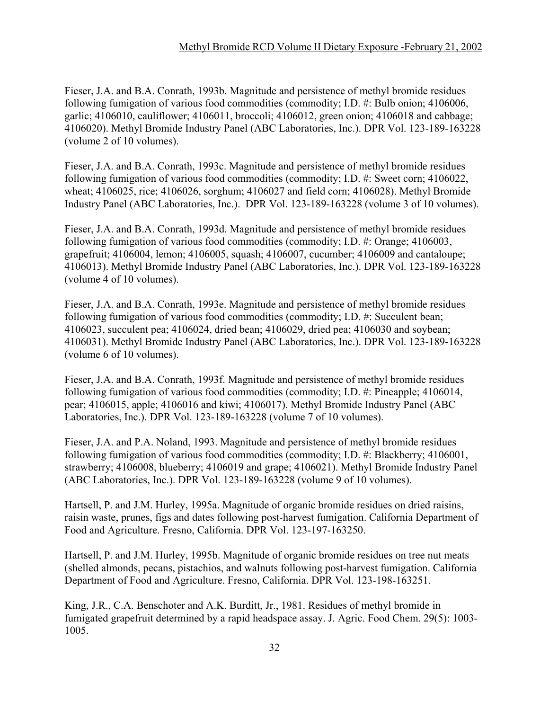Fieser, J.A. and B.A. Conrath, 1993b. Magnitude and persistence of methyl bromide residues following fumigation of various food commodities (commodity; I.D. #: Bulb onion; 4106006, garlic; 4106010, cauliflower; 4106011, broccoli; 4106012, green onion; 4106018 and cabbage; 4106020). Methyl Bromide Industry Panel (ABC Laboratories, Inc.). DPR Vol. 123-189-163228 (volume 2 of 10 volumes).

Fieser, J.A. and B.A. Conrath, 1993c. Magnitude and persistence of methyl bromide residues following fumigation of various food commodities (commodity; I.D. #: Sweet corn; 4106022, wheat; 4106025, rice; 4106026, sorghum; 4106027 and field corn; 4106028). Methyl Bromide Industry Panel (ABC Laboratories, Inc.). DPR Vol. 123-189-163228 (volume 3 of 10 volumes).

Fieser, J.A. and B.A. Conrath, 1993d. Magnitude and persistence of methyl bromide residues following fumigation of various food commodities (commodity; I.D. #: Orange; 4106003, grapefruit; 4106004, lemon; 4106005, squash; 4106007, cucumber; 4106009 and cantaloupe; 4106013). Methyl Bromide Industry Panel (ABC Laboratories, Inc.). DPR Vol. 123-189-163228 (volume 4 of 10 volumes).

Fieser, J.A. and B.A. Conrath, 1993e. Magnitude and persistence of methyl bromide residues following fumigation of various food commodities (commodity; I.D. #: Succulent bean; 4106023, succulent pea; 4106024, dried bean; 4106029, dried pea; 4106030 and soybean; 4106031). Methyl Bromide Industry Panel (ABC Laboratories, Inc.). DPR Vol. 123-189-163228 (volume 6 of 10 volumes).

Fieser, J.A. and B.A. Conrath, 1993f. Magnitude and persistence of methyl bromide residues following fumigation of various food commodities (commodity; I.D. #: Pineapple; 4106014, pear; 4106015, apple; 4106016 and kiwi; 4106017). Methyl Bromide Industry Panel (ABC Laboratories, Inc.). DPR Vol. 123-189-163228 (volume 7 of 10 volumes).

Fieser, J.A. and P.A. Noland, 1993. Magnitude and persistence of methyl bromide residues following fumigation of various food commodities (commodity; I.D. #: Blackberry; 4106001, strawberry; 4106008, blueberry; 4106019 and grape; 4106021). Methyl Bromide Industry Panel (ABC Laboratories, Inc.). DPR Vol. 123-189-163228 (volume 9 of 10 volumes).

Hartsell, P. and J.M. Hurley, 1995a. Magnitude of organic bromide residues on dried raisins, raisin waste, prunes, figs and dates following post-harvest fumigation. California Department of Food and Agriculture. Fresno, California. DPR Vol. 123-197-163250.

Hartsell, P. and J.M. Hurley, 1995b. Magnitude of organic bromide residues on tree nut meats (shelled almonds, pecans, pistachios, and walnuts following post-harvest fumigation. California Department of Food and Agriculture. Fresno, California. DPR Vol. 123-198-163251.

King, J.R., C.A. Benschoter and A.K. Burditt, Jr., 1981. Residues of methyl bromide in fumigated grapefruit determined by a rapid headspace assay. J. Agric. Food Chem. 29(5): 1003- 1005.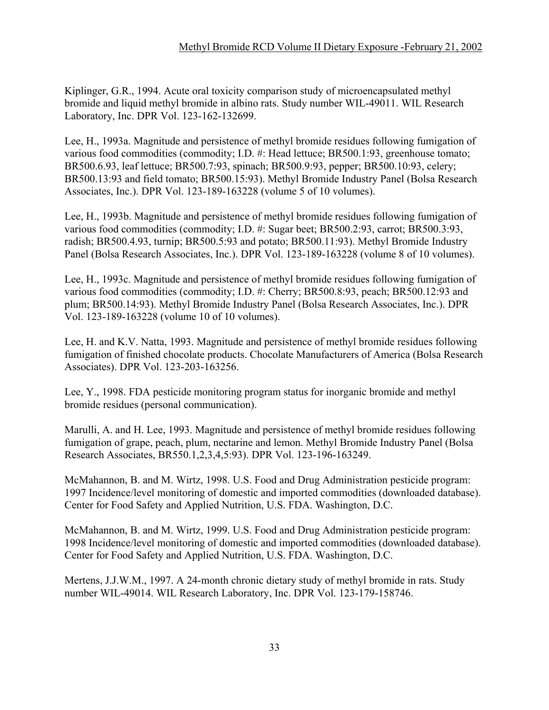Kiplinger, G.R., 1994. Acute oral toxicity comparison study of microencapsulated methyl bromide and liquid methyl bromide in albino rats. Study number WIL-49011. WIL Research Laboratory, Inc. DPR Vol. 123-162-132699.

Lee, H., 1993a. Magnitude and persistence of methyl bromide residues following fumigation of various food commodities (commodity; I.D. #: Head lettuce; BR500.1:93, greenhouse tomato; BR500.6.93, leaf lettuce; BR500.7:93, spinach; BR500.9:93, pepper; BR500.10:93, celery; BR500.13:93 and field tomato; BR500.15:93). Methyl Bromide Industry Panel (Bolsa Research Associates, Inc.). DPR Vol. 123-189-163228 (volume 5 of 10 volumes).

Lee, H., 1993b. Magnitude and persistence of methyl bromide residues following fumigation of various food commodities (commodity; I.D. #: Sugar beet; BR500.2:93, carrot; BR500.3:93, radish; BR500.4.93, turnip; BR500.5:93 and potato; BR500.11:93). Methyl Bromide Industry Panel (Bolsa Research Associates, Inc.). DPR Vol. 123-189-163228 (volume 8 of 10 volumes).

Lee, H., 1993c. Magnitude and persistence of methyl bromide residues following fumigation of various food commodities (commodity; I.D. #: Cherry; BR500.8:93, peach; BR500.12:93 and plum; BR500.14:93). Methyl Bromide Industry Panel (Bolsa Research Associates, Inc.). DPR Vol. 123-189-163228 (volume 10 of 10 volumes).

Lee, H. and K.V. Natta, 1993. Magnitude and persistence of methyl bromide residues following fumigation of finished chocolate products. Chocolate Manufacturers of America (Bolsa Research Associates). DPR Vol. 123-203-163256.

Lee, Y., 1998. FDA pesticide monitoring program status for inorganic bromide and methyl bromide residues (personal communication).

Marulli, A. and H. Lee, 1993. Magnitude and persistence of methyl bromide residues following fumigation of grape, peach, plum, nectarine and lemon. Methyl Bromide Industry Panel (Bolsa Research Associates, BR550.1,2,3,4,5:93). DPR Vol. 123-196-163249.

McMahannon, B. and M. Wirtz, 1998. U.S. Food and Drug Administration pesticide program: 1997 Incidence/level monitoring of domestic and imported commodities (downloaded database). Center for Food Safety and Applied Nutrition, U.S. FDA. Washington, D.C.

McMahannon, B. and M. Wirtz, 1999. U.S. Food and Drug Administration pesticide program: 1998 Incidence/level monitoring of domestic and imported commodities (downloaded database). Center for Food Safety and Applied Nutrition, U.S. FDA. Washington, D.C.

Mertens, J.J.W.M., 1997. A 24-month chronic dietary study of methyl bromide in rats. Study number WIL-49014. WIL Research Laboratory, Inc. DPR Vol. 123-179-158746.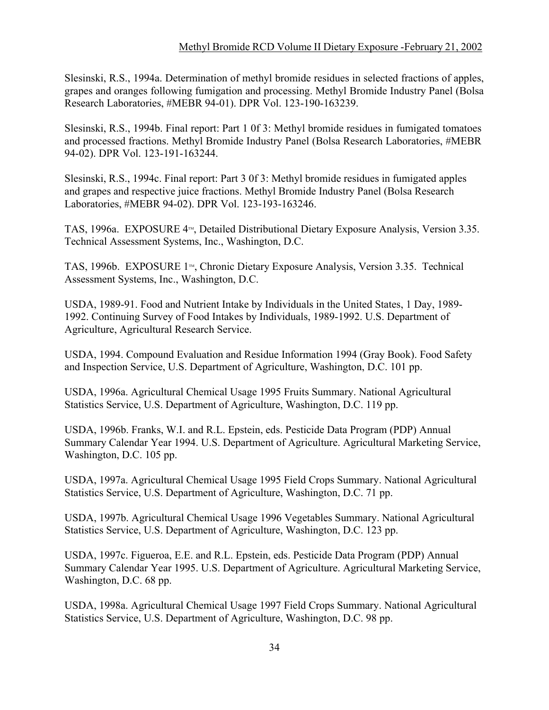Slesinski, R.S., 1994a. Determination of methyl bromide residues in selected fractions of apples, grapes and oranges following fumigation and processing. Methyl Bromide Industry Panel (Bolsa Research Laboratories, #MEBR 94-01). DPR Vol. 123-190-163239.

Slesinski, R.S., 1994b. Final report: Part 1 0f 3: Methyl bromide residues in fumigated tomatoes and processed fractions. Methyl Bromide Industry Panel (Bolsa Research Laboratories, #MEBR 94-02). DPR Vol. 123-191-163244.

Slesinski, R.S., 1994c. Final report: Part 3 0f 3: Methyl bromide residues in fumigated apples and grapes and respective juice fractions. Methyl Bromide Industry Panel (Bolsa Research Laboratories, #MEBR 94-02). DPR Vol. 123-193-163246.

TAS, 1996a. EXPOSURE  $4<sub>m</sub>$ , Detailed Distributional Dietary Exposure Analysis, Version 3.35. Technical Assessment Systems, Inc., Washington, D.C.

TAS, 1996b. EXPOSURE 1<sup>™</sup>, Chronic Dietary Exposure Analysis, Version 3.35. Technical Assessment Systems, Inc., Washington, D.C.

USDA, 1989-91. Food and Nutrient Intake by Individuals in the United States, 1 Day, 1989- 1992. Continuing Survey of Food Intakes by Individuals, 1989-1992. U.S. Department of Agriculture, Agricultural Research Service.

USDA, 1994. Compound Evaluation and Residue Information 1994 (Gray Book). Food Safety and Inspection Service, U.S. Department of Agriculture, Washington, D.C. 101 pp.

USDA, 1996a. Agricultural Chemical Usage 1995 Fruits Summary. National Agricultural Statistics Service, U.S. Department of Agriculture, Washington, D.C. 119 pp.

USDA, 1996b. Franks, W.I. and R.L. Epstein, eds. Pesticide Data Program (PDP) Annual Summary Calendar Year 1994. U.S. Department of Agriculture. Agricultural Marketing Service, Washington, D.C. 105 pp.

USDA, 1997a. Agricultural Chemical Usage 1995 Field Crops Summary. National Agricultural Statistics Service, U.S. Department of Agriculture, Washington, D.C. 71 pp.

USDA, 1997b. Agricultural Chemical Usage 1996 Vegetables Summary. National Agricultural Statistics Service, U.S. Department of Agriculture, Washington, D.C. 123 pp.

USDA, 1997c. Figueroa, E.E. and R.L. Epstein, eds. Pesticide Data Program (PDP) Annual Summary Calendar Year 1995. U.S. Department of Agriculture. Agricultural Marketing Service, Washington, D.C. 68 pp.

USDA, 1998a. Agricultural Chemical Usage 1997 Field Crops Summary. National Agricultural Statistics Service, U.S. Department of Agriculture, Washington, D.C. 98 pp.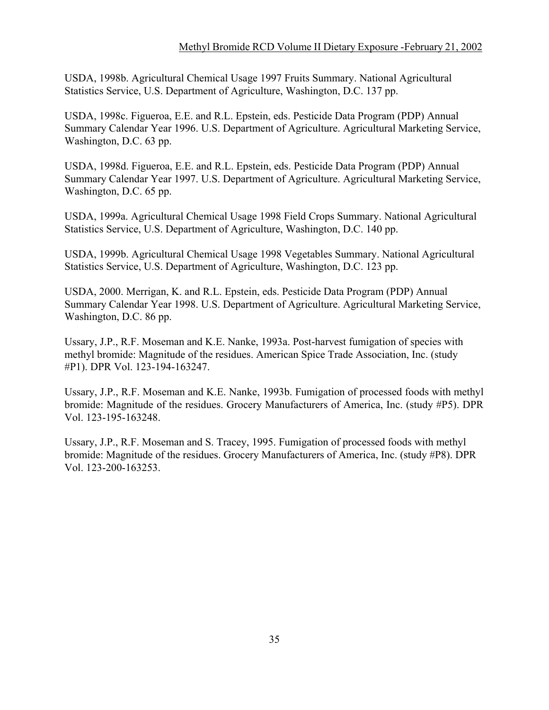USDA, 1998b. Agricultural Chemical Usage 1997 Fruits Summary. National Agricultural Statistics Service, U.S. Department of Agriculture, Washington, D.C. 137 pp.

USDA, 1998c. Figueroa, E.E. and R.L. Epstein, eds. Pesticide Data Program (PDP) Annual Summary Calendar Year 1996. U.S. Department of Agriculture. Agricultural Marketing Service, Washington, D.C. 63 pp.

USDA, 1998d. Figueroa, E.E. and R.L. Epstein, eds. Pesticide Data Program (PDP) Annual Summary Calendar Year 1997. U.S. Department of Agriculture. Agricultural Marketing Service, Washington, D.C. 65 pp.

USDA, 1999a. Agricultural Chemical Usage 1998 Field Crops Summary. National Agricultural Statistics Service, U.S. Department of Agriculture, Washington, D.C. 140 pp.

USDA, 1999b. Agricultural Chemical Usage 1998 Vegetables Summary. National Agricultural Statistics Service, U.S. Department of Agriculture, Washington, D.C. 123 pp.

USDA, 2000. Merrigan, K. and R.L. Epstein, eds. Pesticide Data Program (PDP) Annual Summary Calendar Year 1998. U.S. Department of Agriculture. Agricultural Marketing Service, Washington, D.C. 86 pp.

Ussary, J.P., R.F. Moseman and K.E. Nanke, 1993a. Post-harvest fumigation of species with methyl bromide: Magnitude of the residues. American Spice Trade Association, Inc. (study #P1). DPR Vol. 123-194-163247.

Ussary, J.P., R.F. Moseman and K.E. Nanke, 1993b. Fumigation of processed foods with methyl bromide: Magnitude of the residues. Grocery Manufacturers of America, Inc. (study #P5). DPR Vol. 123-195-163248.

Ussary, J.P., R.F. Moseman and S. Tracey, 1995. Fumigation of processed foods with methyl bromide: Magnitude of the residues. Grocery Manufacturers of America, Inc. (study #P8). DPR Vol. 123-200-163253.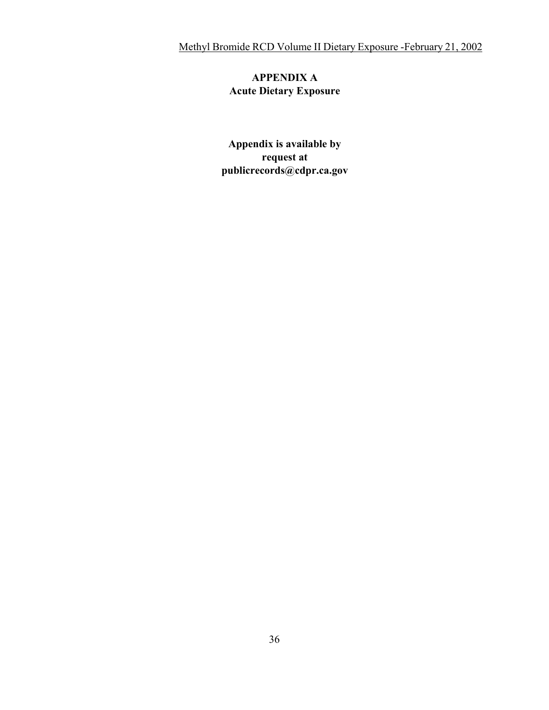# **APPENDIX A Acute Dietary Exposure**

**Appendix is available by request at publicrecords@cdpr.ca.gov**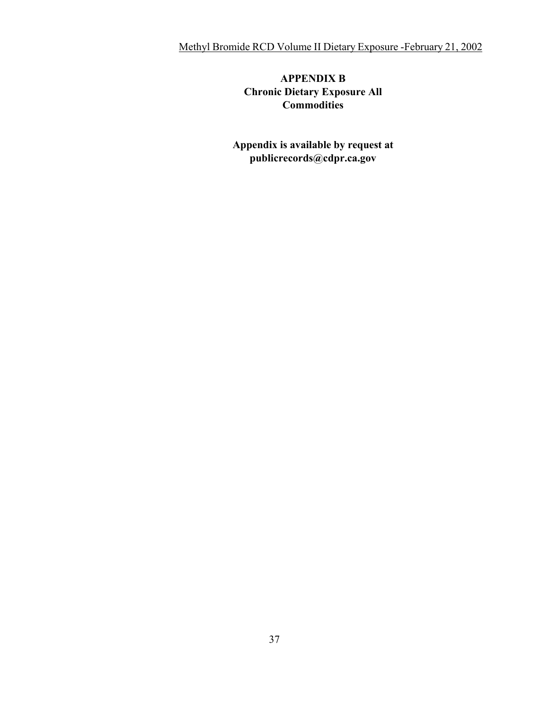# **APPENDIX B Chronic Dietary Exposure All Commodities**

**Appendix is available by request at publicrecords@cdpr.ca.gov**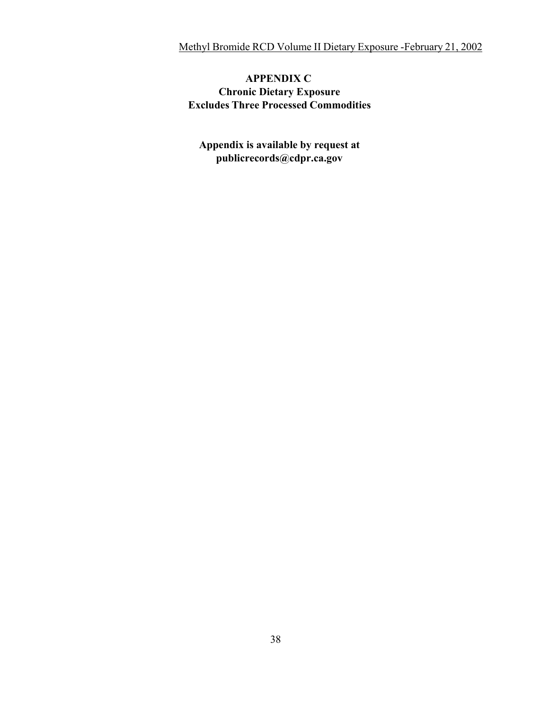# **APPENDIX C Chronic Dietary Exposure Excludes Three Processed Commodities**

**Appendix is available by request at [publicrecords@cdpr.ca.gov](mailto:publicrecords@cdpr.ca.gov)**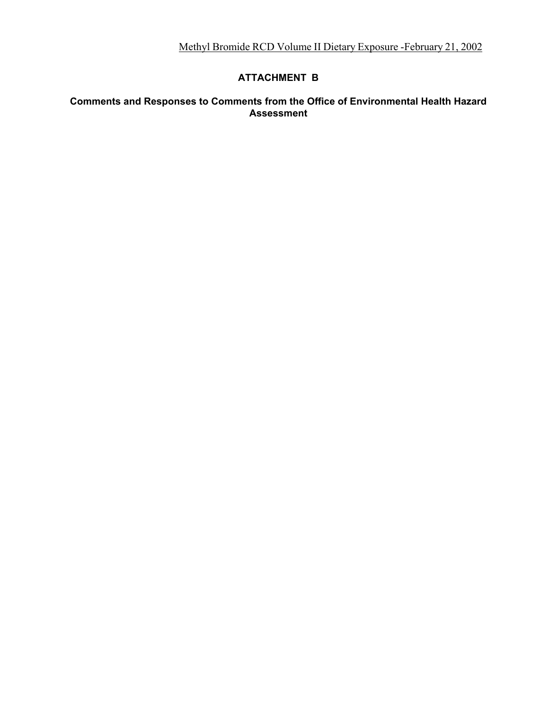# **ATTACHMENT B**

#### **Comments and Responses to Comments from the Office of Environmental Health Hazard Assessment**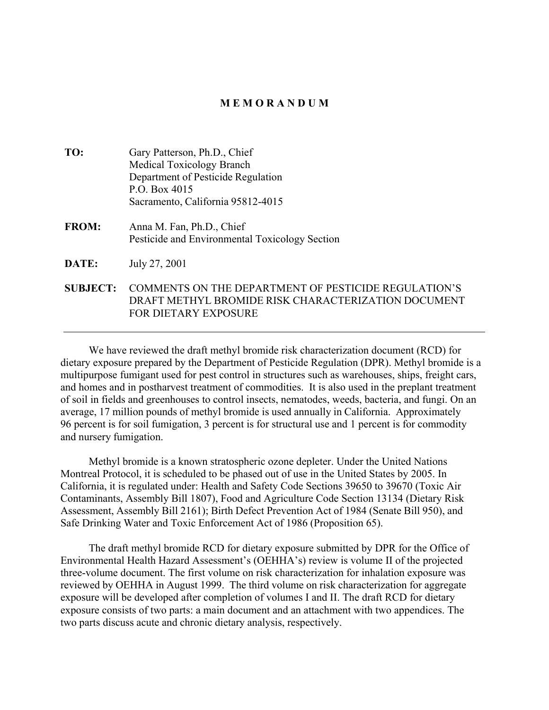#### **M E M O R A N D U M**

| TO:             | Gary Patterson, Ph.D., Chief                                                                                |
|-----------------|-------------------------------------------------------------------------------------------------------------|
|                 | <b>Medical Toxicology Branch</b>                                                                            |
|                 | Department of Pesticide Regulation                                                                          |
|                 | P.O. Box 4015                                                                                               |
|                 | Sacramento, California 95812-4015                                                                           |
| <b>FROM:</b>    | Anna M. Fan, Ph.D., Chief<br>Pesticide and Environmental Toxicology Section                                 |
| DATE:           | July 27, 2001                                                                                               |
| <b>SUBJECT:</b> | COMMENTS ON THE DEPARTMENT OF PESTICIDE REGULATION'S<br>DRAFT METHYL BROMIDE RISK CHARACTERIZATION DOCUMENT |

FOR DIETARY EXPOSURE

We have reviewed the draft methyl bromide risk characterization document (RCD) for dietary exposure prepared by the Department of Pesticide Regulation (DPR). Methyl bromide is a multipurpose fumigant used for pest control in structures such as warehouses, ships, freight cars, and homes and in postharvest treatment of commodities. It is also used in the preplant treatment of soil in fields and greenhouses to control insects, nematodes, weeds, bacteria, and fungi. On an average, 17 million pounds of methyl bromide is used annually in California. Approximately 96 percent is for soil fumigation, 3 percent is for structural use and 1 percent is for commodity and nursery fumigation.

Methyl bromide is a known stratospheric ozone depleter. Under the United Nations Montreal Protocol, it is scheduled to be phased out of use in the United States by 2005. In California, it is regulated under: Health and Safety Code Sections 39650 to 39670 (Toxic Air Contaminants, Assembly Bill 1807), Food and Agriculture Code Section 13134 (Dietary Risk Assessment, Assembly Bill 2161); Birth Defect Prevention Act of 1984 (Senate Bill 950), and Safe Drinking Water and Toxic Enforcement Act of 1986 (Proposition 65).

The draft methyl bromide RCD for dietary exposure submitted by DPR for the Office of Environmental Health Hazard Assessment's (OEHHA's) review is volume II of the projected three-volume document. The first volume on risk characterization for inhalation exposure was reviewed by OEHHA in August 1999. The third volume on risk characterization for aggregate exposure will be developed after completion of volumes I and II. The draft RCD for dietary exposure consists of two parts: a main document and an attachment with two appendices. The two parts discuss acute and chronic dietary analysis, respectively.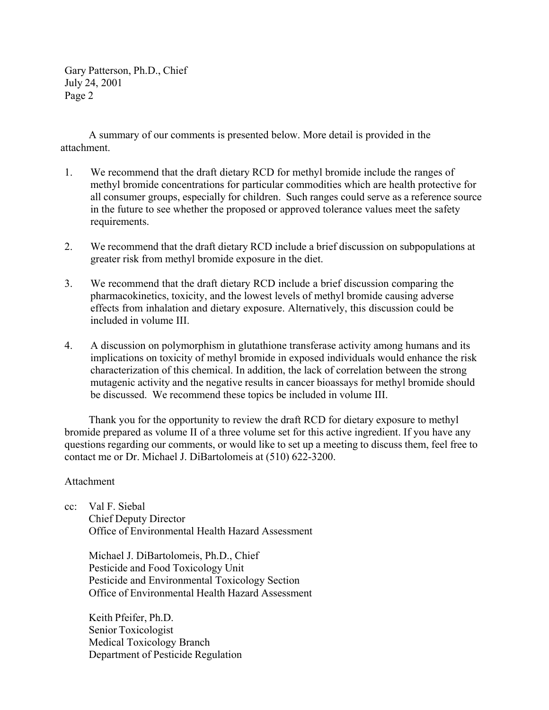Gary Patterson, Ph.D., Chief July 24, 2001 Page 2

A summary of our comments is presented below. More detail is provided in the attachment.

- 1. We recommend that the draft dietary RCD for methyl bromide include the ranges of methyl bromide concentrations for particular commodities which are health protective for all consumer groups, especially for children. Such ranges could serve as a reference source in the future to see whether the proposed or approved tolerance values meet the safety requirements.
- 2. We recommend that the draft dietary RCD include a brief discussion on subpopulations at greater risk from methyl bromide exposure in the diet.
- 3. We recommend that the draft dietary RCD include a brief discussion comparing the pharmacokinetics, toxicity, and the lowest levels of methyl bromide causing adverse effects from inhalation and dietary exposure. Alternatively, this discussion could be included in volume III.
- 4. A discussion on polymorphism in glutathione transferase activity among humans and its implications on toxicity of methyl bromide in exposed individuals would enhance the risk characterization of this chemical. In addition, the lack of correlation between the strong mutagenic activity and the negative results in cancer bioassays for methyl bromide should be discussed. We recommend these topics be included in volume III.

Thank you for the opportunity to review the draft RCD for dietary exposure to methyl bromide prepared as volume II of a three volume set for this active ingredient. If you have any questions regarding our comments, or would like to set up a meeting to discuss them, feel free to contact me or Dr. Michael J. DiBartolomeis at (510) 622-3200.

#### Attachment

cc: Val F. Siebal Chief Deputy Director Office of Environmental Health Hazard Assessment

Michael J. DiBartolomeis, Ph.D., Chief Pesticide and Food Toxicology Unit Pesticide and Environmental Toxicology Section Office of Environmental Health Hazard Assessment

Keith Pfeifer, Ph.D. Senior Toxicologist Medical Toxicology Branch Department of Pesticide Regulation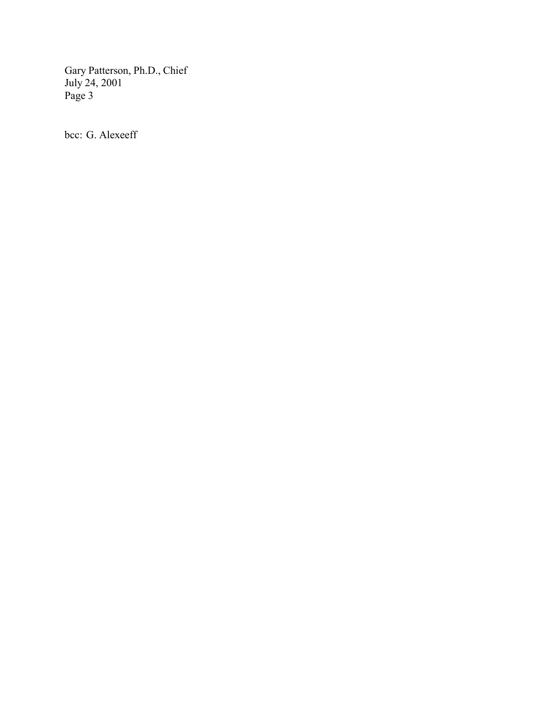Gary Patterson, Ph.D., Chief July 24, 2001 Page 3

bcc: G. Alexeeff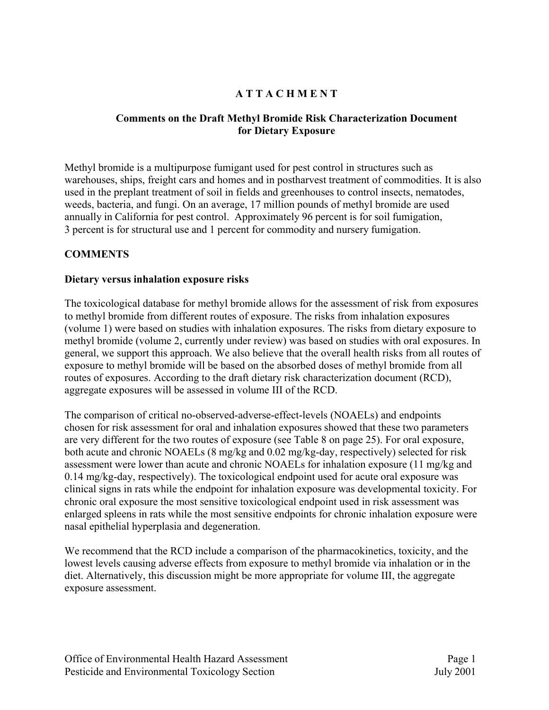# **A T T A C H M E N T**

#### **Comments on the Draft Methyl Bromide Risk Characterization Document for Dietary Exposure**

Methyl bromide is a multipurpose fumigant used for pest control in structures such as warehouses, ships, freight cars and homes and in postharvest treatment of commodities. It is also used in the preplant treatment of soil in fields and greenhouses to control insects, nematodes, weeds, bacteria, and fungi. On an average, 17 million pounds of methyl bromide are used annually in California for pest control. Approximately 96 percent is for soil fumigation, 3 percent is for structural use and 1 percent for commodity and nursery fumigation.

#### **COMMENTS**

#### **Dietary versus inhalation exposure risks**

The toxicological database for methyl bromide allows for the assessment of risk from exposures to methyl bromide from different routes of exposure. The risks from inhalation exposures (volume 1) were based on studies with inhalation exposures. The risks from dietary exposure to methyl bromide (volume 2, currently under review) was based on studies with oral exposures. In general, we support this approach. We also believe that the overall health risks from all routes of exposure to methyl bromide will be based on the absorbed doses of methyl bromide from all routes of exposures. According to the draft dietary risk characterization document (RCD), aggregate exposures will be assessed in volume III of the RCD.

The comparison of critical no-observed-adverse-effect-levels (NOAELs) and endpoints chosen for risk assessment for oral and inhalation exposures showed that these two parameters are very different for the two routes of exposure (see Table 8 on page 25). For oral exposure, both acute and chronic NOAELs (8 mg/kg and 0.02 mg/kg-day, respectively) selected for risk assessment were lower than acute and chronic NOAELs for inhalation exposure (11 mg/kg and 0.14 mg/kg-day, respectively). The toxicological endpoint used for acute oral exposure was clinical signs in rats while the endpoint for inhalation exposure was developmental toxicity. For chronic oral exposure the most sensitive toxicological endpoint used in risk assessment was enlarged spleens in rats while the most sensitive endpoints for chronic inhalation exposure were nasal epithelial hyperplasia and degeneration.

We recommend that the RCD include a comparison of the pharmacokinetics, toxicity, and the lowest levels causing adverse effects from exposure to methyl bromide via inhalation or in the diet. Alternatively, this discussion might be more appropriate for volume III, the aggregate exposure assessment.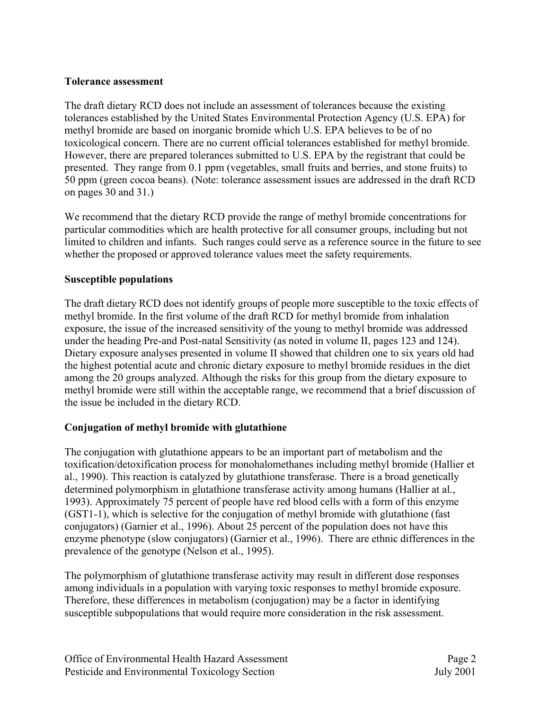#### **Tolerance assessment**

The draft dietary RCD does not include an assessment of tolerances because the existing tolerances established by the United States Environmental Protection Agency (U.S. EPA) for methyl bromide are based on inorganic bromide which U.S. EPA believes to be of no toxicological concern. There are no current official tolerances established for methyl bromide. However, there are prepared tolerances submitted to U.S. EPA by the registrant that could be presented. They range from 0.1 ppm (vegetables, small fruits and berries, and stone fruits) to 50 ppm (green cocoa beans). (Note: tolerance assessment issues are addressed in the draft RCD on pages 30 and 31.)

We recommend that the dietary RCD provide the range of methyl bromide concentrations for particular commodities which are health protective for all consumer groups, including but not limited to children and infants. Such ranges could serve as a reference source in the future to see whether the proposed or approved tolerance values meet the safety requirements.

#### **Susceptible populations**

The draft dietary RCD does not identify groups of people more susceptible to the toxic effects of methyl bromide. In the first volume of the draft RCD for methyl bromide from inhalation exposure, the issue of the increased sensitivity of the young to methyl bromide was addressed under the heading Pre-and Post-natal Sensitivity (as noted in volume II, pages 123 and 124). Dietary exposure analyses presented in volume II showed that children one to six years old had the highest potential acute and chronic dietary exposure to methyl bromide residues in the diet among the 20 groups analyzed. Although the risks for this group from the dietary exposure to methyl bromide were still within the acceptable range, we recommend that a brief discussion of the issue be included in the dietary RCD.

# **Conjugation of methyl bromide with glutathione**

The conjugation with glutathione appears to be an important part of metabolism and the toxification/detoxification process for monohalomethanes including methyl bromide (Hallier et al., 1990). This reaction is catalyzed by glutathione transferase. There is a broad genetically determined polymorphism in glutathione transferase activity among humans (Hallier at al., 1993). Approximately 75 percent of people have red blood cells with a form of this enzyme (GST1-1), which is selective for the conjugation of methyl bromide with glutathione (fast conjugators) (Garnier et al., 1996). About 25 percent of the population does not have this enzyme phenotype (slow conjugators) (Garnier et al., 1996). There are ethnic differences in the prevalence of the genotype (Nelson et al., 1995).

The polymorphism of glutathione transferase activity may result in different dose responses among individuals in a population with varying toxic responses to methyl bromide exposure. Therefore, these differences in metabolism (conjugation) may be a factor in identifying susceptible subpopulations that would require more consideration in the risk assessment.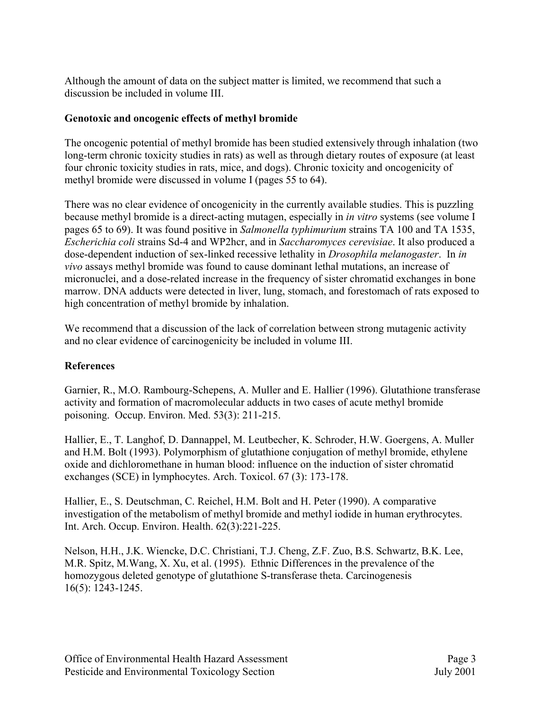Although the amount of data on the subject matter is limited, we recommend that such a discussion be included in volume III.

#### **Genotoxic and oncogenic effects of methyl bromide**

The oncogenic potential of methyl bromide has been studied extensively through inhalation (two long-term chronic toxicity studies in rats) as well as through dietary routes of exposure (at least four chronic toxicity studies in rats, mice, and dogs). Chronic toxicity and oncogenicity of methyl bromide were discussed in volume I (pages 55 to 64).

There was no clear evidence of oncogenicity in the currently available studies. This is puzzling because methyl bromide is a direct-acting mutagen, especially in *in vitro* systems (see volume I pages 65 to 69). It was found positive in *Salmonella typhimurium* strains TA 100 and TA 1535, *Escherichia coli* strains Sd-4 and WP2hcr, and in *Saccharomyces cerevisiae*. It also produced a dose-dependent induction of sex-linked recessive lethality in *Drosophila melanogaster*. In *in vivo* assays methyl bromide was found to cause dominant lethal mutations, an increase of micronuclei, and a dose-related increase in the frequency of sister chromatid exchanges in bone marrow. DNA adducts were detected in liver, lung, stomach, and forestomach of rats exposed to high concentration of methyl bromide by inhalation.

We recommend that a discussion of the lack of correlation between strong mutagenic activity and no clear evidence of carcinogenicity be included in volume III.

# **References**

Garnier, R., M.O. Rambourg-Schepens, A. Muller and E. Hallier (1996). Glutathione transferase activity and formation of macromolecular adducts in two cases of acute methyl bromide poisoning. Occup. Environ. Med. 53(3): 211-215.

Hallier, E., T. Langhof, D. Dannappel, M. Leutbecher, K. Schroder, H.W. Goergens, A. Muller and H.M. Bolt (1993). Polymorphism of glutathione conjugation of methyl bromide, ethylene oxide and dichloromethane in human blood: influence on the induction of sister chromatid exchanges (SCE) in lymphocytes. Arch. Toxicol. 67 (3): 173-178.

Hallier, E., S. Deutschman, C. Reichel, H.M. Bolt and H. Peter (1990). A comparative investigation of the metabolism of methyl bromide and methyl iodide in human erythrocytes. Int. Arch. Occup. Environ. Health. 62(3):221-225.

Nelson, H.H., J.K. Wiencke, D.C. Christiani, T.J. Cheng, Z.F. Zuo, B.S. Schwartz, B.K. Lee, M.R. Spitz, M.Wang, X. Xu, et al. (1995). Ethnic Differences in the prevalence of the homozygous deleted genotype of glutathione S-transferase theta. Carcinogenesis 16(5): 1243-1245.